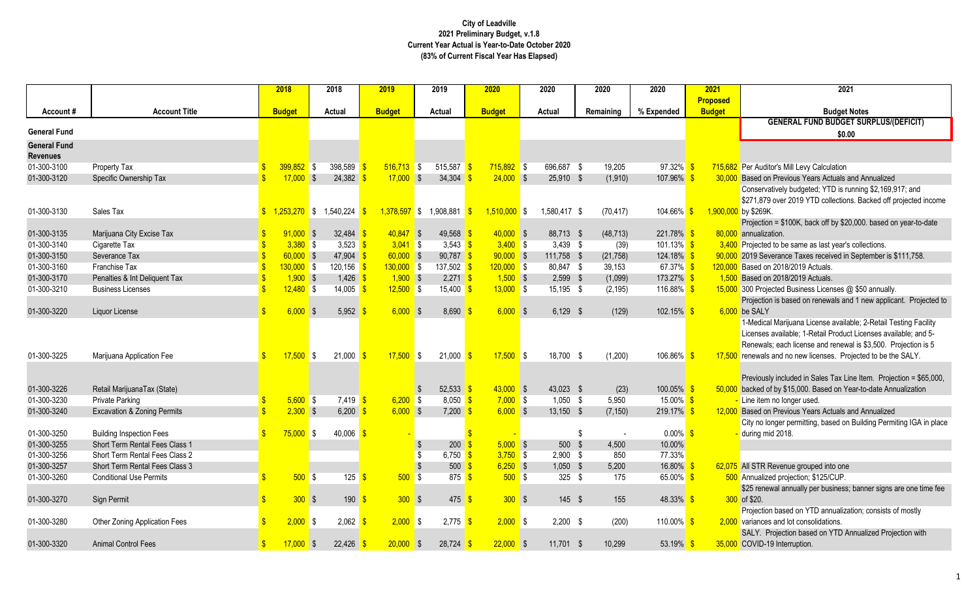# **Budget Budget Notes GENERAL FUND BUDGET SURPLUS/(DEFICIT)**

n Previous Years Actuals and Annualized

atively budgeted; YTD is running \$2,169,917; and

over 2019 YTD collections. Backed off projected income

 $n = $100K$ , back off by \$20,000. based on year-to-date ation.

d to be same as last year's collections.

verance Taxes received in September is \$111,758.

ected Business Licenses @ \$50 annually.

n is based on renewals and 1 new applicant. Projected to

al Marijuana License available; 2-Retail Testing Facility available; 1-Retail Product Licenses available; and 5ls; each license and renewal is \$3,500. Projection is 5 and no new licenses. Projected to be the SALY.

ly included in Sales Tax Line Item. Projection = \$65,000, of by \$15,000. Based on Year-to-date Annualization

n Previous Years Actuals and Annualized

onger permitting, based on Building Permiting IGA in place id 2018.

wal annually per business; banner signs are one time fee

In based on YTD annualization; consists of mostly s and lot consolidations.

Projection based on YTD Annualized Projection with 19 Interruption.

| <b>Proposed</b><br><b>Account Title</b><br>% Expended<br><b>Budget</b><br><b>Budget N</b><br><b>Budget</b><br><b>Actual</b><br><b>Budget</b><br><b>Actual</b><br><b>Budget</b><br><b>Actual</b><br>Remaining<br>Account#<br><b>GENERAL FUND BUDGET</b><br><b>General Fund</b><br>\$0.00<br><b>General Fund</b><br><b>Revenues</b><br>$399,852$ \$<br>$516,713$ \$<br>01-300-3100<br>Property Tax<br>398,589<br>515,587<br>$715,892$ \$<br>696,687 \$<br>19,205<br>$97.32\%$ \$<br>715,682 Per Auditor's Mill Levy Calculation<br>01-300-3120<br>$17,000$ \$<br>24,382<br>34,304<br>$24,000$ \$<br>25,910 \$<br>$107.96\%$ \$<br>Specific Ownership Tax<br>$17,000$ \$<br>(1,910)<br>30,000<br>$1,253,270$ \$ 1,540,224<br>01-300-3130<br>Sales Tax<br>$1,378,597$ \$<br>1,908,881<br>$1,510,000$ \$<br>1,580,417 \$<br>(70, 417)<br>104.66%<br>1,900,000 by \$269K.<br>$\sqrt[6]{3}$<br>- \$<br>$\mathbb{S}$<br>$91,000$ \$<br>$40,847$ \$<br>$40,000$ \$<br>01-300-3135<br>32,484<br>49,568<br>88,713 \$<br>(48, 713)<br>$221.78\%$ \$<br>80,000<br>annualization.<br>Marijuana City Excise Tax<br>01-300-3140<br>$3,380$ \$<br>$3,041$ \$<br>$3,400$ \$<br>3,523 $\frac{\text{}}{\text{}}$<br>3,543<br>$3,439$ \$<br>$101.13\%$ \$<br>Cigarette Tax<br>(39)<br>3,400<br>01-300-3150<br>$60,000$ \$<br>47,904 \$<br>$60,000$ \$<br>$90,787$ \$<br>$90,000$ \$<br>111,758 \$<br>$124.18\%$ \$<br>Severance Tax<br>(21, 758)<br>$130,000$ \$<br>01-300-3160<br>Franchise Tax<br>$130,000$ \$<br>$120, 156$ \$<br>137,502<br>$120,000$ \$<br>80,847 \$<br>67.37% \$<br>Based on 2018/2019 Actuals.<br>39,153<br>120,000<br>01-300-3170<br>$1,900$ \$<br>$1,426$ \$<br>$1,900$ \$<br>$1,500$ \$<br>173.27% \$<br>Penalties & Int Deliquent Tax<br>$2,271$ \$<br>$2,599$ \$<br>(1,099)<br>1,500<br>Based on 2018/2019 Actuals.<br>01-300-3210<br>$12,480$ \$<br>14,005<br>$12,500$ \$<br>$13,000$ \$<br>116.88% <mark>\$</mark><br>15,400<br>15,195 \$<br>(2, 195)<br><b>Business Licenses</b><br>$6,000$ \$<br>$6,000$ \$<br>8,690<br>$6,000$ \$<br>$6,129$ \$<br>$102.15\%$ \$<br>$6,000$ be SALY<br>01-300-3220<br>5,952<br>(129)<br>Liquor License<br>Licenses available; 1-Retail Product<br>$17,500$ \$<br>01-300-3225<br>$21,000$ \$<br>$17,500$ \$<br>$21,000$ \$<br>$17,500$ \$<br>18,700 \$<br>(1,200)<br>$106.86\%$ \$<br>Marijuana Application Fee<br>17,500<br>$43,000$ \$<br>$100.05\%$ \$<br>01-300-3226<br>52,533<br>43,023 \$<br>Retail MarijuanaTax (State)<br>(23)<br>50,000<br>01-300-3230<br>$5,600$ \$<br>$6,200$ \$<br>8,050<br>$7,000$ \$<br>$15.00\%$ \$<br>7,419 <mark>\$</mark><br>$1,050$ \$<br>- Line item no longer used.<br><b>Private Parking</b><br>5,950<br>$2,300$ \$<br>01-300-3240<br>6,200<br>$6,000$ \$<br>$7,200$ \$<br>$6,000$ \$<br>$13,150$ \$<br>219.17%<br>(7, 150)<br>12,000<br><b>Excavation &amp; Zoning Permits</b><br>- \$<br>$75,000$ \$<br>40,006<br>$0.00\%$ \$<br>01-300-3250<br><b>Building Inspection Fees</b><br>during mid 2018.<br>-S<br>$5,000$ \$<br>500<br>01-300-3255<br>Short Term Rental Fees Class 1<br>200<br>\$<br>4,500<br>10.00%<br>01-300-3256<br>77.33%<br>6,750<br>$3,750$ \$<br>$2,900$ \$<br>850<br>Short Term Rental Fees Class 2<br>01-300-3257<br>$500 \frac{\text{S}}{\text{S}}$<br>$6,250$ \$<br>$1,050$ \$<br>5,200<br>16.80%<br>Short Term Rental Fees Class 3<br>$500$ \$<br>$125 - $$<br>$500$ \$<br>$500$ \$<br>65.00% \$<br>01-300-3260<br><b>Conditional Use Permits</b><br>$875$ \$<br>325 $$$<br>500 Annualized projection; \$125/CUP.<br>175<br>$300$ \$<br>$300$ \$<br>$300$ \$<br>01-300-3270<br>Sign Permit<br>$190$ \$<br>$475 - $$<br>$145$ \$<br>155<br>48.33% \$<br>$300$ of \$20.<br>$2,000$ \$<br>$2,000$ \$<br>01-300-3280<br>$2,062$ \$<br>2,775<br>$2,000$ \$<br>$2,200$ \$<br>110.00% \$<br>2,000 variances and lot consolidations.<br>Other Zoning Application Fees<br>(200)<br>$17,000$ \$<br>$22,000$ \$<br>$11,701$ \$<br>53.19% \$ |             |                            |               | 2018 | 2018      | 2019        | 2019        | 2020 | 2020 | 2020   | 2020 | 2021 | 2021                          |
|--------------------------------------------------------------------------------------------------------------------------------------------------------------------------------------------------------------------------------------------------------------------------------------------------------------------------------------------------------------------------------------------------------------------------------------------------------------------------------------------------------------------------------------------------------------------------------------------------------------------------------------------------------------------------------------------------------------------------------------------------------------------------------------------------------------------------------------------------------------------------------------------------------------------------------------------------------------------------------------------------------------------------------------------------------------------------------------------------------------------------------------------------------------------------------------------------------------------------------------------------------------------------------------------------------------------------------------------------------------------------------------------------------------------------------------------------------------------------------------------------------------------------------------------------------------------------------------------------------------------------------------------------------------------------------------------------------------------------------------------------------------------------------------------------------------------------------------------------------------------------------------------------------------------------------------------------------------------------------------------------------------------------------------------------------------------------------------------------------------------------------------------------------------------------------------------------------------------------------------------------------------------------------------------------------------------------------------------------------------------------------------------------------------------------------------------------------------------------------------------------------------------------------------------------------------------------------------------------------------------------------------------------------------------------------------------------------------------------------------------------------------------------------------------------------------------------------------------------------------------------------------------------------------------------------------------------------------------------------------------------------------------------------------------------------------------------------------------------------------------------------------------------------------------------------------------------------------------------------------------------------------------------------------------------------------------------------------------------------------------------------------------------------------------------------------------------------------------------------------------------------------------------------------------------------------------------------------------------------------------------------------------------------------------------------------------------------------------------------------------------------------------------------------------------------------------------------------------------------------------------------------------------------------------------------------------|-------------|----------------------------|---------------|------|-----------|-------------|-------------|------|------|--------|------|------|-------------------------------|
|                                                                                                                                                                                                                                                                                                                                                                                                                                                                                                                                                                                                                                                                                                                                                                                                                                                                                                                                                                                                                                                                                                                                                                                                                                                                                                                                                                                                                                                                                                                                                                                                                                                                                                                                                                                                                                                                                                                                                                                                                                                                                                                                                                                                                                                                                                                                                                                                                                                                                                                                                                                                                                                                                                                                                                                                                                                                                                                                                                                                                                                                                                                                                                                                                                                                                                                                                                                                                                                                                                                                                                                                                                                                                                                                                                                                                                                                                                                                            |             |                            |               |      |           |             |             |      |      |        |      |      |                               |
|                                                                                                                                                                                                                                                                                                                                                                                                                                                                                                                                                                                                                                                                                                                                                                                                                                                                                                                                                                                                                                                                                                                                                                                                                                                                                                                                                                                                                                                                                                                                                                                                                                                                                                                                                                                                                                                                                                                                                                                                                                                                                                                                                                                                                                                                                                                                                                                                                                                                                                                                                                                                                                                                                                                                                                                                                                                                                                                                                                                                                                                                                                                                                                                                                                                                                                                                                                                                                                                                                                                                                                                                                                                                                                                                                                                                                                                                                                                                            |             |                            |               |      |           |             |             |      |      |        |      |      |                               |
|                                                                                                                                                                                                                                                                                                                                                                                                                                                                                                                                                                                                                                                                                                                                                                                                                                                                                                                                                                                                                                                                                                                                                                                                                                                                                                                                                                                                                                                                                                                                                                                                                                                                                                                                                                                                                                                                                                                                                                                                                                                                                                                                                                                                                                                                                                                                                                                                                                                                                                                                                                                                                                                                                                                                                                                                                                                                                                                                                                                                                                                                                                                                                                                                                                                                                                                                                                                                                                                                                                                                                                                                                                                                                                                                                                                                                                                                                                                                            |             |                            |               |      |           |             |             |      |      |        |      |      |                               |
|                                                                                                                                                                                                                                                                                                                                                                                                                                                                                                                                                                                                                                                                                                                                                                                                                                                                                                                                                                                                                                                                                                                                                                                                                                                                                                                                                                                                                                                                                                                                                                                                                                                                                                                                                                                                                                                                                                                                                                                                                                                                                                                                                                                                                                                                                                                                                                                                                                                                                                                                                                                                                                                                                                                                                                                                                                                                                                                                                                                                                                                                                                                                                                                                                                                                                                                                                                                                                                                                                                                                                                                                                                                                                                                                                                                                                                                                                                                                            |             |                            |               |      |           |             |             |      |      |        |      |      |                               |
|                                                                                                                                                                                                                                                                                                                                                                                                                                                                                                                                                                                                                                                                                                                                                                                                                                                                                                                                                                                                                                                                                                                                                                                                                                                                                                                                                                                                                                                                                                                                                                                                                                                                                                                                                                                                                                                                                                                                                                                                                                                                                                                                                                                                                                                                                                                                                                                                                                                                                                                                                                                                                                                                                                                                                                                                                                                                                                                                                                                                                                                                                                                                                                                                                                                                                                                                                                                                                                                                                                                                                                                                                                                                                                                                                                                                                                                                                                                                            |             |                            |               |      |           |             |             |      |      |        |      |      |                               |
| Based on Previous Years Actuals ar<br>Conservatively budgeted; YTD is rur<br>\$271,879 over 2019 YTD collections<br>Projection = $$100K$ , back off by \$20,<br>Projected to be same as last year's o<br>90,000 2019 Severance Taxes received in S<br>15,000 300 Projected Business Licenses @<br>Projection is based on renewals and<br>1-Medical Marijuana License availab<br>Renewals; each license and renewal<br>renewals and no new licenses. Proje<br>Previously included in Sales Tax Lin<br>backed of by \$15,000. Based on Yea<br>Based on Previous Years Actuals an<br>City no longer permitting, based on E<br>62,075 All STR Revenue grouped into one<br>\$25 renewal annually per business; I<br>Projection based on YTD annualizati<br>SALY. Projection based on YTD An                                                                                                                                                                                                                                                                                                                                                                                                                                                                                                                                                                                                                                                                                                                                                                                                                                                                                                                                                                                                                                                                                                                                                                                                                                                                                                                                                                                                                                                                                                                                                                                                                                                                                                                                                                                                                                                                                                                                                                                                                                                                                                                                                                                                                                                                                                                                                                                                                                                                                                                                                                                                                                                                                                                                                                                                                                                                                                                                                                                                                                                                                                                                                     |             |                            |               |      |           |             |             |      |      |        |      |      |                               |
|                                                                                                                                                                                                                                                                                                                                                                                                                                                                                                                                                                                                                                                                                                                                                                                                                                                                                                                                                                                                                                                                                                                                                                                                                                                                                                                                                                                                                                                                                                                                                                                                                                                                                                                                                                                                                                                                                                                                                                                                                                                                                                                                                                                                                                                                                                                                                                                                                                                                                                                                                                                                                                                                                                                                                                                                                                                                                                                                                                                                                                                                                                                                                                                                                                                                                                                                                                                                                                                                                                                                                                                                                                                                                                                                                                                                                                                                                                                                            |             |                            |               |      |           |             |             |      |      |        |      |      |                               |
|                                                                                                                                                                                                                                                                                                                                                                                                                                                                                                                                                                                                                                                                                                                                                                                                                                                                                                                                                                                                                                                                                                                                                                                                                                                                                                                                                                                                                                                                                                                                                                                                                                                                                                                                                                                                                                                                                                                                                                                                                                                                                                                                                                                                                                                                                                                                                                                                                                                                                                                                                                                                                                                                                                                                                                                                                                                                                                                                                                                                                                                                                                                                                                                                                                                                                                                                                                                                                                                                                                                                                                                                                                                                                                                                                                                                                                                                                                                                            |             |                            |               |      |           |             |             |      |      |        |      |      |                               |
|                                                                                                                                                                                                                                                                                                                                                                                                                                                                                                                                                                                                                                                                                                                                                                                                                                                                                                                                                                                                                                                                                                                                                                                                                                                                                                                                                                                                                                                                                                                                                                                                                                                                                                                                                                                                                                                                                                                                                                                                                                                                                                                                                                                                                                                                                                                                                                                                                                                                                                                                                                                                                                                                                                                                                                                                                                                                                                                                                                                                                                                                                                                                                                                                                                                                                                                                                                                                                                                                                                                                                                                                                                                                                                                                                                                                                                                                                                                                            |             |                            |               |      |           |             |             |      |      |        |      |      |                               |
|                                                                                                                                                                                                                                                                                                                                                                                                                                                                                                                                                                                                                                                                                                                                                                                                                                                                                                                                                                                                                                                                                                                                                                                                                                                                                                                                                                                                                                                                                                                                                                                                                                                                                                                                                                                                                                                                                                                                                                                                                                                                                                                                                                                                                                                                                                                                                                                                                                                                                                                                                                                                                                                                                                                                                                                                                                                                                                                                                                                                                                                                                                                                                                                                                                                                                                                                                                                                                                                                                                                                                                                                                                                                                                                                                                                                                                                                                                                                            |             |                            |               |      |           |             |             |      |      |        |      |      |                               |
|                                                                                                                                                                                                                                                                                                                                                                                                                                                                                                                                                                                                                                                                                                                                                                                                                                                                                                                                                                                                                                                                                                                                                                                                                                                                                                                                                                                                                                                                                                                                                                                                                                                                                                                                                                                                                                                                                                                                                                                                                                                                                                                                                                                                                                                                                                                                                                                                                                                                                                                                                                                                                                                                                                                                                                                                                                                                                                                                                                                                                                                                                                                                                                                                                                                                                                                                                                                                                                                                                                                                                                                                                                                                                                                                                                                                                                                                                                                                            |             |                            |               |      |           |             |             |      |      |        |      |      |                               |
|                                                                                                                                                                                                                                                                                                                                                                                                                                                                                                                                                                                                                                                                                                                                                                                                                                                                                                                                                                                                                                                                                                                                                                                                                                                                                                                                                                                                                                                                                                                                                                                                                                                                                                                                                                                                                                                                                                                                                                                                                                                                                                                                                                                                                                                                                                                                                                                                                                                                                                                                                                                                                                                                                                                                                                                                                                                                                                                                                                                                                                                                                                                                                                                                                                                                                                                                                                                                                                                                                                                                                                                                                                                                                                                                                                                                                                                                                                                                            |             |                            |               |      |           |             |             |      |      |        |      |      |                               |
|                                                                                                                                                                                                                                                                                                                                                                                                                                                                                                                                                                                                                                                                                                                                                                                                                                                                                                                                                                                                                                                                                                                                                                                                                                                                                                                                                                                                                                                                                                                                                                                                                                                                                                                                                                                                                                                                                                                                                                                                                                                                                                                                                                                                                                                                                                                                                                                                                                                                                                                                                                                                                                                                                                                                                                                                                                                                                                                                                                                                                                                                                                                                                                                                                                                                                                                                                                                                                                                                                                                                                                                                                                                                                                                                                                                                                                                                                                                                            |             |                            |               |      |           |             |             |      |      |        |      |      |                               |
|                                                                                                                                                                                                                                                                                                                                                                                                                                                                                                                                                                                                                                                                                                                                                                                                                                                                                                                                                                                                                                                                                                                                                                                                                                                                                                                                                                                                                                                                                                                                                                                                                                                                                                                                                                                                                                                                                                                                                                                                                                                                                                                                                                                                                                                                                                                                                                                                                                                                                                                                                                                                                                                                                                                                                                                                                                                                                                                                                                                                                                                                                                                                                                                                                                                                                                                                                                                                                                                                                                                                                                                                                                                                                                                                                                                                                                                                                                                                            |             |                            |               |      |           |             |             |      |      |        |      |      |                               |
|                                                                                                                                                                                                                                                                                                                                                                                                                                                                                                                                                                                                                                                                                                                                                                                                                                                                                                                                                                                                                                                                                                                                                                                                                                                                                                                                                                                                                                                                                                                                                                                                                                                                                                                                                                                                                                                                                                                                                                                                                                                                                                                                                                                                                                                                                                                                                                                                                                                                                                                                                                                                                                                                                                                                                                                                                                                                                                                                                                                                                                                                                                                                                                                                                                                                                                                                                                                                                                                                                                                                                                                                                                                                                                                                                                                                                                                                                                                                            |             |                            |               |      |           |             |             |      |      |        |      |      |                               |
|                                                                                                                                                                                                                                                                                                                                                                                                                                                                                                                                                                                                                                                                                                                                                                                                                                                                                                                                                                                                                                                                                                                                                                                                                                                                                                                                                                                                                                                                                                                                                                                                                                                                                                                                                                                                                                                                                                                                                                                                                                                                                                                                                                                                                                                                                                                                                                                                                                                                                                                                                                                                                                                                                                                                                                                                                                                                                                                                                                                                                                                                                                                                                                                                                                                                                                                                                                                                                                                                                                                                                                                                                                                                                                                                                                                                                                                                                                                                            |             |                            |               |      |           |             |             |      |      |        |      |      |                               |
|                                                                                                                                                                                                                                                                                                                                                                                                                                                                                                                                                                                                                                                                                                                                                                                                                                                                                                                                                                                                                                                                                                                                                                                                                                                                                                                                                                                                                                                                                                                                                                                                                                                                                                                                                                                                                                                                                                                                                                                                                                                                                                                                                                                                                                                                                                                                                                                                                                                                                                                                                                                                                                                                                                                                                                                                                                                                                                                                                                                                                                                                                                                                                                                                                                                                                                                                                                                                                                                                                                                                                                                                                                                                                                                                                                                                                                                                                                                                            |             |                            |               |      |           |             |             |      |      |        |      |      |                               |
|                                                                                                                                                                                                                                                                                                                                                                                                                                                                                                                                                                                                                                                                                                                                                                                                                                                                                                                                                                                                                                                                                                                                                                                                                                                                                                                                                                                                                                                                                                                                                                                                                                                                                                                                                                                                                                                                                                                                                                                                                                                                                                                                                                                                                                                                                                                                                                                                                                                                                                                                                                                                                                                                                                                                                                                                                                                                                                                                                                                                                                                                                                                                                                                                                                                                                                                                                                                                                                                                                                                                                                                                                                                                                                                                                                                                                                                                                                                                            |             |                            |               |      |           |             |             |      |      |        |      |      |                               |
|                                                                                                                                                                                                                                                                                                                                                                                                                                                                                                                                                                                                                                                                                                                                                                                                                                                                                                                                                                                                                                                                                                                                                                                                                                                                                                                                                                                                                                                                                                                                                                                                                                                                                                                                                                                                                                                                                                                                                                                                                                                                                                                                                                                                                                                                                                                                                                                                                                                                                                                                                                                                                                                                                                                                                                                                                                                                                                                                                                                                                                                                                                                                                                                                                                                                                                                                                                                                                                                                                                                                                                                                                                                                                                                                                                                                                                                                                                                                            |             |                            |               |      |           |             |             |      |      |        |      |      |                               |
|                                                                                                                                                                                                                                                                                                                                                                                                                                                                                                                                                                                                                                                                                                                                                                                                                                                                                                                                                                                                                                                                                                                                                                                                                                                                                                                                                                                                                                                                                                                                                                                                                                                                                                                                                                                                                                                                                                                                                                                                                                                                                                                                                                                                                                                                                                                                                                                                                                                                                                                                                                                                                                                                                                                                                                                                                                                                                                                                                                                                                                                                                                                                                                                                                                                                                                                                                                                                                                                                                                                                                                                                                                                                                                                                                                                                                                                                                                                                            |             |                            |               |      |           |             |             |      |      |        |      |      |                               |
|                                                                                                                                                                                                                                                                                                                                                                                                                                                                                                                                                                                                                                                                                                                                                                                                                                                                                                                                                                                                                                                                                                                                                                                                                                                                                                                                                                                                                                                                                                                                                                                                                                                                                                                                                                                                                                                                                                                                                                                                                                                                                                                                                                                                                                                                                                                                                                                                                                                                                                                                                                                                                                                                                                                                                                                                                                                                                                                                                                                                                                                                                                                                                                                                                                                                                                                                                                                                                                                                                                                                                                                                                                                                                                                                                                                                                                                                                                                                            |             |                            |               |      |           |             |             |      |      |        |      |      |                               |
|                                                                                                                                                                                                                                                                                                                                                                                                                                                                                                                                                                                                                                                                                                                                                                                                                                                                                                                                                                                                                                                                                                                                                                                                                                                                                                                                                                                                                                                                                                                                                                                                                                                                                                                                                                                                                                                                                                                                                                                                                                                                                                                                                                                                                                                                                                                                                                                                                                                                                                                                                                                                                                                                                                                                                                                                                                                                                                                                                                                                                                                                                                                                                                                                                                                                                                                                                                                                                                                                                                                                                                                                                                                                                                                                                                                                                                                                                                                                            |             |                            |               |      |           |             |             |      |      |        |      |      |                               |
|                                                                                                                                                                                                                                                                                                                                                                                                                                                                                                                                                                                                                                                                                                                                                                                                                                                                                                                                                                                                                                                                                                                                                                                                                                                                                                                                                                                                                                                                                                                                                                                                                                                                                                                                                                                                                                                                                                                                                                                                                                                                                                                                                                                                                                                                                                                                                                                                                                                                                                                                                                                                                                                                                                                                                                                                                                                                                                                                                                                                                                                                                                                                                                                                                                                                                                                                                                                                                                                                                                                                                                                                                                                                                                                                                                                                                                                                                                                                            |             |                            |               |      |           |             |             |      |      |        |      |      |                               |
|                                                                                                                                                                                                                                                                                                                                                                                                                                                                                                                                                                                                                                                                                                                                                                                                                                                                                                                                                                                                                                                                                                                                                                                                                                                                                                                                                                                                                                                                                                                                                                                                                                                                                                                                                                                                                                                                                                                                                                                                                                                                                                                                                                                                                                                                                                                                                                                                                                                                                                                                                                                                                                                                                                                                                                                                                                                                                                                                                                                                                                                                                                                                                                                                                                                                                                                                                                                                                                                                                                                                                                                                                                                                                                                                                                                                                                                                                                                                            |             |                            |               |      |           |             |             |      |      |        |      |      |                               |
|                                                                                                                                                                                                                                                                                                                                                                                                                                                                                                                                                                                                                                                                                                                                                                                                                                                                                                                                                                                                                                                                                                                                                                                                                                                                                                                                                                                                                                                                                                                                                                                                                                                                                                                                                                                                                                                                                                                                                                                                                                                                                                                                                                                                                                                                                                                                                                                                                                                                                                                                                                                                                                                                                                                                                                                                                                                                                                                                                                                                                                                                                                                                                                                                                                                                                                                                                                                                                                                                                                                                                                                                                                                                                                                                                                                                                                                                                                                                            |             |                            |               |      |           |             |             |      |      |        |      |      |                               |
|                                                                                                                                                                                                                                                                                                                                                                                                                                                                                                                                                                                                                                                                                                                                                                                                                                                                                                                                                                                                                                                                                                                                                                                                                                                                                                                                                                                                                                                                                                                                                                                                                                                                                                                                                                                                                                                                                                                                                                                                                                                                                                                                                                                                                                                                                                                                                                                                                                                                                                                                                                                                                                                                                                                                                                                                                                                                                                                                                                                                                                                                                                                                                                                                                                                                                                                                                                                                                                                                                                                                                                                                                                                                                                                                                                                                                                                                                                                                            |             |                            |               |      |           |             |             |      |      |        |      |      |                               |
|                                                                                                                                                                                                                                                                                                                                                                                                                                                                                                                                                                                                                                                                                                                                                                                                                                                                                                                                                                                                                                                                                                                                                                                                                                                                                                                                                                                                                                                                                                                                                                                                                                                                                                                                                                                                                                                                                                                                                                                                                                                                                                                                                                                                                                                                                                                                                                                                                                                                                                                                                                                                                                                                                                                                                                                                                                                                                                                                                                                                                                                                                                                                                                                                                                                                                                                                                                                                                                                                                                                                                                                                                                                                                                                                                                                                                                                                                                                                            |             |                            |               |      |           |             |             |      |      |        |      |      |                               |
|                                                                                                                                                                                                                                                                                                                                                                                                                                                                                                                                                                                                                                                                                                                                                                                                                                                                                                                                                                                                                                                                                                                                                                                                                                                                                                                                                                                                                                                                                                                                                                                                                                                                                                                                                                                                                                                                                                                                                                                                                                                                                                                                                                                                                                                                                                                                                                                                                                                                                                                                                                                                                                                                                                                                                                                                                                                                                                                                                                                                                                                                                                                                                                                                                                                                                                                                                                                                                                                                                                                                                                                                                                                                                                                                                                                                                                                                                                                                            |             |                            |               |      |           |             |             |      |      |        |      |      |                               |
|                                                                                                                                                                                                                                                                                                                                                                                                                                                                                                                                                                                                                                                                                                                                                                                                                                                                                                                                                                                                                                                                                                                                                                                                                                                                                                                                                                                                                                                                                                                                                                                                                                                                                                                                                                                                                                                                                                                                                                                                                                                                                                                                                                                                                                                                                                                                                                                                                                                                                                                                                                                                                                                                                                                                                                                                                                                                                                                                                                                                                                                                                                                                                                                                                                                                                                                                                                                                                                                                                                                                                                                                                                                                                                                                                                                                                                                                                                                                            |             |                            |               |      |           |             |             |      |      |        |      |      |                               |
|                                                                                                                                                                                                                                                                                                                                                                                                                                                                                                                                                                                                                                                                                                                                                                                                                                                                                                                                                                                                                                                                                                                                                                                                                                                                                                                                                                                                                                                                                                                                                                                                                                                                                                                                                                                                                                                                                                                                                                                                                                                                                                                                                                                                                                                                                                                                                                                                                                                                                                                                                                                                                                                                                                                                                                                                                                                                                                                                                                                                                                                                                                                                                                                                                                                                                                                                                                                                                                                                                                                                                                                                                                                                                                                                                                                                                                                                                                                                            |             |                            |               |      |           |             |             |      |      |        |      |      |                               |
|                                                                                                                                                                                                                                                                                                                                                                                                                                                                                                                                                                                                                                                                                                                                                                                                                                                                                                                                                                                                                                                                                                                                                                                                                                                                                                                                                                                                                                                                                                                                                                                                                                                                                                                                                                                                                                                                                                                                                                                                                                                                                                                                                                                                                                                                                                                                                                                                                                                                                                                                                                                                                                                                                                                                                                                                                                                                                                                                                                                                                                                                                                                                                                                                                                                                                                                                                                                                                                                                                                                                                                                                                                                                                                                                                                                                                                                                                                                                            |             |                            |               |      |           |             |             |      |      |        |      |      |                               |
|                                                                                                                                                                                                                                                                                                                                                                                                                                                                                                                                                                                                                                                                                                                                                                                                                                                                                                                                                                                                                                                                                                                                                                                                                                                                                                                                                                                                                                                                                                                                                                                                                                                                                                                                                                                                                                                                                                                                                                                                                                                                                                                                                                                                                                                                                                                                                                                                                                                                                                                                                                                                                                                                                                                                                                                                                                                                                                                                                                                                                                                                                                                                                                                                                                                                                                                                                                                                                                                                                                                                                                                                                                                                                                                                                                                                                                                                                                                                            |             |                            |               |      |           |             |             |      |      |        |      |      |                               |
|                                                                                                                                                                                                                                                                                                                                                                                                                                                                                                                                                                                                                                                                                                                                                                                                                                                                                                                                                                                                                                                                                                                                                                                                                                                                                                                                                                                                                                                                                                                                                                                                                                                                                                                                                                                                                                                                                                                                                                                                                                                                                                                                                                                                                                                                                                                                                                                                                                                                                                                                                                                                                                                                                                                                                                                                                                                                                                                                                                                                                                                                                                                                                                                                                                                                                                                                                                                                                                                                                                                                                                                                                                                                                                                                                                                                                                                                                                                                            |             |                            |               |      |           |             |             |      |      |        |      |      |                               |
|                                                                                                                                                                                                                                                                                                                                                                                                                                                                                                                                                                                                                                                                                                                                                                                                                                                                                                                                                                                                                                                                                                                                                                                                                                                                                                                                                                                                                                                                                                                                                                                                                                                                                                                                                                                                                                                                                                                                                                                                                                                                                                                                                                                                                                                                                                                                                                                                                                                                                                                                                                                                                                                                                                                                                                                                                                                                                                                                                                                                                                                                                                                                                                                                                                                                                                                                                                                                                                                                                                                                                                                                                                                                                                                                                                                                                                                                                                                                            |             |                            |               |      |           |             |             |      |      |        |      |      |                               |
|                                                                                                                                                                                                                                                                                                                                                                                                                                                                                                                                                                                                                                                                                                                                                                                                                                                                                                                                                                                                                                                                                                                                                                                                                                                                                                                                                                                                                                                                                                                                                                                                                                                                                                                                                                                                                                                                                                                                                                                                                                                                                                                                                                                                                                                                                                                                                                                                                                                                                                                                                                                                                                                                                                                                                                                                                                                                                                                                                                                                                                                                                                                                                                                                                                                                                                                                                                                                                                                                                                                                                                                                                                                                                                                                                                                                                                                                                                                                            |             |                            |               |      |           |             |             |      |      |        |      |      |                               |
|                                                                                                                                                                                                                                                                                                                                                                                                                                                                                                                                                                                                                                                                                                                                                                                                                                                                                                                                                                                                                                                                                                                                                                                                                                                                                                                                                                                                                                                                                                                                                                                                                                                                                                                                                                                                                                                                                                                                                                                                                                                                                                                                                                                                                                                                                                                                                                                                                                                                                                                                                                                                                                                                                                                                                                                                                                                                                                                                                                                                                                                                                                                                                                                                                                                                                                                                                                                                                                                                                                                                                                                                                                                                                                                                                                                                                                                                                                                                            |             |                            |               |      |           |             |             |      |      |        |      |      |                               |
|                                                                                                                                                                                                                                                                                                                                                                                                                                                                                                                                                                                                                                                                                                                                                                                                                                                                                                                                                                                                                                                                                                                                                                                                                                                                                                                                                                                                                                                                                                                                                                                                                                                                                                                                                                                                                                                                                                                                                                                                                                                                                                                                                                                                                                                                                                                                                                                                                                                                                                                                                                                                                                                                                                                                                                                                                                                                                                                                                                                                                                                                                                                                                                                                                                                                                                                                                                                                                                                                                                                                                                                                                                                                                                                                                                                                                                                                                                                                            |             |                            |               |      |           |             |             |      |      |        |      |      |                               |
|                                                                                                                                                                                                                                                                                                                                                                                                                                                                                                                                                                                                                                                                                                                                                                                                                                                                                                                                                                                                                                                                                                                                                                                                                                                                                                                                                                                                                                                                                                                                                                                                                                                                                                                                                                                                                                                                                                                                                                                                                                                                                                                                                                                                                                                                                                                                                                                                                                                                                                                                                                                                                                                                                                                                                                                                                                                                                                                                                                                                                                                                                                                                                                                                                                                                                                                                                                                                                                                                                                                                                                                                                                                                                                                                                                                                                                                                                                                                            |             |                            |               |      |           |             |             |      |      |        |      |      |                               |
|                                                                                                                                                                                                                                                                                                                                                                                                                                                                                                                                                                                                                                                                                                                                                                                                                                                                                                                                                                                                                                                                                                                                                                                                                                                                                                                                                                                                                                                                                                                                                                                                                                                                                                                                                                                                                                                                                                                                                                                                                                                                                                                                                                                                                                                                                                                                                                                                                                                                                                                                                                                                                                                                                                                                                                                                                                                                                                                                                                                                                                                                                                                                                                                                                                                                                                                                                                                                                                                                                                                                                                                                                                                                                                                                                                                                                                                                                                                                            |             |                            |               |      |           |             |             |      |      |        |      |      |                               |
|                                                                                                                                                                                                                                                                                                                                                                                                                                                                                                                                                                                                                                                                                                                                                                                                                                                                                                                                                                                                                                                                                                                                                                                                                                                                                                                                                                                                                                                                                                                                                                                                                                                                                                                                                                                                                                                                                                                                                                                                                                                                                                                                                                                                                                                                                                                                                                                                                                                                                                                                                                                                                                                                                                                                                                                                                                                                                                                                                                                                                                                                                                                                                                                                                                                                                                                                                                                                                                                                                                                                                                                                                                                                                                                                                                                                                                                                                                                                            |             |                            |               |      |           |             |             |      |      |        |      |      |                               |
|                                                                                                                                                                                                                                                                                                                                                                                                                                                                                                                                                                                                                                                                                                                                                                                                                                                                                                                                                                                                                                                                                                                                                                                                                                                                                                                                                                                                                                                                                                                                                                                                                                                                                                                                                                                                                                                                                                                                                                                                                                                                                                                                                                                                                                                                                                                                                                                                                                                                                                                                                                                                                                                                                                                                                                                                                                                                                                                                                                                                                                                                                                                                                                                                                                                                                                                                                                                                                                                                                                                                                                                                                                                                                                                                                                                                                                                                                                                                            | 01-300-3320 | <b>Animal Control Fees</b> | $\mathbf{\$}$ |      | 22,426 \$ | $20,000$ \$ | $28,724$ \$ |      |      | 10,299 |      |      | 35,000 COVID-19 Interruption. |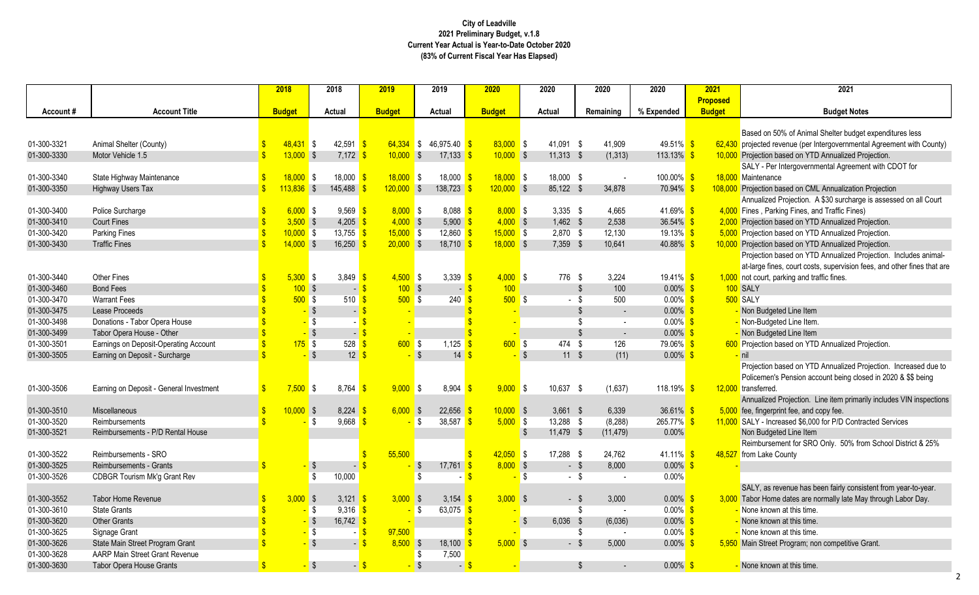50% of Animal Shelter budget expenditures less

revenue (per Intergovernmental Agreement with County)

based on YTD Annualized Projection.

er Intergovernmental Agreement with CDOT for nce

**based on CML Annualization Projection** 

d Projection. A \$30 surcharge is assessed on all Court **Theral** Fines, and Traffic Fines)

based on YTD Annualized Projection.

**based on YTD Annualized Projection.** 

**based on YTD Annualized Projection.** 

Projection based on YTD Annualized Projection. Includes animalnes, court costs, supervision fees, and other fines that are parking and traffic fines.

based on YTD Annualized Projection.

n based on YTD Annualized Projection. Increased due to n's Pension account being closed in 2020 & \$\$ being

d Projection. Line item primarily includes VIN inspections rprint fee, and copy fee.

creased \$6,000 for P/D Contracted Services

ement for SRO Only. 50% from School District & 25% **County** 

revenue has been fairly consistent from year-to-year.

me dates are normally late May through Labor Day.

et Program; non competitive Grant.

|             |                                         | 2018          |                         | 2018                       | 2019               |                         | 2019                     | 2020                   |            | 2020          |                           | 2020           | 2020          | 2021            | 2021                                        |
|-------------|-----------------------------------------|---------------|-------------------------|----------------------------|--------------------|-------------------------|--------------------------|------------------------|------------|---------------|---------------------------|----------------|---------------|-----------------|---------------------------------------------|
|             |                                         |               |                         |                            |                    |                         |                          |                        |            |               |                           |                |               | <b>Proposed</b> |                                             |
| Account#    | <b>Account Title</b>                    | <b>Budget</b> |                         | Actual                     | <b>Budget</b>      |                         | <b>Actual</b>            | <b>Budget</b>          |            | Actual        |                           | Remaining      | % Expended    | <b>Budget</b>   | <b>Budget N</b>                             |
|             |                                         |               |                         |                            |                    |                         |                          |                        |            |               |                           |                |               |                 |                                             |
|             |                                         |               |                         |                            |                    |                         |                          |                        |            |               |                           |                |               |                 | Based on 50% of Animal Shelter bu           |
| 01-300-3321 | Animal Shelter (County)                 | $48,431$ \$   |                         | 42,591 \$                  | $64,334$ \$        |                         | 46,975.40 \$             | $83,000$ \$            |            | 41,091 \$     |                           | 41,909         | 49.51% \$     |                 | 62,430 projected revenue (per Intergovernm  |
| 01-300-3330 | Motor Vehicle 1.5                       | $13,000$ \$   |                         | $7,172$ \$                 | $10,000$ \$        |                         | 17,133                   | $10,000$ \$            |            | $11,313$ \$   |                           | (1, 313)       | 113.13% \$    |                 | 10,000 Projection based on YTD Annualize    |
|             |                                         |               |                         |                            |                    |                         |                          |                        |            |               |                           |                |               |                 | SALY - Per Intergovernmental Agree          |
| 01-300-3340 | State Highway Maintenance               | $18,000$ \$   |                         | 18,000 \$                  | $18,000$ \$        |                         | $18,000$ \$              | $18,000$ \$            |            | 18,000 \$     |                           |                | $100.00\%$ \$ |                 | 18,000 Maintenance                          |
| 01-300-3350 | <b>Highway Users Tax</b>                | $113,836$ \$  |                         | 145,488                    | $120,000$ \$       |                         | 138,723                  | $120,000$ \$           |            | 85,122 \$     |                           | 34,878         | $70.94\%$ \$  |                 | 108,000 Projection based on CML Annualiza   |
|             |                                         |               |                         |                            |                    |                         |                          |                        |            |               |                           |                |               |                 | Annualized Projection. A \$30 surcha        |
| 01-300-3400 | Police Surcharge                        | $6,000$ \$    |                         | $9,569$ \$                 | $8,000$ \$         |                         | $8,088$ $\sqrt{$}$       | $8,000$ \$             |            | $3,335$ \$    |                           | 4,665          | 41.69% \$     |                 | 4,000 Fines, Parking Fines, and Traffic Fi  |
| 01-300-3410 | <b>Court Fines</b>                      | $3,500$ \$    |                         | $4,205$ \$                 | $4,000$ \$         |                         | $5,900$ \$               | $4,000$ \$             |            | $1,462$ \$    |                           | 2,538          | 36.54% \$     |                 | 2,000 Projection based on YTD Annualize     |
| 01-300-3420 | Parking Fines                           | $10,000$ \$   |                         | $13,755$ \$                | $15,000$ \$        |                         | 12,860 \$                | $15,000$ \$            |            | 2,870 \$      |                           | 12,130         | 19.13% \$     |                 | 5,000 Projection based on YTD Annualize     |
| 01-300-3430 | <b>Traffic Fines</b>                    | $14,000$ \$   |                         | 16,250 \$                  | $20,000$ \$        |                         | $18,710$ \$              | $18,000$ \$            |            | 7,359 \$      |                           | 10,641         | 40.88% \$     |                 | 10,000 Projection based on YTD Annualize    |
|             |                                         |               |                         |                            |                    |                         |                          |                        |            |               |                           |                |               |                 | Projection based on YTD Annualized          |
|             |                                         |               |                         |                            |                    |                         |                          |                        |            |               |                           |                |               |                 | at-large fines, court costs, supervisid     |
| 01-300-3440 | Other Fines                             | $5,300$ \$    |                         | 3,849 $\frac{1}{5}$        | $4,500$ \$         |                         | 3,339 $\frac{1}{5}$      | $4,000$ \$             |            | 776 \$        |                           | 3,224          | $19.41\%$ \$  |                 | 1,000 not court, parking and traffic fines. |
| 01-300-3460 | <b>Bond Fees</b>                        |               | $100$ \$                | $-$ \$                     | $100$ \$           |                         | - \$                     | 100                    |            |               | $\boldsymbol{\mathsf{S}}$ | 100            | $0.00\%$ \$   |                 | 100 SALY                                    |
| 01-300-3470 | <b>Warrant Fees</b>                     |               | $500$ \$                | 510 <sup>o</sup>           | $500$ \$           |                         | $240 \frac{\pi}{3}$      | $500$ \$               |            |               | - \$                      | 500            | $0.00\%$ \$   |                 | 500 SALY                                    |
| 01-300-3475 | Lease Proceeds                          |               | ∣\$                     |                            |                    |                         |                          |                        |            |               | - \$                      | $\blacksquare$ | $0.00\%$ \$   |                 | Non Budgeted Line Item                      |
| 01-300-3498 | Donations - Tabor Opera House           |               | \$                      |                            |                    |                         |                          |                        |            |               |                           | $\blacksquare$ | $0.00\%$ \$   |                 | - Non-Budgeted Line Item.                   |
| 01-300-3499 | Tabor Opera House - Other               |               | 5                       | $-$ \$                     |                    |                         |                          |                        |            |               | Ŝ.                        | $\sim$         | $0.00\%$ \$   |                 | Non Budgeted Line Item                      |
| 01-300-3501 | Earnings on Deposit-Operating Account   |               | $175$ \$                | $528$ $\sqrt{\frac{6}{5}}$ | $600$ \$           |                         | 1,125                    | 600S                   |            | 474           | -\$                       | 126            | 79.06% \$     |                 | 600 Projection based on YTD Annualize       |
| 01-300-3505 | Earning on Deposit - Surcharge          |               | $\sqrt{3}$              | $12 \overline{\text{S}}$   |                    | $\sqrt{S}$              | $14 \overline{\text{S}}$ |                        | $\sqrt{3}$ | $11 \quad$ \$ |                           | (11)           | $0.00\%$ \$   |                 | nil                                         |
|             |                                         |               |                         |                            |                    |                         |                          |                        |            |               |                           |                |               |                 | Projection based on YTD Annualized          |
|             |                                         |               |                         |                            |                    |                         |                          |                        |            |               |                           |                |               |                 | Policemen's Pension account being           |
| 01-300-3506 | Earning on Deposit - General Investment | $7,500$ \$    |                         | 8,764                      | $9,000$ \$<br>l \$ |                         | 8,904                    | $9,000$ \$<br><b>S</b> |            | 10,637 \$     |                           | (1,637)        | 118.19% \$    |                 | 12,000 transferred.                         |
|             |                                         |               |                         |                            |                    |                         |                          |                        |            |               |                           |                |               |                 | Annualized Projection. Line item pri        |
| 01-300-3510 | Miscellaneous                           | $10,000$ \$   |                         | 8,224                      | $6,000$ \$         |                         | $22,656$ \$              | $10,000$ \$            |            | $3,661$ \$    |                           | 6,339          | 36.61% \$     |                 | 5,000 fee, fingerprint fee, and copy fee.   |
| 01-300-3520 | Reimbursements                          |               | \$                      | $9,668$ \$                 |                    | <b>\$</b>               | $38,587$ \$              | $5,000$ \$             |            | 13,288 \$     |                           | (8, 288)       | $265.77\%$ \$ |                 | 11,000 SALY - Increased \$6,000 for P/D Co  |
| 01-300-3521 | Reimbursements - P/D Rental House       |               |                         |                            |                    |                         |                          |                        | -S         | 11,479 \$     |                           | (11, 479)      | 0.00%         |                 | Non Budgeted Line Item                      |
|             |                                         |               |                         |                            |                    |                         |                          |                        |            |               |                           |                |               |                 | Reimbursement for SRO Only. 50%             |
| 01-300-3522 | Reimbursements - SRO                    |               |                         |                            | 55,500             |                         |                          | $42,050$ \$            |            | 17,288 \$     |                           | 24,762         | $41.11\%$ \$  | 48,527          | from Lake County                            |
| 01-300-3525 | Reimbursements - Grants                 |               | $-$ \$                  |                            |                    | \$                      | 17,761                   | $8,000$ \$<br>\$.      |            |               | - \$                      | 8,000          | $0.00\%$ \$   |                 |                                             |
| 01-300-3526 | <b>CDBGR Tourism Mk'g Grant Rev</b>     |               | \$                      | 10,000                     |                    | $\sqrt[6]{\frac{1}{2}}$ |                          |                        | $\sqrt{3}$ | $\sim$        | \$                        |                | 0.00%         |                 |                                             |
|             |                                         |               |                         |                            |                    |                         |                          |                        |            |               |                           |                |               |                 | SALY, as revenue has been fairly co         |
| 01-300-3552 | Tabor Home Revenue                      | $3,000$ \$    |                         | $3,121$ \$                 | $3,000$ \$         |                         | 3,154 $\frac{\ }{5}$     | $3,000$ \$             |            |               | $-$ \$                    | 3,000          | $0.00\%$ \$   |                 | 3,000 Tabor Home dates are normally late    |
| 01-300-3610 | <b>State Grants</b>                     |               | \$                      | $9,316$ \$                 |                    | - \$                    | 63,075 \$                |                        |            |               | S                         |                | $0.00\%$ \$   |                 | None known at this time.                    |
| 01-300-3620 | <b>Other Grants</b>                     |               | - \$                    | 16,742 $\frac{\ }{\ }$     |                    |                         |                          |                        | $\sqrt{ }$ | $6,036$ \$    |                           | (6,036)        | $0.00\%$ \$   |                 | None known at this time.                    |
| 01-300-3625 | Signage Grant                           |               | \$                      | - <mark>\$</mark>          | 97,500             |                         |                          |                        |            |               | Ŝ.                        |                | $0.00\%$ \$   |                 | None known at this time.                    |
| 01-300-3626 | State Main Street Program Grant         |               | $\sqrt[6]{\frac{1}{2}}$ | $-$ \$                     | $8,500$ \$         |                         | 18,100                   | $5,000$ \$             |            |               | $-$ \$                    | 5,000          | $0.00\%$ \$   |                 | 5,950 Main Street Program; non competitiv   |
| 01-300-3628 | AARP Main Street Grant Revenue          |               |                         |                            |                    | - \$                    | 7,500                    |                        |            |               |                           |                |               |                 |                                             |
| 01-300-3630 | <b>Tabor Opera House Grants</b>         |               | $-$ \$                  | $-$ \$                     |                    | $\sqrt[6]{\frac{1}{2}}$ |                          | $-$ \$                 |            |               | $\frac{3}{2}$             | $\sim$         | $0.00\%$ \$   |                 | None known at this time.                    |
|             |                                         |               |                         |                            |                    |                         |                          |                        |            |               |                           |                |               |                 |                                             |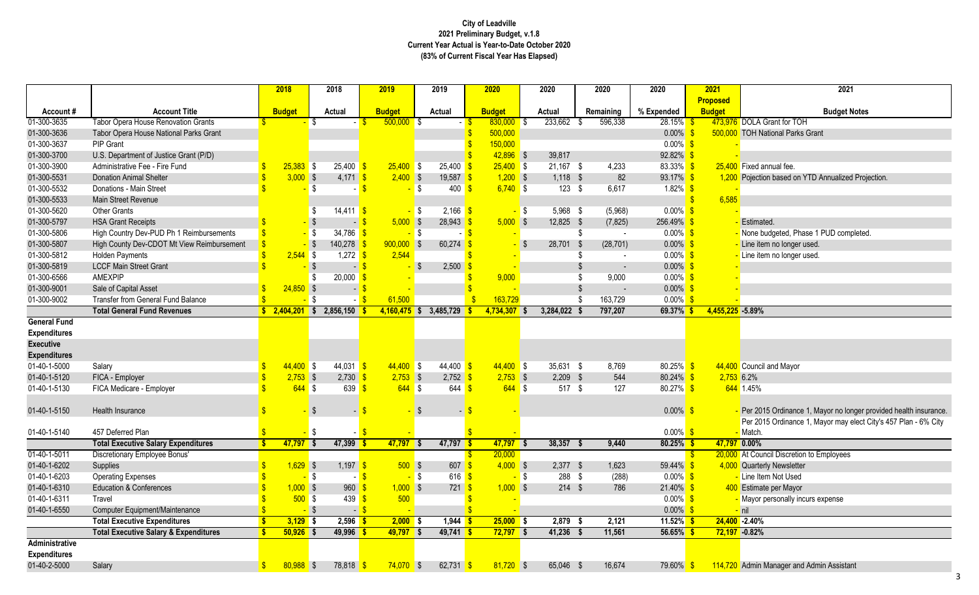# **City of Leadville 2021 Preliminary Budget, v.1.8 Current Year Actual is Year-to-Date October 2020 (83% of Current Fiscal Year Has Elapsed)**

| 2021             | 2021                                                               |
|------------------|--------------------------------------------------------------------|
| Proposed         |                                                                    |
| <b>Budget</b>    | <b>Budget Notes</b>                                                |
|                  | 473,976 DOLA Grant for TOH                                         |
|                  | 500,000 TOH National Parks Grant                                   |
|                  |                                                                    |
|                  | 25,400 Fixed annual fee.                                           |
|                  |                                                                    |
|                  | 1,200 Pojection based on YTD Annualized Projection.                |
| 6,585            |                                                                    |
|                  |                                                                    |
|                  | - Estimated.                                                       |
|                  | None budgeted, Phase 1 PUD completed.                              |
|                  | Line item no longer used.                                          |
|                  | - Line item no longer used.                                        |
|                  |                                                                    |
|                  |                                                                    |
|                  |                                                                    |
|                  |                                                                    |
| 4,455,225 -5.89% |                                                                    |
|                  |                                                                    |
|                  |                                                                    |
|                  |                                                                    |
|                  | 44,400 Council and Mayor                                           |
| $2,753$ 6.2%     |                                                                    |
|                  | 644 1.45%                                                          |
|                  |                                                                    |
|                  | - Per 2015 Ordinance 1, Mayor no longer provided health insurance. |
|                  | Per 2015 Ordinance 1, Mayor may elect City's 457 Plan - 6% City    |
|                  | - Match.                                                           |
| 47,797 0.00%     |                                                                    |

|                       |                                                  |                    | 2018          | 2018                                      | 2019              |          | 2019                            | 2020          |      | 2020          | 2020      |           | 2020                  | 2021             | 2021                                                            |
|-----------------------|--------------------------------------------------|--------------------|---------------|-------------------------------------------|-------------------|----------|---------------------------------|---------------|------|---------------|-----------|-----------|-----------------------|------------------|-----------------------------------------------------------------|
|                       |                                                  |                    |               |                                           |                   |          |                                 |               |      |               |           |           |                       | <b>Proposed</b>  |                                                                 |
| Account#              | <b>Account Title</b>                             |                    | <b>Budget</b> | <b>Actual</b>                             | <b>Budget</b>     |          | <b>Actual</b>                   | <b>Budget</b> |      | <b>Actual</b> | Remaining |           | % Expended            | <b>Budget</b>    | <b>Budget Notes</b>                                             |
| 01-300-3635           | <b>Tabor Opera House Renovation Grants</b>       |                    |               |                                           | $500,000$ \$      |          |                                 | $830,000$ \$  |      | 233,662       | - \$      | 596,338   | 28.15%                |                  | 473,976 DOLA Grant for TOH                                      |
| 01-300-3636           | Tabor Opera House National Parks Grant           |                    |               |                                           |                   |          |                                 | 500,000       |      |               |           |           | $0.00\%$              |                  | 500,000 TOH National Parks Grant                                |
| 01-300-3637           | <b>PIP Grant</b>                                 |                    |               |                                           |                   |          |                                 | 150,000       |      |               |           |           | $0.00\%$              |                  |                                                                 |
| 01-300-3700           | U.S. Department of Justice Grant (P/D)           |                    |               |                                           |                   |          |                                 | $42,896$ \$   |      | 39,817        |           |           | 92.82%                |                  |                                                                 |
| 01-300-3900           | Administrative Fee - Fire Fund                   |                    | $25,383$ \$   | $25,400$ \$                               | $25,400$ \$       |          | 25,400                          | $25,400$ \$   |      | $21,167$ \$   |           | 4,233     | 83.33%                |                  | 25,400 Fixed annual fee.                                        |
| 01-300-5531           | <b>Donation Animal Shelter</b>                   |                    | $3,000$ \$    | $4,171$ \$                                | $2,400$ \$        |          | 19,587                          | $1,200$ \$    |      | $1,118$ \$    |           | 82        | 93.17%                |                  | 1,200 Pojection based on YTD Annualized Projection.             |
| 01-300-5532           | Donations - Main Street                          |                    |               | -\$                                       |                   | IS.      | 400                             | $6,740$ \$    |      | $123$ \$      |           | 6,617     | $1.82\%$              |                  |                                                                 |
| 01-300-5533           | Main Street Revenue                              |                    |               |                                           |                   |          |                                 |               |      |               |           |           |                       | 6,585            |                                                                 |
| 01-300-5620           | <b>Other Grants</b>                              |                    |               | $14,411$ \$                               |                   |          | 2,166                           |               | S    | 5,968 \$      |           | (5,968)   | $0.00\%$              |                  |                                                                 |
| 01-300-5797           | <b>HSA Grant Receipts</b>                        |                    |               |                                           | $5,000$ \$<br>- 1 |          | $28,943$ \$                     | $5,000$ \$    |      | $12,825$ \$   |           | (7, 825)  | 256.49%               |                  | Estimated.                                                      |
| 01-300-5806           | High Country Dev-PUD Ph 1 Reimbursements         |                    |               | 34,786 \$<br><mark>-</mark> \$            |                   | <b>S</b> |                                 |               |      |               | S         |           | $0.00\%$ \$           |                  | None budgeted, Phase 1 PUD completed.                           |
| 01-300-5807           | High County Dev-CDOT Mt View Reimbursement       |                    |               | 140,278                                   | $900,000$ \$      |          | 60,274                          |               | - \$ | 28,701        | - \$      | (28, 701) | $0.00\%$              |                  | Line item no longer used.                                       |
| 01-300-5812           | <b>Holden Payments</b>                           |                    | $2,544$ \$    | $1,272$ \$                                | 2,544             |          |                                 |               |      |               |           |           | $0.00\%$              |                  | Line item no longer used.                                       |
| 01-300-5819           | <b>LCCF Main Street Grant</b>                    |                    |               |                                           | $\blacksquare$    |          | 2,500                           |               |      |               | \$        | $\sim$    | $0.00\%$              |                  |                                                                 |
| 01-300-6566           | <b>AMEXPIP</b>                                   |                    |               | 20,000                                    |                   |          |                                 | 9,000         |      |               | \$        | 9,000     | $0.00\%$              |                  |                                                                 |
| 01-300-9001           | Sale of Capital Asset                            |                    | 24,850        | $\sqrt{3}$                                | $\blacksquare$    |          |                                 |               |      |               | \$        | $\sim$    | $0.00\%$              |                  |                                                                 |
| 01-300-9002           | <b>Transfer from General Fund Balance</b>        |                    |               | -\$                                       | 61,500            |          |                                 | 163,729       |      |               |           | 163,729   | $0.00\%$              |                  |                                                                 |
|                       | <b>Total General Fund Revenues</b>               |                    |               | $\frac{1}{2}$ , 2,404,201 \$ 2,856,150 \$ | $4,160,475$ \$    |          | 3,485,729                       | 4,734,307 \$  |      | 3,284,022     |           | 797,207   | 69.37%                | 4,455,225 -5.89% |                                                                 |
| <b>General Fund</b>   |                                                  |                    |               |                                           |                   |          |                                 |               |      |               |           |           |                       |                  |                                                                 |
| <b>Expenditures</b>   |                                                  |                    |               |                                           |                   |          |                                 |               |      |               |           |           |                       |                  |                                                                 |
| <b>Executive</b>      |                                                  |                    |               |                                           |                   |          |                                 |               |      |               |           |           |                       |                  |                                                                 |
| <b>Expenditures</b>   |                                                  |                    |               |                                           |                   |          |                                 |               |      |               |           |           |                       |                  |                                                                 |
| 01-40-1-5000          | Salary                                           |                    | $44,400$ \$   | $44,031$ \$                               | $44,400$ \$       |          | 44,400                          | $44,400$ \$   |      | $35,631$ \$   |           | 8,769     | $80.25\%$ \$          |                  | 44,400 Council and Mayor                                        |
| 01-40-1-5120          | FICA - Employer                                  |                    | $2,753$ \$    | $2,730$ \$                                | $2,753$ \$        |          | $2,752$ \$                      | $2,753$ \$    |      | $2,209$ \$    |           | 544       | $80.24\%$ \$          | $2,753$ 6.2%     |                                                                 |
| 01-40-1-5130          | FICA Medicare - Employer                         |                    | $644$ \$      | 639                                       | $644$ \$          |          | 644                             | $644$ \$      |      | $517$ \$      |           | 127       | 80.27% \$             |                  | 644 1.45%                                                       |
|                       |                                                  |                    |               |                                           |                   |          |                                 |               |      |               |           |           |                       |                  |                                                                 |
| 01-40-1-5150          | Health Insurance                                 |                    |               | $\overline{\phantom{a}}$                  |                   |          |                                 |               |      |               |           |           | $0.00\%$              |                  | Per 2015 Ordinance 1, Mayor no longer provided health insurance |
|                       |                                                  |                    |               |                                           |                   |          |                                 |               |      |               |           |           |                       |                  | Per 2015 Ordinance 1, Mayor may elect City's 457 Plan - 6% City |
| 01-40-1-5140          | 457 Deferred Plan                                |                    |               |                                           |                   |          |                                 |               |      |               |           |           | $0.00\%$              |                  | <mark>-</mark> Match.                                           |
|                       | <b>Total Executive Salary Expenditures</b>       | $\mathbf{s}$       | $47,797$ \$   | 47,399 \$                                 | 47,797 \$         |          | 47,797                          | $47,797$ \$   |      | 38,357        |           | 9,440     | 80.25%                | 47,797 0.00%     |                                                                 |
| $01-40-1-5011$        | Discretionary Employee Bonus'                    |                    |               |                                           |                   |          |                                 | 20,000        |      |               |           |           |                       |                  | 20,000 At Council Discretion to Employees                       |
| 01-40-1-6202          | Supplies                                         | $\mathbf{\hat{s}}$ | 1,629         | 1,197                                     | $500$ \$          |          | $607 - $$                       | $4,000$ \$    |      | 2,377         | - \$      | 1,623     | 59.44%                |                  | 4,000 Quarterly Newsletter                                      |
| 01-40-1-6203          | <b>Operating Expenses</b>                        |                    |               | $-$ \$                                    | - <mark>\$</mark> | $-$ \$   | $616$ $\frac{\text{}}{\text{}}$ |               | - \$ | $288$ \$      |           | (288)     | $0.00\%$ \$           |                  | - Line Item Not Used                                            |
| 01-40-1-6310          | <b>Education &amp; Conferences</b>               |                    | $1,000$ \$    | $960 \frac{\text{S}}{\text{S}}$           | $1,000$ \$        |          | $721$ \$                        | $1,000$ \$    |      | $214$ \$      |           | 786       | 21.40%                |                  | 400 Estimate per Mayor                                          |
| 01-40-1-6311          | Travel                                           |                    | $500$ \$      | 439 $\frac{\ }{\ }$                       | 500               |          |                                 |               |      |               |           |           | $0.00\%$ \$           |                  | - Mayor personally incurs expense                               |
| 01-40-1-6550          | Computer Equipment/Maintenance                   |                    |               | - \$                                      | $-$ \$            |          |                                 |               |      |               |           |           | $0.00\%$              |                  | $-$ nil                                                         |
|                       | <b>Total Executive Expenditures</b>              |                    | $3,129$ \$    | $2,596$ \$                                | $2,000$ \$        |          | 1,944                           | $25,000$ \$   |      | 2,879 \$      |           | 2,121     | 11.52% <mark> </mark> |                  | $24,400 - 2.40%$                                                |
|                       | <b>Total Executive Salary &amp; Expenditures</b> |                    | $50,926$ \$   | $49,996$ \$                               | $49,797$ \$       |          | $49,741$ \$                     | $72,797$ \$   |      | $41,236$ \$   |           | 11,561    | 56.65%                |                  | $72,197 -0.82%$                                                 |
| <b>Administrative</b> |                                                  |                    |               |                                           |                   |          |                                 |               |      |               |           |           |                       |                  |                                                                 |
| <b>Expenditures</b>   |                                                  |                    |               |                                           |                   |          |                                 |               |      |               |           |           |                       |                  |                                                                 |
| 01-40-2-5000          | Salary                                           | S.                 | $80,988$ \$   | 78,818 \$                                 | $74,070$ \$       |          | 62,731 \$                       | $81,720$ \$   |      | 65,046 \$     |           | 16,674    | 79.60%                |                  | 114,720 Admin Manager and Admin Assistant                       |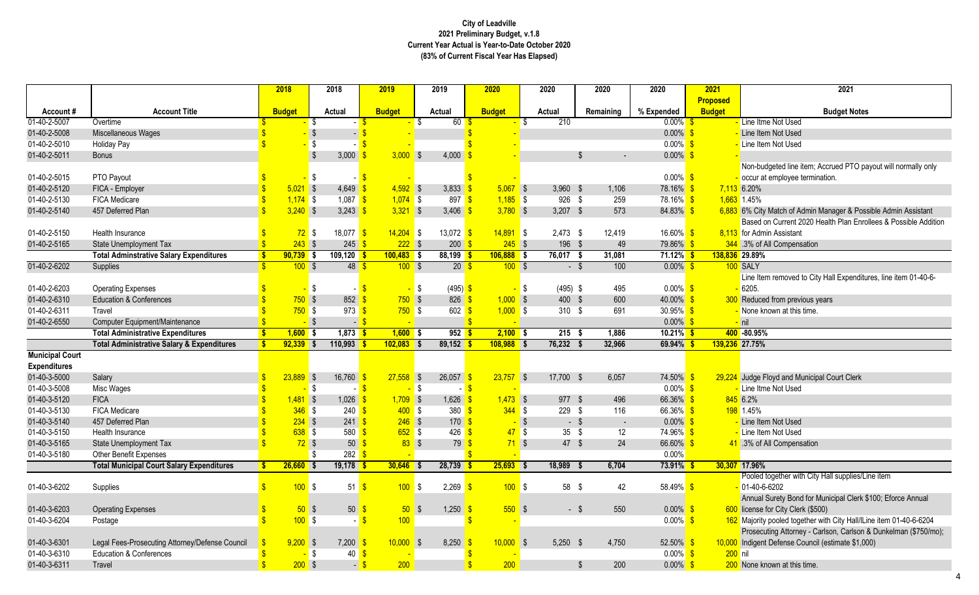lgeted line item; Accrued PTO payout will normally only employee termination.

Match of Admin Manager & Possible Admin Assistant n Current 2020 Health Plan Enrollees & Possible Addition n Assistant

1 removed to City Hall Expenditures, line item 01-40-6-

loyd and Municipal Court Clerk

ogether with City Hall supplies/Line item 6202 Surety Bond for Municipal Clerk \$100; Eforce Annual

pooled together with City Hall/lLine item 01-40-6-6204

ting Attorney - Carlson, Carlson & Dunkelman (\$750/mo); Defense Council (estimate \$1,000)

|                        |                                                       | 2018                              | 2018                                 | 2019            | 2019                 | 2020          | 2020              |               | 2020                     | 2020                | 2021            | 2021                                      |
|------------------------|-------------------------------------------------------|-----------------------------------|--------------------------------------|-----------------|----------------------|---------------|-------------------|---------------|--------------------------|---------------------|-----------------|-------------------------------------------|
|                        |                                                       |                                   |                                      |                 |                      |               |                   |               |                          |                     | <b>Proposed</b> |                                           |
| Account#               | <b>Account Title</b>                                  | <b>Budget</b>                     | <b>Actual</b>                        | <b>Budget</b>   | Actual               | <b>Budget</b> | <b>Actual</b>     |               | Remaining                | % Expended          | <b>Budget</b>   | <b>Budget N</b>                           |
| 01-40-2-5007           | Overtime                                              |                                   | - \$                                 |                 | 60                   |               | -S                | 210           |                          | $0.00\%$ \$         |                 | Line Itme Not Used                        |
| 01-40-2-5008           | Miscellaneous Wages                                   |                                   | $\sqrt[6]{\frac{1}{2}}$              |                 |                      |               |                   |               |                          | $0.00\%$ \$         |                 | Line Item Not Used                        |
| 01-40-2-5010           | <b>Holiday Pay</b>                                    |                                   | \$                                   |                 |                      |               |                   |               |                          | $0.00\%$ \$         |                 | Line Item Not Used                        |
| 01-40-2-5011           | <b>Bonus</b>                                          |                                   | 3,000 $\frac{1}{5}$                  | $3,000$ \$      | 4,000                |               |                   | \$            |                          | $0.00\%$ \$         |                 |                                           |
|                        |                                                       |                                   |                                      |                 |                      |               |                   |               |                          |                     |                 | Non-budgeted line item; Accrued PT        |
| 01-40-2-5015           | PTO Payout                                            |                                   | S.                                   |                 |                      |               |                   |               |                          | $0.00\%$ \$         |                 | occur at employee termination.            |
| 01-40-2-5120           | FICA - Employer                                       | $5,021$ \$                        | $4,649$ $\frac{9}{2}$                | $4,592$ \$      | 3,833                | $5,067$ \$    |                   | $3,960$ \$    | 1,106                    | 78.16% \$           |                 | 7,113 6.20%                               |
| 01-40-2-5130           | FICA Medicare                                         | $1,174$ \$                        | 1,087 $\sqrt{\$}$                    | $1,074$ \$      | 897                  | $1,185$ \$    |                   | 926 \$        | 259                      | 78.16% <sup>S</sup> |                 | $1,663$ 1.45%                             |
| 01-40-2-5140           | 457 Deferred Plan                                     | $3,240$ \$                        | 3,243 $\sqrt{s}$                     | $3,321$ \$      | 3,406                | $3,780$ \$    |                   | $3,207$ \$    | 573                      | 84.83% \$           |                 | 6,883 6% City Match of Admin Manager &    |
|                        |                                                       |                                   |                                      |                 |                      |               |                   |               |                          |                     |                 | Based on Current 2020 Health Plan         |
| 01-40-2-5150           | Health Insurance                                      | $72$ \$                           | 18,077 \$                            | $14,204$ \$     | 13,072 $\frac{\$}{}$ | $14,891$ \$   |                   | $2,473$ \$    | 12,419                   | $16.60\%$ \$        |                 | 8,113 for Admin Assistant                 |
| 01-40-2-5165           | <b>State Unemployment Tax</b>                         | $243$ \$                          | $245 \frac{\text{S}}{2}$             | $222$ \$        | $200 - $$            | $245$ \$      |                   | 196 \$        | 49                       | $79.86\%$ \$        |                 | 344 .3% of All Compensation               |
|                        | <b>Total Adminstrative Salary Expenditures</b>        | $\mathbf{\hat{s}}$<br>$90,739$ \$ | $109,120$ \$                         | $100,483$ \$    | $88,199$ \$          | $106,888$ \$  |                   | $76,017$ \$   | 31,081                   | $71.12\%$ \$        |                 | 138,836 29.89%                            |
| 01-40-2-6202           | Supplies                                              | 100S                              | 48 <sup>8</sup>                      | 100S            | $20\frac{1}{5}$      | 100S          |                   | $-$ \$        | 100                      | $0.00\%$ \$         |                 | 100 SALY                                  |
|                        |                                                       |                                   |                                      |                 |                      |               |                   |               |                          |                     |                 | Line Item removed to City Hall Expe       |
| 01-40-2-6203           | <b>Operating Expenses</b>                             |                                   | \$                                   |                 | $(495)$ \$<br>\$     |               | <mark>-</mark> \$ | $(495)$ \$    | 495                      | $0.00\%$ \$         |                 | 6205.                                     |
| 01-40-2-6310           | <b>Education &amp; Conferences</b>                    | 750S                              | $852 \frac{\$}$                      | $750$ \$        | $826$ \$             | $1,000$ \$    |                   | 400 \$        | 600                      | 40.00% \$           |                 | 300 Reduced from previous years           |
| 01-40-2-6311           | Travel                                                | $750$ \$                          | 973                                  | $750$ \$        | 602                  | $1,000$ \$    |                   | $310$ \$      | 691                      | $30.95\%$ \$        |                 | None known at this time.                  |
| 01-40-2-6550           | Computer Equipment/Maintenance                        |                                   | $\sqrt{3}$<br>$\blacksquare$         |                 |                      |               |                   |               |                          | $0.00\%$ \$         |                 | $-$ nil                                   |
|                        | <b>Total Administrative Expenditures</b>              | $\mathbf{\hat{s}}$<br>$1,600$ \$  | $1,873$ \$                           | $1,600$ \$      | $952$ \$             | $2,100$ \$    |                   | $215$ \$      | 1,886                    | $10.21\%$ \$        |                 | 400 -80.95%                               |
|                        | <b>Total Administrative Salary &amp; Expenditures</b> | Ŝ<br>$92,339$ \$                  | $110,993$ \$                         | $102,083$ \$    | $89,152$ \$          | $108,988$ \$  |                   | 76,232<br>- 5 | 32,966                   | $69.94\%$ \$        |                 | 139,236 27.75%                            |
| <b>Municipal Court</b> |                                                       |                                   |                                      |                 |                      |               |                   |               |                          |                     |                 |                                           |
| <b>Expenditures</b>    |                                                       |                                   |                                      |                 |                      |               |                   |               |                          |                     |                 |                                           |
| 01-40-3-5000           | Salary                                                | $23,889$ \$                       | 16,760                               | $27,558$ \$     | 26,057               | $23,757$ \$   |                   | 17,700 \$     | 6,057                    | $74.50\%$ \$        |                 | 29,224 Judge Floyd and Municipal Court Cl |
| 01-40-3-5008           | Misc Wages                                            |                                   | \$                                   |                 | l S                  |               |                   |               |                          | $0.00\%$ \$         |                 | Line Itme Not Used                        |
| 01-40-3-5120           | <b>FICA</b>                                           | $1,481$ \$                        | $1,026$ \$                           | $1,709$ \$      | 1,626                | $1,473$ \$    |                   | 977 \$        | 496                      | 66.36% \$           |                 | 845 6.2%                                  |
| 01-40-3-5130           | <b>FICA Medicare</b>                                  | $346$ \$                          | $240 \frac{\pi}{3}$                  | $400$ \$        | 380                  | $344$ \$      |                   | $229$ \$      | 116                      | 66.36% \$           |                 | 198 1.45%                                 |
| 01-40-3-5140           | 457 Deferred Plan                                     | $234$ \$                          | $241$ \$                             | $246$ \$        | $170$ \$             |               | $\sqrt{S}$        | - \$          | $\overline{\phantom{a}}$ | $0.00\%$ \$         |                 | Line Item Not Used                        |
| 01-40-3-5150           | Health Insurance                                      | $638$ \$                          | $580$ \$                             | $652$ \$        | 426                  | 47S           |                   | $35$ \$       | 12                       | 74.96% \$           |                 | Line Item Not Used                        |
| 01-40-3-5165           | State Unemployment Tax                                | $72$ \$                           | 50                                   | $83$ \$         | $79$ \$              | $71$ \$       |                   | 47 \$         | 24                       | 66.60% \$           |                 | 41 .3% of All Compensation                |
| 01-40-3-5180           | Other Benefit Expenses                                |                                   | 282<br>\$                            |                 |                      |               |                   |               |                          | 0.00%               |                 |                                           |
|                        | <b>Total Municipal Court Salary Expenditures</b>      | $26,660$ \$<br>¢                  | $19,178$ \$                          | $30,646$ \$     | 28,739               | $25,693$ \$   |                   | 18,989        | 6,704                    | $73.91\%$ \$        |                 | 30,307 17.96%                             |
|                        |                                                       |                                   |                                      |                 |                      |               |                   |               |                          |                     |                 | Pooled together with City Hall suppli     |
| 01-40-3-6202           | Supplies                                              | $100$ \$                          | 51                                   | $100$ \$<br>-\$ | $2,269$ \$           | $100$ \$      |                   | 58 \$         | 42                       | 58.49% \$           |                 | $01-40-6-6202$                            |
|                        |                                                       |                                   |                                      |                 |                      |               |                   |               |                          |                     |                 | Annual Surety Bond for Municipal C        |
| 01-40-3-6203           | <b>Operating Expenses</b>                             | $50°$ \$                          | $50 \frac{1}{5}$                     | $50$ \$         | $1,250$ \$           | $550$ \$      |                   | $-$ \$        | 550                      | $0.00\%$ \$         |                 | 600 license for City Clerk (\$500)        |
| 01-40-3-6204           | Postage                                               | $100$ \$                          |                                      | 100             |                      |               |                   |               |                          | $0.00\%$ \$         |                 | 162 Majority pooled together with City Ha |
|                        |                                                       |                                   |                                      |                 |                      |               |                   |               |                          |                     |                 | Prosecuting Attorney - Carlson, Carl      |
| 01-40-3-6301           | Legal Fees-Prosecuting Attorney/Defense Council       | $9,200$ \$                        | $7,200$ \$                           | $10,000$ \$     | $8,250$ \$           | $10,000$ \$   |                   | $5,250$ \$    | 4,750                    | 52.50% \$           |                 | 10,000 Indigent Defense Council (estimate |
| 01-40-3-6310           | <b>Education &amp; Conferences</b>                    |                                   | \$<br>$40 \frac{\text{S}}{\text{S}}$ |                 |                      |               |                   |               |                          | $0.00\%$ \$         |                 | 200 nil                                   |
| 01-40-3-6311           | Travel                                                | $200$ \$                          |                                      | 200<br>$-$ \$   |                      | 200           |                   | \$.           | 200                      | $0.00\%$ \$         |                 | 200 None known at this time.              |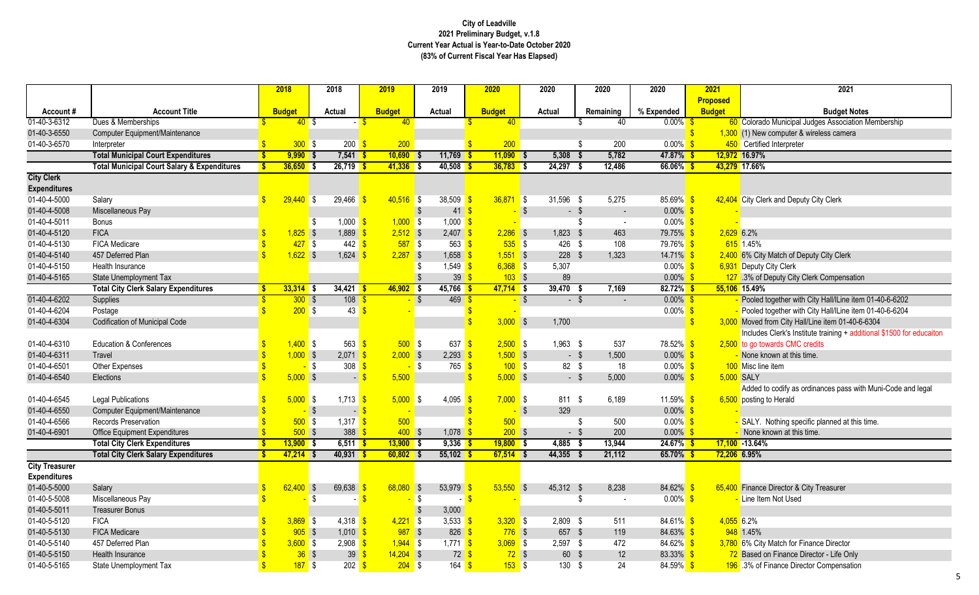10 Municipal Judges Association Membership v computer & wireless camera<br>ed Interpreter

Deputy City Clerk Compensation

together with City Hall/lLine item 01-40-6-6202 together with City Hall/lLine item 01-40-6-6204 from City Hall/Line item 01-40-6-6304 Includes Clerk's Institute training + additional \$1500 for educaiton

to codify as ordinances pass with Muni-Code and legal to Herald

Nothing specific planned at this time.

on Finance Director - Life Only Finance Director Compensation

|                       |                                                        |          | 2018          |                           | 2018                            | 2019          |             | 2019                     | 2020              |                          | 2020       |        | 2020                     | 2020                |                    | 2021            | 2021                                                |
|-----------------------|--------------------------------------------------------|----------|---------------|---------------------------|---------------------------------|---------------|-------------|--------------------------|-------------------|--------------------------|------------|--------|--------------------------|---------------------|--------------------|-----------------|-----------------------------------------------------|
|                       |                                                        |          |               |                           |                                 |               |             |                          |                   |                          |            |        |                          |                     |                    | <b>Proposed</b> |                                                     |
| Account#              | <b>Account Title</b>                                   |          | <b>Budget</b> |                           | <b>Actual</b>                   | <b>Budget</b> |             | <b>Actual</b>            | <b>Budget</b>     |                          | Actual     |        | Remaining                | % Expended          |                    | <b>Budget</b>   | <b>Budget N</b>                                     |
| 01-40-3-6312          | Dues & Memberships                                     |          | 40S           |                           |                                 |               | 40          |                          | 40 <sup>°</sup>   |                          |            |        | 40                       | $0.00\%$ \$         |                    |                 | 60 Colorado Municipal Judges Associat               |
| 01-40-3-6550          | Computer Equipment/Maintenance                         |          |               |                           |                                 |               |             |                          |                   |                          |            |        |                          |                     |                    |                 | 1,300 (1) New computer & wireless camera            |
| 01-40-3-6570          | Interpreter                                            |          | $300$ \$      |                           | $200 \frac{\text{S}}{\text{S}}$ |               | 200         |                          | 200               |                          |            |        | 200                      | $0.00\%$ \$         |                    |                 | 450 Certified Interpreter                           |
|                       | <b>Total Municipal Court Expenditures</b>              | <b>S</b> | $9,990$ \$    |                           | $7,541$ \$                      |               | $10,690$ \$ | 11,769 \$                | $11,090$ \$       |                          | 5,308      | -S     | 5,782                    | 47.87%              |                    |                 | 12,972 16.97%                                       |
|                       | <b>Total Municipal Court Salary &amp; Expenditures</b> |          | $36,650$ \$   |                           | $26,719$ \$                     |               | $41,336$ \$ | $40,508$ \$              | $36,783$ \$       |                          | 24,297     | \$     | 12,486                   | $66.06\%$ \$        |                    |                 | 43,279 17.66%                                       |
| <b>City Clerk</b>     |                                                        |          |               |                           |                                 |               |             |                          |                   |                          |            |        |                          |                     |                    |                 |                                                     |
| <b>Expenditures</b>   |                                                        |          |               |                           |                                 |               |             |                          |                   |                          |            |        |                          |                     |                    |                 |                                                     |
| 01-40-4-5000          | Salary                                                 |          | $29,440$ \$   |                           | 29,466                          |               | $40,516$ \$ | 38,509                   | $36,871$ \$       |                          | 31,596 \$  |        | 5,275                    | $85.69\%$ \$        |                    |                 | 42,404 City Clerk and Deputy City Clerk             |
| 01-40-4-5008          | Miscellaneous Pay                                      |          |               |                           |                                 |               |             | 41<br>- \$               |                   | $\sqrt{3}$               | $-$ \$     |        | $\overline{\phantom{a}}$ | $0.00\%$ \$         |                    |                 |                                                     |
| 01-40-4-5011          | <b>Bonus</b>                                           |          |               | S                         | $1,000$ \$                      |               | $1,000$ \$  | $1,000$ \$               |                   |                          |            |        | $\blacksquare$           | $0.00\%$ \$         |                    |                 |                                                     |
| 01-40-4-5120          | <b>FICA</b>                                            |          | $1,825$ \$    |                           | $1,889$ \$                      |               | $2,512$ \$  | 2,407                    | $2,286$ \$        |                          | $1,823$ \$ |        | 463                      | 79.75% \$           |                    | $2,629$ 6.2%    |                                                     |
| 01-40-4-5130          | FICA Medicare                                          |          | $427$ \$      |                           | 442 $\sqrt$                     |               | $587$ \$    | 563                      | $535$ \$          |                          | 426        | -\$    | 108                      | 79.76% \$           |                    |                 | 615 1.45%                                           |
| 01-40-4-5140          | 457 Deferred Plan                                      |          | $1,622$ \$    |                           | 1,624                           |               | $2,287$ \$  | 1,658                    | $1,551$ \$        |                          | $228$ \$   |        | 1,323                    | $14.71\%$ \$        |                    |                 | 2,400 6% City Match of Deputy City Clerk            |
| 01-40-4-5150          | Health Insurance                                       |          |               |                           |                                 |               |             | 1,549                    | $6,368$ \$        |                          | 5,307      |        |                          | $0.00\%$ \$         |                    |                 | 6,931 Deputy City Clerk                             |
| 01-40-4-5165          | <b>State Unemployment Tax</b>                          |          |               |                           |                                 |               |             | 39                       | $103$ \$          |                          | 89         |        |                          | $0.00\%$ \$         |                    |                 | 127 .3% of Deputy City Clerk Compensa               |
|                       | <b>Total City Clerk Salary Expenditures</b>            |          | $33,314$ \$   |                           | $34,421$ \$                     |               | $46,902$ \$ | $45,766$ \$              | $47,714$ \$       |                          | 39,470     |        | 7,169                    | $82.72\%$ \$        |                    |                 | 55,106 15.49%                                       |
| 01-40-4-6202          | Supplies                                               |          | 300S          |                           | $108$ $\sqrt{\frac{6}{5}}$      |               |             | $469$ \$<br><b>S</b>     |                   | $\overline{\phantom{a}}$ |            | $-$ \$ |                          | $0.00\%$ \$         |                    |                 | Pooled together with City Hall/ILine i              |
| 01-40-4-6204          | Postage                                                |          | $200$ \$      |                           | 43                              |               |             |                          |                   |                          |            |        |                          | $0.00\%$ \$         |                    |                 | Pooled together with City Hall/ILine i              |
| 01-40-4-6304          | <b>Codification of Municipal Code</b>                  |          |               |                           |                                 |               |             |                          | $3,000$ \$        |                          | 1,700      |        |                          |                     | $\mathbf{\hat{s}}$ |                 | 3,000 Moved from City Hall/Line item 01-4           |
|                       |                                                        |          |               |                           |                                 |               |             |                          |                   |                          |            |        |                          |                     |                    |                 | Includes Clerk's Institute training + $\varepsilon$ |
| 01-40-4-6310          | <b>Education &amp; Conferences</b>                     |          | $1,400$ \$    |                           | $563$ $\frac{\text{}}{\text{}}$ |               | $500$ \$    | 637                      | $2,500$ \$        |                          | $1,963$ \$ |        | 537                      | 78.52% <sup>S</sup> |                    |                 | 2,500 to go towards CMC credits                     |
| 01-40-4-6311          | Travel                                                 |          | $1,000$ \$    |                           | $2,071$ \$                      |               | $2,000$ \$  | 2,293                    | $1,500$ \$        |                          |            | - \$   | 1,500                    | $0.00\%$ \$         |                    |                 | None known at this time.                            |
| 01-40-4-6501          | Other Expenses                                         |          |               | \$                        | 308                             |               |             | \$<br>765                | $100$ \$          |                          | 82 \$      |        | 18                       | $0.00\%$ \$         |                    |                 | 100 Misc line item                                  |
| 01-40-4-6540          | Elections                                              |          | $5,000$ \$    |                           | $\blacksquare$                  |               | 5,500       |                          | $5,000$ \$        |                          |            | $-$ \$ | 5,000                    | $0.00\%$ \$         |                    |                 | 5,000 SALY                                          |
|                       |                                                        |          |               |                           |                                 |               |             |                          |                   |                          |            |        |                          |                     |                    |                 | Added to codify as ordinances pass                  |
| 01-40-4-6545          | <b>Legal Publications</b>                              |          | $5,000$ \$    |                           | $1,713$ \$                      |               | $5,000$ \$  | 4,095                    | $7,000$ \$        |                          | 811 \$     |        | 6,189                    | 11.59% \$           |                    |                 | 6,500 posting to Herald                             |
| 01-40-4-6550          | Computer Equipment/Maintenance                         |          |               | $\boldsymbol{\mathsf{S}}$ | - 5                             |               |             |                          |                   | -\$                      | 329        |        |                          | $0.00\%$ \$         |                    |                 |                                                     |
| 01-40-4-6566          | <b>Records Preservation</b>                            |          | $500$ \$      |                           | $1,317$ \$                      |               | 500         |                          | 500               |                          |            |        | 500                      | $0.00\%$ \$         |                    |                 | SALY. Nothing specific planned at t                 |
| 01-40-4-6901          | <b>Office Equipment Expenditures</b>                   |          | $500$ \$      |                           | 388 <sup>o</sup>                |               | $400$ \$    | 1,078                    | $200$ \$          |                          |            | - \$   | 200                      | $0.00\%$            |                    |                 | None known at this time.                            |
|                       | <b>Total City Clerk Expenditures</b>                   |          | $13,900$ \$   |                           | $6,511$ \$                      |               | $13,900$ \$ | $9,336$ \$               | $19,800$ \$       |                          | 4,885      | -\$    | 13,944                   | $24.67\%$ \$        |                    |                 | $17,100 - 13.64%$                                   |
|                       | <b>Total City Clerk Salary Expenditures</b>            | -\$      | $47,214$ \$   |                           | $40,931$ \$                     |               | $60,802$ \$ | $55,102$ \$              | $67,514$ \$       |                          | 44,355 \$  |        | 21,112                   | 65.70% \$           |                    | 72,206 6.95%    |                                                     |
| <b>City Treasurer</b> |                                                        |          |               |                           |                                 |               |             |                          |                   |                          |            |        |                          |                     |                    |                 |                                                     |
| <b>Expenditures</b>   |                                                        |          |               |                           |                                 |               |             |                          |                   |                          |            |        |                          |                     |                    |                 |                                                     |
| 01-40-5-5000          | Salary                                                 | \$       | $62,400$ \$   |                           | $69,638$ \$                     |               | $68,080$ \$ | 53,979 \$                | $53,550$ \$       |                          | 45,312 \$  |        | 8,238                    | 84.62% \$           |                    |                 | 65,400 Finance Director & City Treasurer            |
| 01-40-5-5008          | Miscellaneous Pay                                      |          |               | \$                        |                                 |               | - \$        |                          | - <mark>\$</mark> |                          |            | \$     | $\blacksquare$           | $0.00\%$ \$         |                    |                 | Line Item Not Used                                  |
| 01-40-5-5011          | <b>Treasurer Bonus</b>                                 |          |               |                           |                                 |               |             | 3,000                    |                   |                          |            |        |                          |                     |                    |                 |                                                     |
| 01-40-5-5120          | <b>FICA</b>                                            |          | $3,869$ \$    |                           | 4,318 $\frac{1}{5}$             |               | $4,221$ \$  | 3,533 $\frac{\$}{\$}$    | $3,320$ \$        |                          | $2,809$ \$ |        | 511                      | 84.61% \$           |                    | $4,055$ 6.2%    |                                                     |
| 01-40-5-5130          | <b>FICA Medicare</b>                                   |          | $905$ \$      |                           | $1,010$ \$                      |               | $987$ \$    | 826 $\frac{\epsilon}{2}$ | $776$ \$          |                          | 657 \$     |        | 119                      | $84.63\%$ \$        |                    |                 | 948 1.45%                                           |
| 01-40-5-5140          | 457 Deferred Plan                                      |          | $3,600$ \$    |                           | $2,908$ \$                      |               | $1,944$ \$  | 1,771 $\frac{\$}{\$}$    | $3,069$ \$        |                          | 2,597 \$   |        | 472                      | 84.62% \$           |                    |                 | 3,780 6% City Match for Finance Director            |
| 01-40-5-5150          | Health Insurance                                       |          | $36$ \$       |                           | $39 \frac{\text{S}}{\text{S}}$  |               | $14,204$ \$ | $72 \frac{1}{5}$         | $72$ \$           |                          | 60 \$      |        | 12                       | 83.33% \$           |                    |                 | 72 Based on Finance Director - Life On              |
| 01-40-5-5165          | State Unemployment Tax                                 |          | $187$ \$      |                           | $202 \frac{\pi}{3}$             |               | $204$ \$    | 164 <mark>\$</mark>      | $153$ \$          |                          | 130 \$     |        | 24                       | 84.59% \$           |                    |                 | 196 .3% of Finance Director Compensat               |
|                       |                                                        |          |               |                           |                                 |               |             |                          |                   |                          |            |        |                          |                     |                    |                 |                                                     |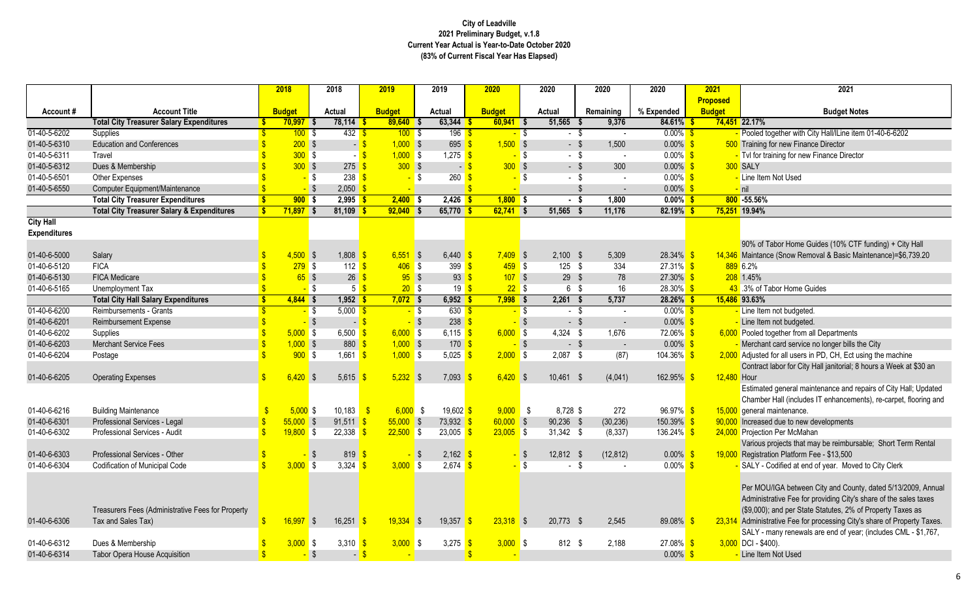together with City Hall/lLine item 01-40-6-6202

Fabor Home Guides (10% CTF funding) + City Hall ce (Snow Removal & Basic Maintenance)=\$6,739.20

- 
- 
- 
- nt card service no longer bills the City
- 1 for all users in PD, CH, Ect using the machine
- deretabor for City Hall janitorial; 8 hours a Week at \$30 an
- ed general maintenance and repairs of City Hall; Updated er Hall (includes IT enhancements), re-carpet, flooring and maintenance.
- 
- 
- projects that may be reimbursable; Short Term Rental
- tion Platform Fee \$13,500
- Codified at end of year. Moved to City Clerk
- J/IGA between City and County, dated 5/13/2009, Annual trative Fee for providing City's share of the sales taxes ; and per State Statutes, 2% of Property Taxes as trative Fee for processing City's share of Property Taxes. many renewals are end of year; (includes CML - \$1,767,  $100$ ).
- 

|                     |                                                       | 2018          |                   | 2018                     |        | 2019          |                          | 2019                  | 2020          |                   | 2020                 | 2020           | 2020                 | 2021            | 2021                                            |
|---------------------|-------------------------------------------------------|---------------|-------------------|--------------------------|--------|---------------|--------------------------|-----------------------|---------------|-------------------|----------------------|----------------|----------------------|-----------------|-------------------------------------------------|
|                     |                                                       |               |                   |                          |        |               |                          |                       |               |                   |                      |                |                      | <b>Proposed</b> |                                                 |
| Account#            | <b>Account Title</b>                                  | <b>Budget</b> |                   | <b>Actual</b>            |        | <b>Budget</b> |                          | <b>Actual</b>         | <b>Budget</b> |                   | <b>Actual</b>        | Remaining      | % Expended           | <b>Budget</b>   | <b>Budget Note</b>                              |
|                     | <b>Total City Treasurer Salary Expenditures</b>       | $70,997$ \$   |                   | $78,114$ \$              |        | $89,640$ \$   |                          | $63,344$ \$           | $60,941$ \$   |                   | 51,565               | 9,376          | 84.61%               |                 | 74,451 22.17%                                   |
| 01-40-5-6202        | Supplies                                              |               | $100$ \$          | $432$ \$                 |        | 100S          |                          | $196$ \$              |               | $-$ \$            | $-$ \$               |                | $0.00\%$ \$          |                 | Pooled together with City Hall/ILine iten       |
| 01-40-5-6310        | <b>Education and Conferences</b>                      |               | $200$ \$          | $\overline{\phantom{0}}$ |        | $1,000$ \$    |                          | 695                   | $1,500$ \$    |                   | $-$ \$               | 1,500          | $0.00\%$ \$          |                 | 500 Training for new Finance Director           |
| 01-40-5-6311        | Travel                                                |               | $300$ \$          |                          |        | $1,000$ \$    |                          | $1,275$ \$            |               | $-$ \$            | $-$ \$               |                | $0.00\%$ \$          |                 | - Tvl for training for new Finance Director     |
| 01-40-5-6312        | Dues & Membership                                     |               | 300S              | $275$ \$                 |        | 300S          |                          | - 1                   | $300$ \$      |                   | $-$ \$               | 300            | $0.00\%$ \$          |                 | 300 SALY                                        |
| 01-40-5-6501        | Other Expenses                                        |               | <mark>–</mark> \$ | 238                      |        |               | l S                      | 260                   |               | - \$              | - \$                 |                | $0.00\%$ \$          |                 | - Line Item Not Used                            |
| 01-40-5-6550        | Computer Equipment/Maintenance                        |               |                   | $2,050$ \$               |        |               |                          |                       |               |                   |                      |                | $0.00\%$ \$          |                 | $-$ nil                                         |
|                     | <b>Total City Treasurer Expenditures</b>              |               | $900$ \$          | $2,995$ \$               |        | $2,400$ \$    |                          | $2,426$ \$            | $1,800$ \$    |                   | $\overline{\cdot}$ s | 1,800          | $0.00\%$ \$          |                 | 800 -55.56%                                     |
|                     | <b>Total City Treasurer Salary &amp; Expenditures</b> | $71,897$ \$   |                   | $81,109$ \$              |        | $92,040$ \$   |                          | $65,770$ \$           | $62,741$ \$   |                   | 51,565               | 11,176<br>- \$ | $82.19\%$            |                 | 75,251 19.94%                                   |
| <b>City Hall</b>    |                                                       |               |                   |                          |        |               |                          |                       |               |                   |                      |                |                      |                 |                                                 |
| <b>Expenditures</b> |                                                       |               |                   |                          |        |               |                          |                       |               |                   |                      |                |                      |                 |                                                 |
|                     |                                                       |               |                   |                          |        |               |                          |                       |               |                   |                      |                |                      |                 | 90% of Tabor Home Guides (10% CTF               |
| 01-40-6-5000        | Salary                                                | $4,500$ \$    |                   | $1,808$ \$               |        | 6,551         | $\overline{\phantom{a}}$ | $6,440$ \$            | $7,409$ \$    |                   | $2,100$ \$           | 5,309          | $28.34\%$ \$         |                 | 14,346 Maintance (Snow Removal & Basic Ma       |
| 01-40-6-5120        | <b>FICA</b>                                           |               | $279$ \$          | 112 $\sqrt{s}$           |        | $406$ \$      |                          | 399 $\frac{1}{5}$     | $459$ \$      |                   | 125 $$$              | 334            | $27.31\%$ \$         |                 | 889 6.2%                                        |
| 01-40-6-5130        | <b>FICA Medicare</b>                                  |               | 65S               | $26 \frac{9}{5}$         |        | $95$ \$       |                          | 93                    | $107$ \$      |                   | $29$ \$              | 78             | $27.30\%$ \$         |                 | 208 1.45%                                       |
| 01-40-6-5165        | Unemployment Tax                                      |               | -\$               |                          |        | $20$ \$       |                          | $19$ $\sqrt{5}$       |               | $22$ \$           | 6 \$                 | 16             | $28.30\%$ \$         |                 | 43.3% of Tabor Home Guides                      |
|                     | <b>Total City Hall Salary Expenditures</b>            | $4,844$ \$    |                   | $1,952$ \$               |        | $7,072$ \$    |                          | $6,952$ \$            | $7,998$ \$    |                   | $2,261$ \$           | 5,737          | $28.26\%$ \$         |                 | 15,486 93.63%                                   |
| 01-40-6-6200        | Reimbursements - Grants                               |               | $-$ \$            | $5,000$ \$               |        |               | <mark>-</mark> \$        | 630 <sup>8</sup>      |               | <mark>-</mark> \$ | $-$ \$               |                | $0.00\%$ \$          |                 | - Line Item not budgeted.                       |
| 01-40-6-6201        | Reimbursement Expense                                 |               |                   | $\overline{\phantom{a}}$ |        |               | <b>S</b>                 | 238                   |               |                   | $-$ \$               |                | $0.00\%$ \$          |                 | Line Item not budgeted.                         |
| 01-40-6-6202        | Supplies                                              | $5,000$ \$    |                   | 6,500                    |        | $6,000$ \$    |                          | 6,115 \$              | $6,000$ \$    |                   | $4,324$ \$           | 1,676          | $72.06\%$ \$         |                 | 6,000 Pooled together from all Departments      |
| 01-40-6-6203        | <b>Merchant Service Fees</b>                          | $1,000$ \$    |                   | $880$ \$                 |        | $1,000$ \$    |                          | 170 <sup>o</sup>      |               | - \$              | $-$ \$               | $\sim$         | $0.00\%$ \$          |                 | Merchant card service no longer bills th        |
| 01-40-6-6204        | Postage                                               |               | $900$ \$          | $1,661$ \$               |        | $1,000$ \$    |                          | 5,025 \$              | $2,000$ \$    |                   | $2,087$ \$           | (87)           | 104.36% <sup>S</sup> |                 | 2,000 Adjusted for all users in PD, CH, Ect us  |
|                     |                                                       |               |                   |                          |        |               |                          |                       |               |                   |                      |                |                      |                 | Contract labor for City Hall janitorial; 8 l    |
| 01-40-6-6205        | <b>Operating Expenses</b>                             | $6,420$ \$    |                   | 5,615 \$                 |        | $5,232$ \$    |                          | 7,093                 | $6,420$ \$    |                   | $10,461$ \$          | (4,041)        | $162.95\%$ \$        | 12,480 Hour     |                                                 |
|                     |                                                       |               |                   |                          |        |               |                          |                       |               |                   |                      |                |                      |                 | Estimated general maintenance and rep           |
|                     |                                                       |               |                   |                          |        |               |                          |                       |               |                   |                      |                |                      |                 | Chamber Hall (includes IT enhancemer            |
| 01-40-6-6216        | <b>Building Maintenance</b>                           | $5,000$ \$    |                   | $10,183$ $\frac{6}{5}$   |        | $6,000$ \$    |                          | 19,602 <sup>S</sup>   | $9,000$ \$    |                   | 8,728 \$             | 272            | $96.97\%$ \$         |                 | 15,000 general maintenance.                     |
| 01-40-6-6301        | Professional Services - Legal                         | $55,000$ \$   |                   | $91,511$ \$              |        | $55,000$ \$   |                          | $73,932$ \$           | $60,000$ \$   |                   | $90,236$ \$          | (30, 236)      | $150.39\%$ \$        |                 | 90,000 Increased due to new developments        |
| 01-40-6-6302        | Professional Services - Audit                         | $19,800$ \$   |                   | $22,338$ \$              |        | $22,500$ \$   |                          | $23,005$ \$           | $23,005$ \$   |                   | $31,342$ \$          | (8, 337)       | 136.24% \$           |                 | 24,000 Projection Per McMahan                   |
|                     |                                                       |               |                   |                          |        |               |                          |                       |               |                   |                      |                |                      |                 | Various projects that may be reimbursa          |
| 01-40-6-6303        | Professional Services - Other                         |               |                   | $819$ \$                 |        |               |                          | $2,162$ \$            |               |                   | 12,812 \$            | (12, 812)      | $0.00\%$ \$          |                 | 19,000 Registration Platform Fee - \$13,500     |
| 01-40-6-6304        | Codification of Municipal Code                        | 3.000 S       |                   | $3.324$ \$               |        | 3.000 S       |                          | $2.674$ \$            |               | <mark>–</mark> \$ | - \$                 |                | $0.00\%$ \$          |                 | - SALY - Codified at end of year. Moved         |
|                     |                                                       |               |                   |                          |        |               |                          |                       |               |                   |                      |                |                      |                 |                                                 |
|                     |                                                       |               |                   |                          |        |               |                          |                       |               |                   |                      |                |                      |                 | Per MOU/IGA between City and County             |
|                     |                                                       |               |                   |                          |        |               |                          |                       |               |                   |                      |                |                      |                 | Administrative Fee for providing City's s       |
|                     | Treasurers Fees (Administrative Fees for Property     |               |                   |                          |        |               |                          |                       |               |                   |                      |                |                      |                 | (\$9,000); and per State Statutes, 2% of        |
| 01-40-6-6306        | Tax and Sales Tax)                                    | $16,997$ \$   |                   | 16,251 \$                |        | $19,334$ \$   |                          | 19,357 \$             | $23,318$ \$   |                   | 20,773 \$            | 2,545          | 89.08% \$            |                 | 23,314 Administrative Fee for processing City's |
|                     |                                                       |               |                   |                          |        |               |                          |                       |               |                   |                      |                |                      |                 | SALY - many renewals are end of year            |
| 01-40-6-6312        | Dues & Membership                                     | $3,000$ \$    |                   | 3,310 $\frac{\ }{5}$     |        | $3,000$ \$    |                          | 3,275 $\frac{\$}{\$}$ | $3,000$ \$    |                   | 812 \$               | 2,188          | $27.08\%$ \$         |                 | $3,000$ DCI - \$400).                           |
| 01-40-6-6314        | Tabor Opera House Acquisition                         |               | $-$ \$            |                          | $-$ \$ |               |                          |                       |               |                   |                      |                | $0.00\%$ \$          |                 | - Line Item Not Used                            |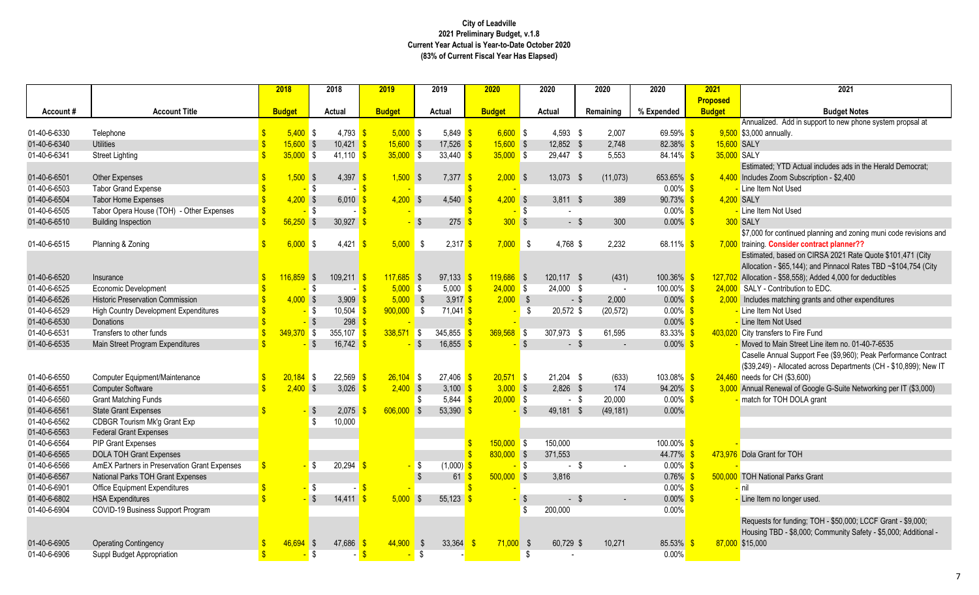ed. Add in support to new phone system propsal at nnually.

ed; YTD Actual includes ads in the Herald Democrat; Zoom Subscription - \$2,400<br>n Not Used

or continued planning and zoning muni code revisions and **Consider contract planner??** 

ed, based on CIRSA 2021 Rate Quote \$101,471 (City n - \$65,144); and Pinnacol Rates TBD ~\$104,754 (City n - \$58,558); Added 4,000 for deductibles s matching grants and other expenditures Main Street Line item no. 01-40-7-6535 Annual Support Fee (\$9,960); Peak Performance Contract (399) - Allocated across Departments (CH - \$10,899); New IT r CH (\$3,600) Renewal of Google G-Suite Networking per IT (\$3,000)

```
s for funding; TOH - $50,000; LCCF Grant - $9,000;
TBD - $8,000; Community Safety - $5,000; Additional -
```

|              |                                              | 2018          |      | 2018          | 2019          |                          | 2019                              | 2020          |                                        | 2020          |        | 2020           | 2020          |      | 2021            | 2021                                      |
|--------------|----------------------------------------------|---------------|------|---------------|---------------|--------------------------|-----------------------------------|---------------|----------------------------------------|---------------|--------|----------------|---------------|------|-----------------|-------------------------------------------|
|              |                                              |               |      |               |               |                          |                                   |               |                                        |               |        |                |               |      | <b>Proposed</b> |                                           |
| Account#     | <b>Account Title</b>                         | <b>Budget</b> |      | <b>Actual</b> | <b>Budget</b> |                          | <b>Actual</b>                     | <b>Budget</b> |                                        | <b>Actual</b> |        | Remaining      | % Expended    |      | <b>Budget</b>   | <b>Budget N</b>                           |
|              |                                              |               |      |               |               |                          |                                   |               |                                        |               |        |                |               |      |                 | Annualized. Add in support to new p       |
| 01-40-6-6330 | Telephone                                    | $5,400$ \$    |      | $4,793$ \$    | $5,000$ \$    |                          | 5,849 $\frac{\ }{5}$              | $6,600$ \$    |                                        | $4,593$ \$    |        | 2,007          | 69.59% \$     |      |                 | 9,500 \$3,000 annually.                   |
| 01-40-6-6340 | <b>Utilities</b>                             | $15,600$ \$   |      | $10,421$ \$   | $15,600$ \$   |                          | 17,526                            | $15,600$ \$   |                                        | 12,852 \$     |        | 2,748          | 82.38% \$     |      | 15,600 SALY     |                                           |
| 01-40-6-6341 | <b>Street Lighting</b>                       | $35,000$ \$   |      | $41,110$ \$   | $35,000$ \$   |                          | 33,440 $\frac{\ }{3}$             | $35,000$ \$   |                                        | 29,447 \$     |        | 5,553          | 84.14% \$     |      | 35,000 SALY     |                                           |
|              |                                              |               |      |               |               |                          |                                   |               |                                        |               |        |                |               |      |                 | Estimated; YTD Actual includes ads        |
| 01-40-6-6501 | <b>Other Expenses</b>                        | $1,500$ \$    |      | 4,397 \$      | $1,500$ \$    |                          | $7,377$ \$                        | $2,000$ \$    |                                        | 13,073 \$     |        | (11, 073)      | 653.65% \$    |      |                 | 4,400 Includes Zoom Subscription - \$2,40 |
| 01-40-6-6503 | <b>Tabor Grand Expense</b>                   |               | -\$  |               |               |                          |                                   |               |                                        |               |        |                | $0.00\%$ \$   |      |                 | - Line Item Not Used                      |
| 01-40-6-6504 | <b>Tabor Home Expenses</b>                   | $4,200$ \$    |      | 6,010         | $4,200$ \$    |                          | 4,540                             | $4,200$ \$    |                                        | $3,811$ \$    |        | 389            | $90.73\%$ \$  |      | 4,200 SALY      |                                           |
| 01-40-6-6505 | Tabor Opera House (TOH) - Other Expenses     |               | -\$  |               |               |                          |                                   |               | <b>S</b>                               |               |        |                | $0.00\%$ \$   |      |                 | - Line Item Not Used                      |
| 01-40-6-6510 | <b>Building Inspection</b>                   | $56,250$ \$   |      | 30,927        |               |                          | 275                               | $300$ \$      |                                        | - \$          |        | 300            | $0.00\%$ \$   |      |                 | 300 SALY                                  |
|              |                                              |               |      |               |               |                          |                                   |               |                                        |               |        |                |               |      |                 | \$7,000 for continued planning and z      |
| 01-40-6-6515 | Planning & Zoning                            | $6,000$ \$    |      | 4,421         | $5,000$ \$    |                          | $2,317$ \$                        | 7,000         | LS S                                   | 4,768 \$      |        | 2,232          | 68.11% \$     |      |                 | 7,000 training. Consider contract planne  |
|              |                                              |               |      |               |               |                          |                                   |               |                                        |               |        |                |               |      |                 | Estimated, based on CIRSA 2021 R          |
|              |                                              |               |      |               |               |                          |                                   |               |                                        |               |        |                |               |      |                 | Allocation - \$65,144); and Pinnacol I    |
| 01-40-6-6520 | Insurance                                    | $116,859$ \$  |      | $109,211$ \$  | $117,685$ \$  |                          | $97,133$ \$                       | $119,686$ \$  |                                        | 120,117 \$    |        | (431)          | $100.36\%$ \$ |      | 127,702         | Allocation - \$58,558); Added 4,000 f     |
| 01-40-6-6525 | Economic Development                         |               | - \$ |               | $5,000$ \$    |                          | $5,000$ \$                        | $24,000$ \$   |                                        | 24,000 \$     |        | $\sim$         | $100.00\%$ \$ |      |                 | 24,000 SALY - Contribution to EDC.        |
| 01-40-6-6526 | <b>Historic Preservation Commission</b>      | $4,000$ \$    |      | 3,909         | $5,000$ \$    |                          | 3,917 \$                          | 2,000         | $\begin{array}{c} \bullet \end{array}$ |               | $-$ \$ | 2,000          | $0.00\%$ \$   |      |                 | 2,000 Includes matching grants and other  |
| 01-40-6-6529 | <b>High Country Development Expenditures</b> |               | l\$  | 10,504        | 900,000       | LS S                     | $71,041$ \$                       |               | -S                                     | 20,572 \$     |        | (20, 572)      | $0.00\%$ \$   |      |                 | Line Item Not Used                        |
| 01-40-6-6530 | Donations                                    |               |      | 298           |               |                          |                                   |               |                                        |               |        |                | $0.00\%$ \$   |      |                 | Line Item Not Used                        |
| 01-40-6-6531 | Transfers to other funds                     | $349,370$ \$  |      | 355,107 \$    | $338,571$ \$  |                          | 345,855                           | 369,568       | <b>S</b>                               | 307,973 \$    |        | 61,595         | $83.33\%$ \$  |      |                 | 403,020 City transfers to Fire Fund       |
| 01-40-6-6535 | Main Street Program Expenditures             |               | -\$  | $16,742$ \$   |               | <mark>-</mark> \$        | 16,855                            |               | $\mathsf{S}$                           | $-$ \$        |        | $\sim$         | $0.00\%$ \$   |      |                 | Moved to Main Street Line item no.        |
|              |                                              |               |      |               |               |                          |                                   |               |                                        |               |        |                |               |      |                 | Caselle Annual Support Fee (\$9,960       |
|              |                                              |               |      |               |               |                          |                                   |               |                                        |               |        |                |               |      |                 | (\$39,249) - Allocated across Depart      |
| 01-40-6-6550 | Computer Equipment/Maintenance               | $20,184$ \$   |      | 22,569        | $26,104$ \$   |                          | 27,406                            | $20,571$ \$   |                                        | $21,204$ \$   |        | (633)          | $103.08\%$ \$ |      |                 | $24,460$ needs for CH (\$3,600)           |
| 01-40-6-6551 | <b>Computer Software</b>                     | $2,400$ \$    |      | 3,026         | $2,400$ \$    |                          | 3,100 $\frac{\text{S}}{\text{S}}$ | $3,000$ \$    |                                        | $2,826$ \$    |        | 174            | $94.20\%$ \$  |      |                 | 3,000 Annual Renewal of Google G-Suite    |
| 01-40-6-6560 | <b>Grant Matching Funds</b>                  |               |      |               |               |                          | 5,844                             | $20,000$ \$   |                                        | - \$          |        | 20,000         | $0.00\%$ \$   |      |                 | match for TOH DOLA grant                  |
| 01-40-6-6561 | <b>State Grant Expenses</b>                  |               |      | 2,075         | 606,000       | $\overline{\phantom{a}}$ | 53,390                            |               | -\$                                    | 49,181 \$     |        | (49, 181)      | 0.00%         |      |                 |                                           |
| 01-40-6-6562 | <b>CDBGR Tourism Mk'g Grant Exp</b>          |               |      | 10,000        |               |                          |                                   |               |                                        |               |        |                |               |      |                 |                                           |
| 01-40-6-6563 | <b>Federal Grant Expenses</b>                |               |      |               |               |                          |                                   |               |                                        |               |        |                |               |      |                 |                                           |
| 01-40-6-6564 | <b>PIP Grant Expenses</b>                    |               |      |               |               |                          |                                   | 150,000       | <b>S</b>                               | 150,000       |        |                | $100.00\%$ \$ |      |                 |                                           |
| 01-40-6-6565 | <b>DOLA TOH Grant Expenses</b>               |               |      |               |               |                          |                                   | 830,000       | $\sqrt$                                | 371,553       |        |                | 44.77%        |      |                 | 473,976 Dola Grant for TOH                |
| 01-40-6-6566 | AmEX Partners in Preservation Grant Expenses |               |      | $20.294$ \$   |               | <u>-</u> \$              | $(1,000)$ \$                      |               | \$                                     |               |        |                | $0.00\%$ \$   |      |                 |                                           |
| 01-40-6-6567 | National Parks TOH Grant Expenses            |               |      |               |               |                          | $61 \overline{\text{S}}$          | $500,000$ \$  |                                        | 3,816         |        |                | 0.76%         | - \$ |                 | 500,000 TOH National Parks Grant          |
| 01-40-6-6901 | Office Equipment Expenditures                |               | \$   |               |               |                          |                                   |               |                                        |               |        |                | $0.00\%$ \$   |      |                 | <mark>– </mark> nil                       |
| 01-40-6-6802 | <b>HSA Expenditures</b>                      |               |      | $14,411$ \$   | $5,000$ \$    |                          | $55,123$ $\frac{9}{2}$            |               |                                        | $-$ \$        |        | $\blacksquare$ | $0.00\%$ \$   |      |                 | Line Item no longer used.                 |
| 01-40-6-6904 | COVID-19 Business Support Program            |               |      |               |               |                          |                                   |               | - \$                                   | 200,000       |        |                | 0.00%         |      |                 |                                           |
|              |                                              |               |      |               |               |                          |                                   |               |                                        |               |        |                |               |      |                 | Requests for funding; TOH - \$50,00       |
|              |                                              |               |      |               |               |                          |                                   |               |                                        |               |        |                |               |      |                 | Housing TBD - \$8,000; Community          |
| 01-40-6-6905 | <b>Operating Contingency</b>                 | $46,694$ \$   |      | $47,686$ \$   | $44,900$ \$   |                          | 33,364 \$                         | 71,000        | \$                                     | 60,729 \$     |        | 10,271         | 85.53% \$     |      |                 | 87,000 \$15,000                           |
| 01-40-6-6906 | Suppl Budget Appropriation                   |               | \$   |               |               | $\triangleleft$ \$       |                                   |               | -\$                                    |               |        |                | $0.00\%$      |      |                 |                                           |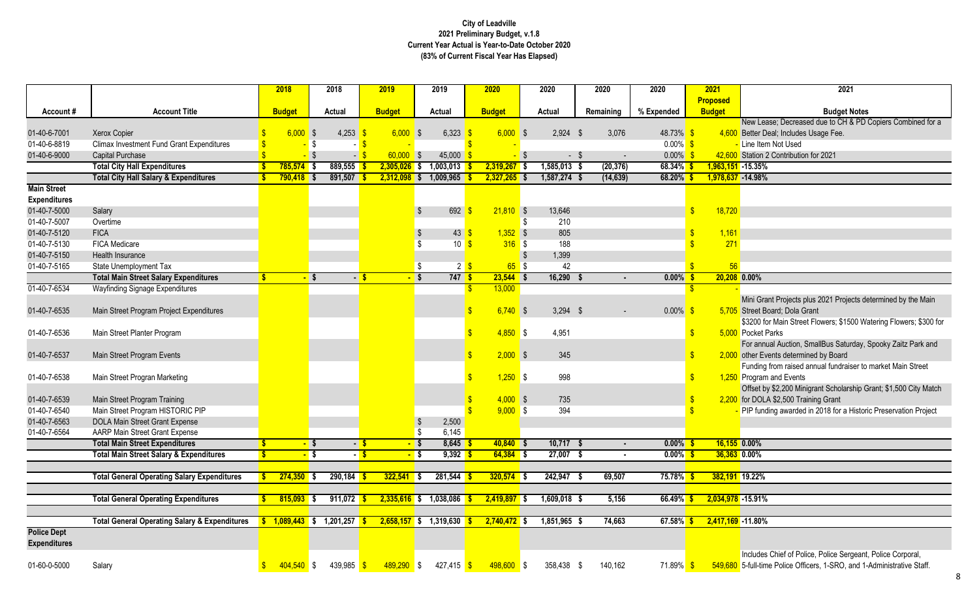ase; Decreased due to CH & PD Copiers Combined for a eal; Includes Usage Fee.

nt Projects plus 2021 Projects determined by the Main oard; Dola Grant

or Main Street Flowers; \$1500 Watering Flowers; \$300 for Parks

ual Auction, SmallBus Saturday, Spooky Zaitz Park and ents determined by Board

from raised annual fundraiser to market Main Street and Events

y \$2,200 Minigrant Scholarship Grant; \$1,500 City Match A \$2,500 Training Grant

ding awarded in 2018 for a Historic Preservation Project

Include Chief of Police, Police Sergeant, Police Corporal, ne Police Officers, 1-SRO, and 1-Administrative Staff.

| <b>Proposed</b><br><b>Account Title</b><br><b>Budget</b><br><b>Budget</b><br>Remaining<br>% Expended<br><b>Budget</b><br><b>Budget N</b><br>Account#<br><b>Budget</b><br><b>Actual</b><br><b>Actual</b><br><b>Actual</b><br>$6,000$ \$<br>$6,000$ \$<br>$6,000$ \$<br>48.73% \$<br>01-40-6-7001<br>$4,253$ \$<br>6,323<br>$2,924$ \$<br>4,600 Better Deal; Includes Usage Fee.<br><b>Xerox Copier</b><br>3,076<br>01-40-6-8819<br>$0.00\%$ \$<br><b>Climax Investment Fund Grant Expenditures</b><br>\$<br>- Line Item Not Used<br>01-40-6-9000<br>$60,000$ \$<br>$0.00\%$ \$<br>42,600 Station 2 Contribution for 2021<br>Capital Purchase<br>45,000<br>- \$<br><b>Total City Hall Expenditures</b><br>889,555<br>$2,305,026$ \$<br>1,003,013<br>$1,585,013$ \$<br>(20, 376)<br>$68.34\%$ \$<br>$1,963,151 - 15.35%$<br>785,574<br>$2,319,267$ \$<br>-\$<br><b>Total City Hall Salary &amp; Expenditures</b><br>$891,507$ \$<br>1,009,965<br>$2,327,265$ \$<br>$1,587,274$ \$<br>(14, 639)<br>$68.20\%$ \$<br>1,978,637 - 14.98%<br>$790,418$ \$<br>$2,312,098$ \$<br><b>Main Street</b><br><b>Expenditures</b><br>01-40-7-5000<br>692<br>$21,810$ \$<br>13,646<br>\$<br>18,720<br>Salary<br>01-40-7-5007<br>210<br>Overtime<br>805<br>1,161<br>01-40-7-5120<br><b>FICA</b><br>43<br>$1,352$ \$<br>$\frac{1}{2}$<br>271<br>01-40-7-5130<br>FICA Medicare<br>10<br>$316$ \$<br>188<br>01-40-7-5150<br>Health Insurance<br>1,399<br>01-40-7-5165<br>$65$ \$<br>42<br>56<br>$2 \sqrt$<br>State Unemployment Tax<br><b>Total Main Street Salary Expenditures</b><br>747S<br>16,290<br>20,208 0.00%<br>$23,544$ \$<br>$0.00\%$ \$<br><b>S</b><br>$-$ \$<br>$-$ \$<br>01-40-7-6534<br>13,000<br><b>Wayfinding Signage Expenditures</b><br>S<br>Mini Grant Projects plus 2021 Projed<br>$6,740$ \$<br>$3,294$ \$<br>$0.00\%$ \$<br>5,705 Street Board; Dola Grant<br>01-40-7-6535<br>Main Street Program Project Expenditures<br>$\qquad \qquad \blacksquare$<br>\$3200 for Main Street Flowers; \$150<br>$\mathbf{\$}$<br>$4,850$ \$<br>4,951<br>5,000 Pocket Parks<br>01-40-7-6536<br>Main Street Planter Program<br>$\boldsymbol{\mathsf{s}}$<br>For annual Auction, SmallBus Satur<br>$2,000$ \$<br>345<br>01-40-7-6537<br>Main Street Program Events<br>$\boldsymbol{\mathsf{s}}$<br>2,000 other Events determined by Board<br>$1,250$ \$<br>998<br>$\sqrt[6]{3}$<br>1,250 Program and Events<br>01-40-7-6538<br>Main Street Progran Marketing<br>Offset by \$2,200 Minigrant Scholars<br>Main Street Program Training<br>$4,000$ \$<br>735<br>2,200 for DOLA \$2,500 Training Grant<br>01-40-7-6539<br>$9,000$ \$<br>01-40-7-6540<br>Main Street Program HISTORIC PIP<br>394<br>PIP funding awarded in 2018 for a H<br>01-40-7-6563<br>DOLA Main Street Grant Expense<br>2,500<br>01-40-7-6564<br><b>AARP Main Street Grant Expense</b><br>6,145<br>Ŝ.<br><b>Total Main Street Expenditures</b><br>$40,840$ \$<br>10,717<br>$0.00\%$ \$<br>$16,155$ 0.00%<br>$8,645$ \$<br>$-$ \$<br>- \$<br>-S<br>S<br>$-5$<br>$\blacksquare$<br>$-$ \$<br><b>Total Main Street Salary &amp; Expenditures</b><br>$\mathbf{s}$<br>$-$ \$<br>$-$ \$<br>$9,392$ \$<br>$64,384$ \$<br>27,007<br>$0.00\%$ \$<br>36,363 0.00%<br>$\blacksquare$<br><b>Total General Operating Salary Expenditures</b><br>$322,541$ \$<br>69,507<br>$75.78\%$ \$<br>382,191 19.22%<br>$274,350$ \$<br>$290,184$ \$<br>281,544<br>$320,574$ \$<br>242,947 \$<br>-S<br><b>Total General Operating Expenditures</b><br>$815,093$ \$<br>911,072 \$<br>$2,335,616$ \$<br>1,038,086<br>$2,419,897$ \$<br>1,609,018 \$<br>5,156<br>66.49%<br>2,034,978 -15.91%<br><b>Total General Operating Salary &amp; Expenditures</b><br>1,201,257<br>1,319,630<br>74,663<br>$67.58\%$<br>2,417,169 -11.80%<br>$1,089,443$ \$<br>$2,658,157$ \$<br>$2,740,472$ \$<br>1,851,965 \$<br>Includes Chief of Police, Police Serg |                     |        |                           | 2018         | 2018 | 2019         | 2019       | 2020 | 2020 | 2020    | 2020 | 2021 | 2021 |
|--------------------------------------------------------------------------------------------------------------------------------------------------------------------------------------------------------------------------------------------------------------------------------------------------------------------------------------------------------------------------------------------------------------------------------------------------------------------------------------------------------------------------------------------------------------------------------------------------------------------------------------------------------------------------------------------------------------------------------------------------------------------------------------------------------------------------------------------------------------------------------------------------------------------------------------------------------------------------------------------------------------------------------------------------------------------------------------------------------------------------------------------------------------------------------------------------------------------------------------------------------------------------------------------------------------------------------------------------------------------------------------------------------------------------------------------------------------------------------------------------------------------------------------------------------------------------------------------------------------------------------------------------------------------------------------------------------------------------------------------------------------------------------------------------------------------------------------------------------------------------------------------------------------------------------------------------------------------------------------------------------------------------------------------------------------------------------------------------------------------------------------------------------------------------------------------------------------------------------------------------------------------------------------------------------------------------------------------------------------------------------------------------------------------------------------------------------------------------------------------------------------------------------------------------------------------------------------------------------------------------------------------------------------------------------------------------------------------------------------------------------------------------------------------------------------------------------------------------------------------------------------------------------------------------------------------------------------------------------------------------------------------------------------------------------------------------------------------------------------------------------------------------------------------------------------------------------------------------------------------------------------------------------------------------------------------------------------------------------------------------------------------------------------------------------------------------------------------------------------------------------------------------------------------------------------------------------------------------------------------------------------------------------------------------------------------------------------------------------------------------------------------------------------------------------------------------------------------------------------------|---------------------|--------|---------------------------|--------------|------|--------------|------------|------|------|---------|------|------|------|
| New Lease; Decreased due to CH 8<br>Funding from raised annual fundrais                                                                                                                                                                                                                                                                                                                                                                                                                                                                                                                                                                                                                                                                                                                                                                                                                                                                                                                                                                                                                                                                                                                                                                                                                                                                                                                                                                                                                                                                                                                                                                                                                                                                                                                                                                                                                                                                                                                                                                                                                                                                                                                                                                                                                                                                                                                                                                                                                                                                                                                                                                                                                                                                                                                                                                                                                                                                                                                                                                                                                                                                                                                                                                                                                                                                                                                                                                                                                                                                                                                                                                                                                                                                                                                                                                                            |                     |        |                           |              |      |              |            |      |      |         |      |      |      |
|                                                                                                                                                                                                                                                                                                                                                                                                                                                                                                                                                                                                                                                                                                                                                                                                                                                                                                                                                                                                                                                                                                                                                                                                                                                                                                                                                                                                                                                                                                                                                                                                                                                                                                                                                                                                                                                                                                                                                                                                                                                                                                                                                                                                                                                                                                                                                                                                                                                                                                                                                                                                                                                                                                                                                                                                                                                                                                                                                                                                                                                                                                                                                                                                                                                                                                                                                                                                                                                                                                                                                                                                                                                                                                                                                                                                                                                                    |                     |        |                           |              |      |              |            |      |      |         |      |      |      |
|                                                                                                                                                                                                                                                                                                                                                                                                                                                                                                                                                                                                                                                                                                                                                                                                                                                                                                                                                                                                                                                                                                                                                                                                                                                                                                                                                                                                                                                                                                                                                                                                                                                                                                                                                                                                                                                                                                                                                                                                                                                                                                                                                                                                                                                                                                                                                                                                                                                                                                                                                                                                                                                                                                                                                                                                                                                                                                                                                                                                                                                                                                                                                                                                                                                                                                                                                                                                                                                                                                                                                                                                                                                                                                                                                                                                                                                                    |                     |        |                           |              |      |              |            |      |      |         |      |      |      |
|                                                                                                                                                                                                                                                                                                                                                                                                                                                                                                                                                                                                                                                                                                                                                                                                                                                                                                                                                                                                                                                                                                                                                                                                                                                                                                                                                                                                                                                                                                                                                                                                                                                                                                                                                                                                                                                                                                                                                                                                                                                                                                                                                                                                                                                                                                                                                                                                                                                                                                                                                                                                                                                                                                                                                                                                                                                                                                                                                                                                                                                                                                                                                                                                                                                                                                                                                                                                                                                                                                                                                                                                                                                                                                                                                                                                                                                                    |                     |        |                           |              |      |              |            |      |      |         |      |      |      |
|                                                                                                                                                                                                                                                                                                                                                                                                                                                                                                                                                                                                                                                                                                                                                                                                                                                                                                                                                                                                                                                                                                                                                                                                                                                                                                                                                                                                                                                                                                                                                                                                                                                                                                                                                                                                                                                                                                                                                                                                                                                                                                                                                                                                                                                                                                                                                                                                                                                                                                                                                                                                                                                                                                                                                                                                                                                                                                                                                                                                                                                                                                                                                                                                                                                                                                                                                                                                                                                                                                                                                                                                                                                                                                                                                                                                                                                                    |                     |        |                           |              |      |              |            |      |      |         |      |      |      |
|                                                                                                                                                                                                                                                                                                                                                                                                                                                                                                                                                                                                                                                                                                                                                                                                                                                                                                                                                                                                                                                                                                                                                                                                                                                                                                                                                                                                                                                                                                                                                                                                                                                                                                                                                                                                                                                                                                                                                                                                                                                                                                                                                                                                                                                                                                                                                                                                                                                                                                                                                                                                                                                                                                                                                                                                                                                                                                                                                                                                                                                                                                                                                                                                                                                                                                                                                                                                                                                                                                                                                                                                                                                                                                                                                                                                                                                                    |                     |        |                           |              |      |              |            |      |      |         |      |      |      |
|                                                                                                                                                                                                                                                                                                                                                                                                                                                                                                                                                                                                                                                                                                                                                                                                                                                                                                                                                                                                                                                                                                                                                                                                                                                                                                                                                                                                                                                                                                                                                                                                                                                                                                                                                                                                                                                                                                                                                                                                                                                                                                                                                                                                                                                                                                                                                                                                                                                                                                                                                                                                                                                                                                                                                                                                                                                                                                                                                                                                                                                                                                                                                                                                                                                                                                                                                                                                                                                                                                                                                                                                                                                                                                                                                                                                                                                                    |                     |        |                           |              |      |              |            |      |      |         |      |      |      |
|                                                                                                                                                                                                                                                                                                                                                                                                                                                                                                                                                                                                                                                                                                                                                                                                                                                                                                                                                                                                                                                                                                                                                                                                                                                                                                                                                                                                                                                                                                                                                                                                                                                                                                                                                                                                                                                                                                                                                                                                                                                                                                                                                                                                                                                                                                                                                                                                                                                                                                                                                                                                                                                                                                                                                                                                                                                                                                                                                                                                                                                                                                                                                                                                                                                                                                                                                                                                                                                                                                                                                                                                                                                                                                                                                                                                                                                                    |                     |        |                           |              |      |              |            |      |      |         |      |      |      |
|                                                                                                                                                                                                                                                                                                                                                                                                                                                                                                                                                                                                                                                                                                                                                                                                                                                                                                                                                                                                                                                                                                                                                                                                                                                                                                                                                                                                                                                                                                                                                                                                                                                                                                                                                                                                                                                                                                                                                                                                                                                                                                                                                                                                                                                                                                                                                                                                                                                                                                                                                                                                                                                                                                                                                                                                                                                                                                                                                                                                                                                                                                                                                                                                                                                                                                                                                                                                                                                                                                                                                                                                                                                                                                                                                                                                                                                                    |                     |        |                           |              |      |              |            |      |      |         |      |      |      |
|                                                                                                                                                                                                                                                                                                                                                                                                                                                                                                                                                                                                                                                                                                                                                                                                                                                                                                                                                                                                                                                                                                                                                                                                                                                                                                                                                                                                                                                                                                                                                                                                                                                                                                                                                                                                                                                                                                                                                                                                                                                                                                                                                                                                                                                                                                                                                                                                                                                                                                                                                                                                                                                                                                                                                                                                                                                                                                                                                                                                                                                                                                                                                                                                                                                                                                                                                                                                                                                                                                                                                                                                                                                                                                                                                                                                                                                                    |                     |        |                           |              |      |              |            |      |      |         |      |      |      |
|                                                                                                                                                                                                                                                                                                                                                                                                                                                                                                                                                                                                                                                                                                                                                                                                                                                                                                                                                                                                                                                                                                                                                                                                                                                                                                                                                                                                                                                                                                                                                                                                                                                                                                                                                                                                                                                                                                                                                                                                                                                                                                                                                                                                                                                                                                                                                                                                                                                                                                                                                                                                                                                                                                                                                                                                                                                                                                                                                                                                                                                                                                                                                                                                                                                                                                                                                                                                                                                                                                                                                                                                                                                                                                                                                                                                                                                                    |                     |        |                           |              |      |              |            |      |      |         |      |      |      |
|                                                                                                                                                                                                                                                                                                                                                                                                                                                                                                                                                                                                                                                                                                                                                                                                                                                                                                                                                                                                                                                                                                                                                                                                                                                                                                                                                                                                                                                                                                                                                                                                                                                                                                                                                                                                                                                                                                                                                                                                                                                                                                                                                                                                                                                                                                                                                                                                                                                                                                                                                                                                                                                                                                                                                                                                                                                                                                                                                                                                                                                                                                                                                                                                                                                                                                                                                                                                                                                                                                                                                                                                                                                                                                                                                                                                                                                                    |                     |        |                           |              |      |              |            |      |      |         |      |      |      |
|                                                                                                                                                                                                                                                                                                                                                                                                                                                                                                                                                                                                                                                                                                                                                                                                                                                                                                                                                                                                                                                                                                                                                                                                                                                                                                                                                                                                                                                                                                                                                                                                                                                                                                                                                                                                                                                                                                                                                                                                                                                                                                                                                                                                                                                                                                                                                                                                                                                                                                                                                                                                                                                                                                                                                                                                                                                                                                                                                                                                                                                                                                                                                                                                                                                                                                                                                                                                                                                                                                                                                                                                                                                                                                                                                                                                                                                                    |                     |        |                           |              |      |              |            |      |      |         |      |      |      |
|                                                                                                                                                                                                                                                                                                                                                                                                                                                                                                                                                                                                                                                                                                                                                                                                                                                                                                                                                                                                                                                                                                                                                                                                                                                                                                                                                                                                                                                                                                                                                                                                                                                                                                                                                                                                                                                                                                                                                                                                                                                                                                                                                                                                                                                                                                                                                                                                                                                                                                                                                                                                                                                                                                                                                                                                                                                                                                                                                                                                                                                                                                                                                                                                                                                                                                                                                                                                                                                                                                                                                                                                                                                                                                                                                                                                                                                                    |                     |        |                           |              |      |              |            |      |      |         |      |      |      |
|                                                                                                                                                                                                                                                                                                                                                                                                                                                                                                                                                                                                                                                                                                                                                                                                                                                                                                                                                                                                                                                                                                                                                                                                                                                                                                                                                                                                                                                                                                                                                                                                                                                                                                                                                                                                                                                                                                                                                                                                                                                                                                                                                                                                                                                                                                                                                                                                                                                                                                                                                                                                                                                                                                                                                                                                                                                                                                                                                                                                                                                                                                                                                                                                                                                                                                                                                                                                                                                                                                                                                                                                                                                                                                                                                                                                                                                                    |                     |        |                           |              |      |              |            |      |      |         |      |      |      |
|                                                                                                                                                                                                                                                                                                                                                                                                                                                                                                                                                                                                                                                                                                                                                                                                                                                                                                                                                                                                                                                                                                                                                                                                                                                                                                                                                                                                                                                                                                                                                                                                                                                                                                                                                                                                                                                                                                                                                                                                                                                                                                                                                                                                                                                                                                                                                                                                                                                                                                                                                                                                                                                                                                                                                                                                                                                                                                                                                                                                                                                                                                                                                                                                                                                                                                                                                                                                                                                                                                                                                                                                                                                                                                                                                                                                                                                                    |                     |        |                           |              |      |              |            |      |      |         |      |      |      |
|                                                                                                                                                                                                                                                                                                                                                                                                                                                                                                                                                                                                                                                                                                                                                                                                                                                                                                                                                                                                                                                                                                                                                                                                                                                                                                                                                                                                                                                                                                                                                                                                                                                                                                                                                                                                                                                                                                                                                                                                                                                                                                                                                                                                                                                                                                                                                                                                                                                                                                                                                                                                                                                                                                                                                                                                                                                                                                                                                                                                                                                                                                                                                                                                                                                                                                                                                                                                                                                                                                                                                                                                                                                                                                                                                                                                                                                                    |                     |        |                           |              |      |              |            |      |      |         |      |      |      |
|                                                                                                                                                                                                                                                                                                                                                                                                                                                                                                                                                                                                                                                                                                                                                                                                                                                                                                                                                                                                                                                                                                                                                                                                                                                                                                                                                                                                                                                                                                                                                                                                                                                                                                                                                                                                                                                                                                                                                                                                                                                                                                                                                                                                                                                                                                                                                                                                                                                                                                                                                                                                                                                                                                                                                                                                                                                                                                                                                                                                                                                                                                                                                                                                                                                                                                                                                                                                                                                                                                                                                                                                                                                                                                                                                                                                                                                                    |                     |        |                           |              |      |              |            |      |      |         |      |      |      |
|                                                                                                                                                                                                                                                                                                                                                                                                                                                                                                                                                                                                                                                                                                                                                                                                                                                                                                                                                                                                                                                                                                                                                                                                                                                                                                                                                                                                                                                                                                                                                                                                                                                                                                                                                                                                                                                                                                                                                                                                                                                                                                                                                                                                                                                                                                                                                                                                                                                                                                                                                                                                                                                                                                                                                                                                                                                                                                                                                                                                                                                                                                                                                                                                                                                                                                                                                                                                                                                                                                                                                                                                                                                                                                                                                                                                                                                                    |                     |        |                           |              |      |              |            |      |      |         |      |      |      |
|                                                                                                                                                                                                                                                                                                                                                                                                                                                                                                                                                                                                                                                                                                                                                                                                                                                                                                                                                                                                                                                                                                                                                                                                                                                                                                                                                                                                                                                                                                                                                                                                                                                                                                                                                                                                                                                                                                                                                                                                                                                                                                                                                                                                                                                                                                                                                                                                                                                                                                                                                                                                                                                                                                                                                                                                                                                                                                                                                                                                                                                                                                                                                                                                                                                                                                                                                                                                                                                                                                                                                                                                                                                                                                                                                                                                                                                                    |                     |        |                           |              |      |              |            |      |      |         |      |      |      |
|                                                                                                                                                                                                                                                                                                                                                                                                                                                                                                                                                                                                                                                                                                                                                                                                                                                                                                                                                                                                                                                                                                                                                                                                                                                                                                                                                                                                                                                                                                                                                                                                                                                                                                                                                                                                                                                                                                                                                                                                                                                                                                                                                                                                                                                                                                                                                                                                                                                                                                                                                                                                                                                                                                                                                                                                                                                                                                                                                                                                                                                                                                                                                                                                                                                                                                                                                                                                                                                                                                                                                                                                                                                                                                                                                                                                                                                                    |                     |        |                           |              |      |              |            |      |      |         |      |      |      |
|                                                                                                                                                                                                                                                                                                                                                                                                                                                                                                                                                                                                                                                                                                                                                                                                                                                                                                                                                                                                                                                                                                                                                                                                                                                                                                                                                                                                                                                                                                                                                                                                                                                                                                                                                                                                                                                                                                                                                                                                                                                                                                                                                                                                                                                                                                                                                                                                                                                                                                                                                                                                                                                                                                                                                                                                                                                                                                                                                                                                                                                                                                                                                                                                                                                                                                                                                                                                                                                                                                                                                                                                                                                                                                                                                                                                                                                                    |                     |        |                           |              |      |              |            |      |      |         |      |      |      |
|                                                                                                                                                                                                                                                                                                                                                                                                                                                                                                                                                                                                                                                                                                                                                                                                                                                                                                                                                                                                                                                                                                                                                                                                                                                                                                                                                                                                                                                                                                                                                                                                                                                                                                                                                                                                                                                                                                                                                                                                                                                                                                                                                                                                                                                                                                                                                                                                                                                                                                                                                                                                                                                                                                                                                                                                                                                                                                                                                                                                                                                                                                                                                                                                                                                                                                                                                                                                                                                                                                                                                                                                                                                                                                                                                                                                                                                                    |                     |        |                           |              |      |              |            |      |      |         |      |      |      |
|                                                                                                                                                                                                                                                                                                                                                                                                                                                                                                                                                                                                                                                                                                                                                                                                                                                                                                                                                                                                                                                                                                                                                                                                                                                                                                                                                                                                                                                                                                                                                                                                                                                                                                                                                                                                                                                                                                                                                                                                                                                                                                                                                                                                                                                                                                                                                                                                                                                                                                                                                                                                                                                                                                                                                                                                                                                                                                                                                                                                                                                                                                                                                                                                                                                                                                                                                                                                                                                                                                                                                                                                                                                                                                                                                                                                                                                                    |                     |        |                           |              |      |              |            |      |      |         |      |      |      |
|                                                                                                                                                                                                                                                                                                                                                                                                                                                                                                                                                                                                                                                                                                                                                                                                                                                                                                                                                                                                                                                                                                                                                                                                                                                                                                                                                                                                                                                                                                                                                                                                                                                                                                                                                                                                                                                                                                                                                                                                                                                                                                                                                                                                                                                                                                                                                                                                                                                                                                                                                                                                                                                                                                                                                                                                                                                                                                                                                                                                                                                                                                                                                                                                                                                                                                                                                                                                                                                                                                                                                                                                                                                                                                                                                                                                                                                                    |                     |        |                           |              |      |              |            |      |      |         |      |      |      |
|                                                                                                                                                                                                                                                                                                                                                                                                                                                                                                                                                                                                                                                                                                                                                                                                                                                                                                                                                                                                                                                                                                                                                                                                                                                                                                                                                                                                                                                                                                                                                                                                                                                                                                                                                                                                                                                                                                                                                                                                                                                                                                                                                                                                                                                                                                                                                                                                                                                                                                                                                                                                                                                                                                                                                                                                                                                                                                                                                                                                                                                                                                                                                                                                                                                                                                                                                                                                                                                                                                                                                                                                                                                                                                                                                                                                                                                                    |                     |        |                           |              |      |              |            |      |      |         |      |      |      |
|                                                                                                                                                                                                                                                                                                                                                                                                                                                                                                                                                                                                                                                                                                                                                                                                                                                                                                                                                                                                                                                                                                                                                                                                                                                                                                                                                                                                                                                                                                                                                                                                                                                                                                                                                                                                                                                                                                                                                                                                                                                                                                                                                                                                                                                                                                                                                                                                                                                                                                                                                                                                                                                                                                                                                                                                                                                                                                                                                                                                                                                                                                                                                                                                                                                                                                                                                                                                                                                                                                                                                                                                                                                                                                                                                                                                                                                                    |                     |        |                           |              |      |              |            |      |      |         |      |      |      |
|                                                                                                                                                                                                                                                                                                                                                                                                                                                                                                                                                                                                                                                                                                                                                                                                                                                                                                                                                                                                                                                                                                                                                                                                                                                                                                                                                                                                                                                                                                                                                                                                                                                                                                                                                                                                                                                                                                                                                                                                                                                                                                                                                                                                                                                                                                                                                                                                                                                                                                                                                                                                                                                                                                                                                                                                                                                                                                                                                                                                                                                                                                                                                                                                                                                                                                                                                                                                                                                                                                                                                                                                                                                                                                                                                                                                                                                                    |                     |        |                           |              |      |              |            |      |      |         |      |      |      |
|                                                                                                                                                                                                                                                                                                                                                                                                                                                                                                                                                                                                                                                                                                                                                                                                                                                                                                                                                                                                                                                                                                                                                                                                                                                                                                                                                                                                                                                                                                                                                                                                                                                                                                                                                                                                                                                                                                                                                                                                                                                                                                                                                                                                                                                                                                                                                                                                                                                                                                                                                                                                                                                                                                                                                                                                                                                                                                                                                                                                                                                                                                                                                                                                                                                                                                                                                                                                                                                                                                                                                                                                                                                                                                                                                                                                                                                                    |                     |        |                           |              |      |              |            |      |      |         |      |      |      |
|                                                                                                                                                                                                                                                                                                                                                                                                                                                                                                                                                                                                                                                                                                                                                                                                                                                                                                                                                                                                                                                                                                                                                                                                                                                                                                                                                                                                                                                                                                                                                                                                                                                                                                                                                                                                                                                                                                                                                                                                                                                                                                                                                                                                                                                                                                                                                                                                                                                                                                                                                                                                                                                                                                                                                                                                                                                                                                                                                                                                                                                                                                                                                                                                                                                                                                                                                                                                                                                                                                                                                                                                                                                                                                                                                                                                                                                                    |                     |        |                           |              |      |              |            |      |      |         |      |      |      |
|                                                                                                                                                                                                                                                                                                                                                                                                                                                                                                                                                                                                                                                                                                                                                                                                                                                                                                                                                                                                                                                                                                                                                                                                                                                                                                                                                                                                                                                                                                                                                                                                                                                                                                                                                                                                                                                                                                                                                                                                                                                                                                                                                                                                                                                                                                                                                                                                                                                                                                                                                                                                                                                                                                                                                                                                                                                                                                                                                                                                                                                                                                                                                                                                                                                                                                                                                                                                                                                                                                                                                                                                                                                                                                                                                                                                                                                                    |                     |        |                           |              |      |              |            |      |      |         |      |      |      |
|                                                                                                                                                                                                                                                                                                                                                                                                                                                                                                                                                                                                                                                                                                                                                                                                                                                                                                                                                                                                                                                                                                                                                                                                                                                                                                                                                                                                                                                                                                                                                                                                                                                                                                                                                                                                                                                                                                                                                                                                                                                                                                                                                                                                                                                                                                                                                                                                                                                                                                                                                                                                                                                                                                                                                                                                                                                                                                                                                                                                                                                                                                                                                                                                                                                                                                                                                                                                                                                                                                                                                                                                                                                                                                                                                                                                                                                                    |                     |        |                           |              |      |              |            |      |      |         |      |      |      |
|                                                                                                                                                                                                                                                                                                                                                                                                                                                                                                                                                                                                                                                                                                                                                                                                                                                                                                                                                                                                                                                                                                                                                                                                                                                                                                                                                                                                                                                                                                                                                                                                                                                                                                                                                                                                                                                                                                                                                                                                                                                                                                                                                                                                                                                                                                                                                                                                                                                                                                                                                                                                                                                                                                                                                                                                                                                                                                                                                                                                                                                                                                                                                                                                                                                                                                                                                                                                                                                                                                                                                                                                                                                                                                                                                                                                                                                                    |                     |        |                           |              |      |              |            |      |      |         |      |      |      |
|                                                                                                                                                                                                                                                                                                                                                                                                                                                                                                                                                                                                                                                                                                                                                                                                                                                                                                                                                                                                                                                                                                                                                                                                                                                                                                                                                                                                                                                                                                                                                                                                                                                                                                                                                                                                                                                                                                                                                                                                                                                                                                                                                                                                                                                                                                                                                                                                                                                                                                                                                                                                                                                                                                                                                                                                                                                                                                                                                                                                                                                                                                                                                                                                                                                                                                                                                                                                                                                                                                                                                                                                                                                                                                                                                                                                                                                                    |                     |        |                           |              |      |              |            |      |      |         |      |      |      |
|                                                                                                                                                                                                                                                                                                                                                                                                                                                                                                                                                                                                                                                                                                                                                                                                                                                                                                                                                                                                                                                                                                                                                                                                                                                                                                                                                                                                                                                                                                                                                                                                                                                                                                                                                                                                                                                                                                                                                                                                                                                                                                                                                                                                                                                                                                                                                                                                                                                                                                                                                                                                                                                                                                                                                                                                                                                                                                                                                                                                                                                                                                                                                                                                                                                                                                                                                                                                                                                                                                                                                                                                                                                                                                                                                                                                                                                                    |                     |        |                           |              |      |              |            |      |      |         |      |      |      |
|                                                                                                                                                                                                                                                                                                                                                                                                                                                                                                                                                                                                                                                                                                                                                                                                                                                                                                                                                                                                                                                                                                                                                                                                                                                                                                                                                                                                                                                                                                                                                                                                                                                                                                                                                                                                                                                                                                                                                                                                                                                                                                                                                                                                                                                                                                                                                                                                                                                                                                                                                                                                                                                                                                                                                                                                                                                                                                                                                                                                                                                                                                                                                                                                                                                                                                                                                                                                                                                                                                                                                                                                                                                                                                                                                                                                                                                                    |                     |        |                           |              |      |              |            |      |      |         |      |      |      |
|                                                                                                                                                                                                                                                                                                                                                                                                                                                                                                                                                                                                                                                                                                                                                                                                                                                                                                                                                                                                                                                                                                                                                                                                                                                                                                                                                                                                                                                                                                                                                                                                                                                                                                                                                                                                                                                                                                                                                                                                                                                                                                                                                                                                                                                                                                                                                                                                                                                                                                                                                                                                                                                                                                                                                                                                                                                                                                                                                                                                                                                                                                                                                                                                                                                                                                                                                                                                                                                                                                                                                                                                                                                                                                                                                                                                                                                                    |                     |        |                           |              |      |              |            |      |      |         |      |      |      |
|                                                                                                                                                                                                                                                                                                                                                                                                                                                                                                                                                                                                                                                                                                                                                                                                                                                                                                                                                                                                                                                                                                                                                                                                                                                                                                                                                                                                                                                                                                                                                                                                                                                                                                                                                                                                                                                                                                                                                                                                                                                                                                                                                                                                                                                                                                                                                                                                                                                                                                                                                                                                                                                                                                                                                                                                                                                                                                                                                                                                                                                                                                                                                                                                                                                                                                                                                                                                                                                                                                                                                                                                                                                                                                                                                                                                                                                                    |                     |        |                           |              |      |              |            |      |      |         |      |      |      |
|                                                                                                                                                                                                                                                                                                                                                                                                                                                                                                                                                                                                                                                                                                                                                                                                                                                                                                                                                                                                                                                                                                                                                                                                                                                                                                                                                                                                                                                                                                                                                                                                                                                                                                                                                                                                                                                                                                                                                                                                                                                                                                                                                                                                                                                                                                                                                                                                                                                                                                                                                                                                                                                                                                                                                                                                                                                                                                                                                                                                                                                                                                                                                                                                                                                                                                                                                                                                                                                                                                                                                                                                                                                                                                                                                                                                                                                                    | <b>Police Dept</b>  |        |                           |              |      |              |            |      |      |         |      |      |      |
|                                                                                                                                                                                                                                                                                                                                                                                                                                                                                                                                                                                                                                                                                                                                                                                                                                                                                                                                                                                                                                                                                                                                                                                                                                                                                                                                                                                                                                                                                                                                                                                                                                                                                                                                                                                                                                                                                                                                                                                                                                                                                                                                                                                                                                                                                                                                                                                                                                                                                                                                                                                                                                                                                                                                                                                                                                                                                                                                                                                                                                                                                                                                                                                                                                                                                                                                                                                                                                                                                                                                                                                                                                                                                                                                                                                                                                                                    | <b>Expenditures</b> |        |                           |              |      |              |            |      |      |         |      |      |      |
|                                                                                                                                                                                                                                                                                                                                                                                                                                                                                                                                                                                                                                                                                                                                                                                                                                                                                                                                                                                                                                                                                                                                                                                                                                                                                                                                                                                                                                                                                                                                                                                                                                                                                                                                                                                                                                                                                                                                                                                                                                                                                                                                                                                                                                                                                                                                                                                                                                                                                                                                                                                                                                                                                                                                                                                                                                                                                                                                                                                                                                                                                                                                                                                                                                                                                                                                                                                                                                                                                                                                                                                                                                                                                                                                                                                                                                                                    |                     |        |                           |              |      |              |            |      |      |         |      |      |      |
| 439,985 \$<br>$498,600$ \$<br>358,438 \$<br>71.89% \$<br>549,680 5-full-time Police Officers, 1-SRO, a                                                                                                                                                                                                                                                                                                                                                                                                                                                                                                                                                                                                                                                                                                                                                                                                                                                                                                                                                                                                                                                                                                                                                                                                                                                                                                                                                                                                                                                                                                                                                                                                                                                                                                                                                                                                                                                                                                                                                                                                                                                                                                                                                                                                                                                                                                                                                                                                                                                                                                                                                                                                                                                                                                                                                                                                                                                                                                                                                                                                                                                                                                                                                                                                                                                                                                                                                                                                                                                                                                                                                                                                                                                                                                                                                             | 01-60-0-5000        | Salary | $\boldsymbol{\mathsf{s}}$ | $404,540$ \$ |      | $489,290$ \$ | 427,415 \$ |      |      | 140,162 |      |      |      |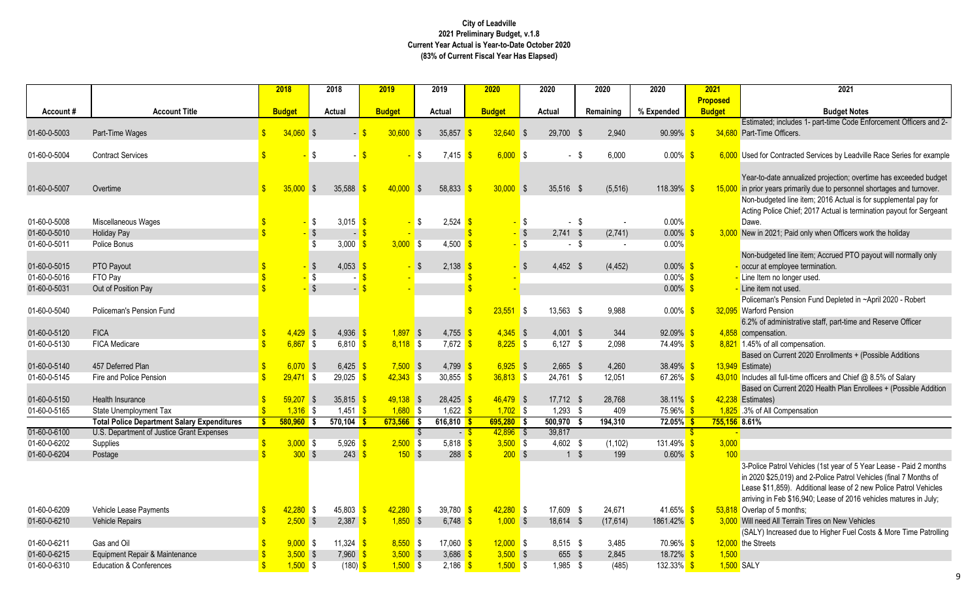d; includes 1- part-time Code Enforcement Officers and 2-Porfficers.

Contracted Services by Leadville Race Series for example

date annualized projection; overtime has exceeded budget rears primarily due to personnel shortages and turnover. geted line item; 2016 Actual is for supplemental pay for olice Chief; 2017 Actual is termination payout for Sergeant

021; Paid only when Officers work the holiday

geted line item; Accrued PTO payout will normally only employee termination.

an's Pension Fund Depleted in ~April 2020 - Robert Pension

administrative staff, part-time and Reserve Officer ation.

Gurrent 2020 Enrollments + (Possible Additions

all full-time officers and Chief @ 8.5% of Salary

Gurrent 2020 Health Plan Enrollees + (Possible Addition

Patrol Vehicles (1st year of 5 Year Lease - Paid 2 months \$25,019) and 2-Police Patrol Vehicles (final 7 Months of 1,859). Additional lease of 2 new Police Patrol Vehicles Peb \$16,940; Lease of 2016 vehicles matures in July; of 5 months;

Increased due to Higher Fuel Costs & More Time Patrolling ts

|              |                                                       |               | 2018          |            | 2018                 | 2019          |           | 2019                             |     | 2020                      |                         | 2020              | 2020      | 2020                 | 2021            | 2021                                                 |
|--------------|-------------------------------------------------------|---------------|---------------|------------|----------------------|---------------|-----------|----------------------------------|-----|---------------------------|-------------------------|-------------------|-----------|----------------------|-----------------|------------------------------------------------------|
|              |                                                       |               |               |            |                      |               |           |                                  |     |                           |                         |                   |           |                      | <b>Proposed</b> |                                                      |
| Account#     | <b>Account Title</b>                                  |               | <b>Budget</b> |            | <b>Actual</b>        | <b>Budget</b> |           | <b>Actual</b>                    |     | <b>Budget</b>             |                         | <b>Actual</b>     | Remaining | % Expended           | <b>Budget</b>   | <b>Budget Notes</b>                                  |
|              |                                                       |               |               |            |                      |               |           |                                  |     |                           |                         |                   |           |                      |                 | Estimated; includes 1- part-time Code Enfo           |
| 01-60-0-5003 | Part-Time Wages                                       |               | $34,060$ \$   |            |                      | $30,600$ \$   |           | 35,857                           |     | $32,640$ \$               |                         | 29,700 \$         | 2,940     | $90.99\%$ \$         |                 | 34,680 Part-Time Officers.                           |
|              |                                                       |               |               |            |                      |               |           |                                  |     |                           |                         |                   |           |                      |                 |                                                      |
| 01-60-0-5004 | <b>Contract Services</b>                              |               |               | - \$       |                      |               | - \$      | $7,415$ \$                       |     | $6,000$ \$                |                         | $-$ \$            | 6,000     | $0.00\%$ \$          |                 | 6,000 Used for Contracted Services by Leadville      |
|              |                                                       |               |               |            |                      |               |           |                                  |     |                           |                         |                   |           |                      |                 | Year-to-date annualized projection; overtim          |
| 01-60-0-5007 | Overtime                                              | $\mathbf{\$}$ | 35,000        | <b>S</b>   | 35,588               | $40,000$ \$   |           | 58,833                           |     | $30,000$ \$               |                         | 35,516 \$         | (5, 516)  | 118.39% \$           |                 | 15,000 in prior years primarily due to personnel she |
|              |                                                       |               |               |            |                      |               |           |                                  |     |                           |                         |                   |           |                      |                 | Non-budgeted line item; 2016 Actual is for           |
|              |                                                       |               |               |            |                      |               |           |                                  |     |                           |                         |                   |           |                      |                 | Acting Police Chief; 2017 Actual is terminat         |
| 01-60-0-5008 | Miscellaneous Wages                                   |               |               | -\$        | 3,015 \$             |               | <b>\$</b> | 2,524                            | -\$ |                           | \$                      | $\sim$            | -\$       | 0.00%                |                 | Dawe.                                                |
| 01-60-0-5010 | <b>Holiday Pay</b>                                    |               |               |            | $\blacksquare$       |               |           |                                  |     |                           | $\sqrt[6]{\frac{1}{2}}$ | $2,741$ \$        | (2,741)   | $0.00\%$ \$          |                 | 3,000 New in 2021; Paid only when Officers work      |
| 01-60-0-5011 | Police Bonus                                          |               |               | -\$        | 3,000 $\frac{1}{5}$  | $3,000$ \$    |           | 4,500                            |     |                           | $\sqrt{3}$              | - \$              |           | 0.00%                |                 |                                                      |
|              |                                                       |               |               |            |                      |               |           |                                  |     |                           |                         |                   |           |                      |                 | Non-budgeted line item; Accrued PTO payo             |
| 01-60-0-5015 | PTO Payout                                            |               |               | $\sqrt{3}$ | 4,053 \$             |               |           | $2,138$ \$                       |     |                           | \$                      | $4,452$ \$        | (4, 452)  | $0.00\%$ \$          |                 | - occur at employee termination.                     |
| 01-60-0-5016 | FTO Pay                                               |               |               | $\sqrt{3}$ |                      |               |           |                                  |     |                           |                         |                   |           | $0.00\%$ \$          |                 | - Line Item no longer used.                          |
| 01-60-0-5031 | Out of Position Pay                                   |               |               | $\sqrt{3}$ |                      |               |           |                                  |     |                           |                         |                   |           | $0.00\%$ \$          |                 | - Line item not used.                                |
|              |                                                       |               |               |            |                      |               |           |                                  |     |                           |                         |                   |           |                      |                 | Policeman's Pension Fund Depleted in ~Ap             |
| 01-60-0-5040 | Policeman's Pension Fund                              |               |               |            |                      |               |           |                                  |     | $23,551$ \$               |                         | 13,563 \$         | 9,988     | $0.00\%$ \$          |                 | 32,095 Warford Pension                               |
|              |                                                       |               |               |            |                      |               |           |                                  |     |                           |                         |                   |           |                      |                 | 6.2% of administrative staff, part-time and I        |
| 01-60-0-5120 | <b>FICA</b>                                           |               | $4,429$ \$    |            | 4,936 \$             | $1,897$ \$    |           | 4,755 \$                         |     | $4,345$ \$                |                         | $4,001$ \$        | 344       | 92.09% \$            |                 | 4,858 compensation.                                  |
| 01-60-0-5130 | FICA Medicare                                         |               | $6,867$ \$    |            | $6,810$ \$           | $8,118$ \$    |           | $7,672$ \$                       |     | $8,225$ \$                |                         | $6,127$ \$        | 2,098     | 74.49% \$            |                 | 8,821 1.45% of all compensation.                     |
|              |                                                       |               |               |            |                      |               |           |                                  |     |                           |                         |                   |           |                      |                 | Based on Current 2020 Enrollments + (Pos             |
| 01-60-0-5140 | 457 Deferred Plan                                     |               | $6,070$ \$    |            | $6,425$ \$           | $7,500$ \$    |           | 4,799                            |     | $6,925$ \$                |                         | $2,665$ \$        | 4,260     | 38.49% \$            |                 | 13,949 Estimate)                                     |
| 01-60-0-5145 | Fire and Police Pension                               |               | $29,471$ \$   |            | $29,025$ \$          | $42,343$ \$   |           | 30,855                           |     | $36,813$ \$               |                         | 24,761 \$         | 12,051    | 67.26% \$            |                 | 43,010 Includes all full-time officers and Chief @ 8 |
|              |                                                       |               |               |            |                      |               |           |                                  |     |                           |                         |                   |           |                      |                 | Based on Current 2020 Health Plan Enrolle            |
| 01-60-0-5150 | Health Insurance                                      |               | $59,207$ \$   |            | 35,815 \$            | $49,138$ \$   |           | 28,425                           |     | $46,479$ \$               |                         | 17,712 \$         | 28,768    | 38.11% \$            |                 | 42,238 Estimates)                                    |
| 01-60-0-5165 | State Unemployment Tax                                |               | $1,316$ \$    |            | 1,451 $\sqrt{s}$     | $1,680$ \$    |           | 1,622 $\sqrt{s}$                 |     | $1,702$ \$                |                         | $1,293$ \$        | 409       | $75.96\%$ \$         |                 | 1,825 .3% of All Compensation                        |
| 01-60-0-6100 | <b>Total Police Department Salary Expenditures</b>    |               | $580,960$ \$  |            | 570,104              | $673,566$ \$  |           | $616,810$ \$<br>$ \frac{8}{3}$   |     | $695,280$ \$              |                         | 500,970<br>39,817 | 194,310   | 72.05% \$            | 755,156 8.61%   |                                                      |
| 01-60-0-6202 | U.S. Department of Justice Grant Expenses<br>Supplies |               | $3,000$ \$    |            | 5,926 $\frac{1}{5}$  | $2,500$ \$    | - \$      | 5,818 $\frac{1}{5}$              |     | $42,896$ \$<br>$3,500$ \$ |                         | 4,602 \$          | (1, 102)  | 131.49% <sup>S</sup> | 3,000           |                                                      |
| 01-60-0-6204 | Postage                                               |               | $300$ \$      |            | $243 \frac{\pi}{2}$  | 150S          |           | $288 \frac{\$}$                  |     | $200$ \$                  |                         | $1 \quad$         | 199       | $0.60\%$ \$          | 100             |                                                      |
|              |                                                       |               |               |            |                      |               |           |                                  |     |                           |                         |                   |           |                      |                 | 3-Police Patrol Vehicles (1st year of 5 Year         |
|              |                                                       |               |               |            |                      |               |           |                                  |     |                           |                         |                   |           |                      |                 | in 2020 \$25,019) and 2-Police Patrol Vehic          |
|              |                                                       |               |               |            |                      |               |           |                                  |     |                           |                         |                   |           |                      |                 | Lease \$11,859). Additional lease of 2 new           |
|              |                                                       |               |               |            |                      |               |           |                                  |     |                           |                         |                   |           |                      |                 | arriving in Feb \$16,940; Lease of 2016 veh          |
| 01-60-0-6209 | Vehicle Lease Payments                                |               | $42,280$ \$   |            | 45,803 \$            | $42,280$ \$   |           | 39,780 $\frac{\text{}}{\text{}}$ |     | $42,280$ \$               |                         | 17,609 \$         | 24,671    | 41.65% \$            |                 | 53,818 Overlap of 5 months;                          |
| 01-60-0-6210 | Vehicle Repairs                                       |               | $2,500$ \$    |            | $2,387$ \$           | $1,850$ \$    |           | 6,748 $\frac{1}{5}$              |     | $1,000$ \$                |                         | 18,614 \$         | (17, 614) | $1861.42\%$ \$       |                 | 3,000 Will need All Terrain Tires on New Vehicles    |
|              |                                                       |               |               |            |                      |               |           |                                  |     |                           |                         |                   |           |                      |                 | (SALY) Increased due to Higher Fuel Costs            |
| 01-60-0-6211 | Gas and Oil                                           |               | $9,000$ \$    |            | 11,324 $\frac{1}{5}$ | $8,550$ \$    |           | 17,060 \$                        |     | $12,000$ \$               |                         | $8,515$ \$        | 3,485     | $70.96\%$ \$         |                 | 12,000 the Streets                                   |
| 01-60-0-6215 | Equipment Repair & Maintenance                        |               | $3,500$ \$    |            | $7,960$ \$           | $3,500$ \$    |           | 3,686 $$$                        |     | $3,500$ \$                |                         | 655 \$            | 2,845     | 18.72% \$            | 1,500           |                                                      |
| 01-60-0-6310 | <b>Education &amp; Conferences</b>                    |               | $1,500$ \$    |            | $(180)$ \$           | $1,500$ \$    |           | $2,186$ \$                       |     | $1,500$ \$                |                         | 1,985 \$          | (485)     | $132.33\%$ \$        |                 | 1,500 SALY                                           |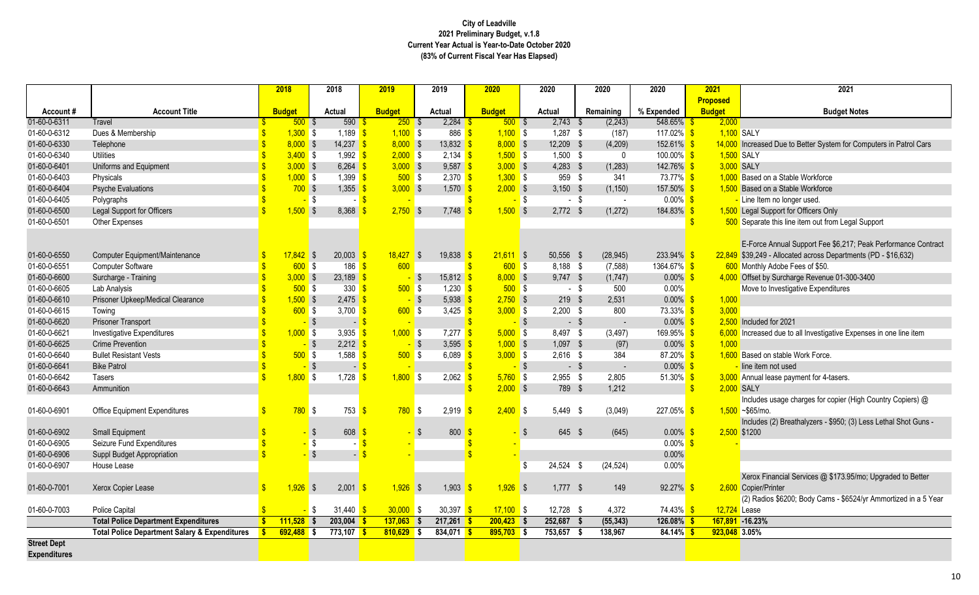### 1 Due to Better System for Computers in Patrol Cars

on-this line item out from Legal Support

Annual Support Fee \$6,217; Peak Performance Contract - Allocated across Departments (PD - \$16,632)<br>Adobe Fees of \$50. Surcharge Revenue 01-300-3400

1 due to all Investigative Expenses in one line item

usage charges for copier (High Country Copiers) @

(2) Breathalyzers - \$950; (3) Less Lethal Shot Guns -

nancial Services @ \$173.95/mo; Upgraded to Better rinter

os \$6200; Body Cams - \$6524/yr Ammortized in a 5 Year

|                     |                                                          |              | 2018          | 2018                    |                          | 2019          |              | 2019          | 2020          |              |            | 2020          |        | 2020                     | 2020                  |               | 2021            | 2021                                        |
|---------------------|----------------------------------------------------------|--------------|---------------|-------------------------|--------------------------|---------------|--------------|---------------|---------------|--------------|------------|---------------|--------|--------------------------|-----------------------|---------------|-----------------|---------------------------------------------|
|                     |                                                          |              |               |                         |                          |               |              |               |               |              |            |               |        |                          |                       |               | <b>Proposed</b> |                                             |
| Account#            | <b>Account Title</b>                                     |              | <b>Budget</b> | <b>Actual</b>           |                          | <b>Budget</b> |              | <b>Actual</b> | <b>Budget</b> |              |            | <b>Actual</b> |        | Remaining                | % Expended            |               | <b>Budget</b>   | <b>Budget N</b>                             |
| 01-60-0-6311        | Travel                                                   |              | $500$ \$      |                         | 590                      | 250S          |              | 2,284         |               | $500$ \$     |            | 2,743         | - \$   | (2, 243)                 | 548.65%               |               | 2,000           |                                             |
| 01-60-0-6312        | Dues & Membership                                        |              | $1,300$ \$    |                         | 1,189 $\frac{1}{5}$      | $1,100$ \$    |              | 886           |               | $1,100$ \$   |            | $1,287$ \$    |        | (187)                    | 117.02% \$            |               |                 | 1,100 SALY                                  |
| 01-60-0-6330        | Telephone                                                |              | $8,000$ \$    |                         | 14,237 \$                | $8,000$ \$    |              | 13,832        |               | $8,000$ \$   |            | 12,209 \$     |        | (4,209)                  | $152.61\%$ \$         |               |                 | 14,000 Increased Due to Better System for   |
| 01-60-0-6340        | <b>Utilities</b>                                         |              | $3,400$ \$    |                         | 1,992 $\frac{\ }{\ }$    | $2,000$ \$    |              | $2,134$ \$    |               | $1,500$ \$   |            | $1,500$ \$    |        | 0                        | $100.00\%$ \$         |               |                 | 1,500 SALY                                  |
| 01-60-0-6401        | Uniforms and Equipment                                   |              | $3,000$ \$    |                         | $6,264$ \$               | $3,000$ \$    |              | $9,587$ \$    |               | $3,000$ \$   |            | $4,283$ \$    |        | (1, 283)                 | 142.76% \$            |               |                 | 3,000 SALY                                  |
| 01-60-0-6403        | Physicals                                                |              | $1,000$ \$    |                         | $1,399$ \$               | $500$ \$      |              | 2,370         |               | $1,300$ \$   |            | 959 \$        |        | 341                      | 73.77% \$             |               |                 | 1,000 Based on a Stable Workforce           |
| 01-60-0-6404        | <b>Psyche Evaluations</b>                                |              | $700$ \$      |                         | $1,355$ $\frac{9}{1}$    | $3,000$ \$    |              | 1,570         |               | $2,000$ \$   |            | $3,150$ \$    |        | (1, 150)                 | $157.50\%$ \$         |               |                 | 1,500 Based on a Stable Workforce           |
| 01-60-0-6405        | Polygraphs                                               |              |               | \$                      |                          |               |              |               |               |              | - \$       |               | $-$ \$ | $\overline{\phantom{a}}$ | $0.00\%$ \$           |               |                 | - Line Item no longer used.                 |
| 01-60-0-6500        | Legal Support for Officers                               |              | $1,500$ \$    |                         | 8,368                    | $2,750$ \$    |              | 7,748         |               | $1,500$ \$   |            | $2,772$ \$    |        | (1, 272)                 | 184.83% \$            |               |                 | 1,500 Legal Support for Officers Only       |
| 01-60-0-6501        | Other Expenses                                           |              |               |                         |                          |               |              |               |               |              |            |               |        |                          |                       | $\sqrt[6]{3}$ |                 | 500 Separate this line item out from Leg    |
|                     |                                                          |              |               |                         |                          |               |              |               |               |              |            |               |        |                          |                       |               |                 |                                             |
|                     |                                                          |              |               |                         |                          |               |              |               |               |              |            |               |        |                          |                       |               |                 | E-Force Annual Support Fee \$6,217          |
| 01-60-0-6550        | Computer Equipment/Maintenance                           |              | $17,842$ \$   |                         | $20,003$ \$              | 18,427        | $\mathsf{S}$ | 19,838        |               | $21,611$ \$  |            | 50,556 \$     |        | (28, 945)                | $233.94\%$ \$         |               |                 | 22,849 \$39,249 - Allocated across Departm  |
| 01-60-0-6551        | <b>Computer Software</b>                                 |              | 600S          |                         | $186$ \$                 | 600           |              |               |               | $600$ \$     |            | $8,188$ \$    |        | (7, 588)                 | 1364.67% <sup>S</sup> |               |                 | 600 Monthly Adobe Fees of \$50.             |
| 01-60-0-6600        | Surcharge - Training                                     |              | $3,000$ \$    |                         | $23,189$ \$              |               | $\sqrt{3}$   | 15,812        |               | $8,000$ \$   |            | $9,747$ \$    |        | (1,747)                  | $0.00\%$ \$           |               |                 | 4,000 Offset by Surcharge Revenue 01-30     |
| 01-60-0-6605        | Lab Analysis                                             |              | $500$ \$      |                         | $330 - $$                | $500$ \$      |              | 1,230         |               | $500$ \$     |            |               | - \$   | 500                      | $0.00\%$              |               |                 | Move to Investigative Expenditures          |
| 01-60-0-6610        | Prisoner Upkeep/Medical Clearance                        |              | $1,500$ \$    |                         | 2,475                    |               | <b>S</b>     | 5,938         |               | $2,750$ \$   |            | $219$ \$      |        | 2,531                    | $0.00\%$ \$           |               | 1,000           |                                             |
| 01-60-0-6615        | Towing                                                   |              | 600S          |                         | 3,700 $$$                | $600$ \$      |              | 3,425         |               | $3,000$ \$   |            | $2,200$ \$    |        | 800                      | $73.33\%$ \$          |               | 3,000           |                                             |
| 01-60-0-6620        | Prisoner Transport                                       |              |               | $\sqrt[6]{\frac{1}{2}}$ | $\overline{\phantom{a}}$ |               |              |               |               |              | $\sqrt{3}$ |               | - \$   | $\overline{\phantom{a}}$ | $0.00\%$ \$           |               |                 | 2,500 Included for 2021                     |
| 01-60-0-6621        | <b>Investigative Expenditures</b>                        |              | $1,000$ \$    |                         | 3,935                    | $1,000$ \$    |              | 7,277         |               | $5,000$ \$   |            | 8,497 \$      |        | (3, 497)                 | $169.95\%$ \$         |               |                 | 6,000 Increased due to all Investigative Ex |
| 01-60-0-6625        | <b>Crime Prevention</b>                                  |              |               | $\sqrt[6]{\frac{1}{2}}$ | $2,212$ \$               |               | $\sqrt{5}$   | 3,595         |               | $1,000$ \$   |            | $1,097$ \$    |        | (97)                     | $0.00\%$ \$           |               | 1,000           |                                             |
| 01-60-0-6640        | <b>Bullet Resistant Vests</b>                            |              | 500           | $\sqrt{3}$              | $1,588$ $\frac{\ }{5}$   | $500$ \$      |              | 6,089         |               | $3,000$ \$   |            | $2,616$ \$    |        | 384                      | 87.20% \$             |               |                 | 1,600 Based on stable Work Force.           |
| 01-60-0-6641        | <b>Bike Patrol</b>                                       |              |               | $\sqrt[6]{3}$           | $-5$                     |               |              |               |               |              | $\sqrt{3}$ |               | - \$   |                          | $0.00\%$ \$           |               |                 | line item not used                          |
| 01-60-0-6642        | Tasers                                                   |              | $1,800$ \$    |                         | 1,728                    | $1,800$ \$    |              | 2,062         |               | $5,760$ \$   |            | $2,955$ \$    |        | 2,805                    | 51.30% \$             |               |                 | 3,000 Annual lease payment for 4-tasers.    |
| 01-60-0-6643        | Ammunition                                               |              |               |                         |                          |               |              |               |               | $2,000$ \$   |            | 789 \$        |        | 1,212                    |                       | $\mathbf{\$}$ |                 | 2,000 SALY                                  |
|                     |                                                          |              |               |                         |                          |               |              |               |               |              |            |               |        |                          |                       |               |                 | Includes usage charges for copier (I        |
| 01-60-0-6901        | <b>Office Equipment Expenditures</b>                     |              | $780$ \$      |                         | 753                      | $780$ \$      |              | 2,919         | -\$           | $2,400$ \$   |            | 5,449 \$      |        | (3,049)                  | $227.05\%$ \$         |               |                 | $1,500$ ~\$65/mo.                           |
|                     |                                                          |              |               |                         |                          |               |              |               |               |              |            |               |        |                          |                       |               |                 | Includes (2) Breathalyzers - \$950; (3      |
| 01-60-0-6902        | <b>Small Equipment</b>                                   |              |               | \$                      | 608                      |               | - \$         | 800           |               |              | - \$       | 645 \$        |        | (645)                    | $0.00\%$ \$           |               |                 | 2,500 \$1200                                |
| 01-60-0-6905        | Seizure Fund Expenditures                                |              |               | \$                      |                          |               |              |               |               |              |            |               |        |                          | $0.00\%$ \$           |               |                 |                                             |
| 01-60-0-6906        | Suppl Budget Appropriation                               |              |               | $\sqrt[6]{\frac{1}{2}}$ | $\sim$                   |               |              |               |               |              |            |               |        |                          | 0.00%                 |               |                 |                                             |
| 01-60-0-6907        | House Lease                                              |              |               |                         |                          |               |              |               |               |              | \$.        | 24,524 \$     |        | (24, 524)                | 0.00%                 |               |                 |                                             |
|                     |                                                          |              |               |                         |                          |               |              |               |               |              |            |               |        |                          |                       |               |                 | Xerox Financial Services @ \$173.9          |
| 01-60-0-7001        | Xerox Copier Lease                                       |              | $1,926$ \$    |                         | $2,001$ \$               | $1,926$ \$    |              | $1,903$ \$    |               | $1,926$ \$   |            | $1,777$ \$    |        | 149                      | $92.27\%$ \$          |               |                 | 2,600 Copier/Printer                        |
|                     |                                                          |              |               |                         |                          |               |              |               |               |              |            |               |        |                          |                       |               |                 | (2) Radios \$6200; Body Cams - \$65         |
| 01-60-0-7003        | <b>Police Capital</b>                                    |              |               | \$                      | 31,440 \$                | $30,000$ \$   |              | 30,397 \$     |               | $17,100$ \$  |            | 12,728 \$     |        | 4,372                    | 74.43% \$             |               | 12,724 Lease    |                                             |
|                     | <b>Total Police Department Expenditures</b>              |              | $111,528$ \$  |                         | $203,004$ \$             | $137,063$ \$  |              | $217,261$ \$  |               | $200,423$ \$ |            | 252,687       |        | (55, 343)                | $126.08\%$ \$         |               |                 | 167,891 -16.23%                             |
|                     | <b>Total Police Department Salary &amp; Expenditures</b> | $\mathbf{s}$ | $692,488$ \$  |                         | 773,107 <mark>\$</mark>  | $810,629$ \$  |              | 834,071 \$    |               | $895,703$ \$ |            | 753,657       |        | 138,967                  | $84.14\%$ \$          |               | 923,048 3.05%   |                                             |
| <b>Street Dept</b>  |                                                          |              |               |                         |                          |               |              |               |               |              |            |               |        |                          |                       |               |                 |                                             |
| <b>Expenditures</b> |                                                          |              |               |                         |                          |               |              |               |               |              |            |               |        |                          |                       |               |                 |                                             |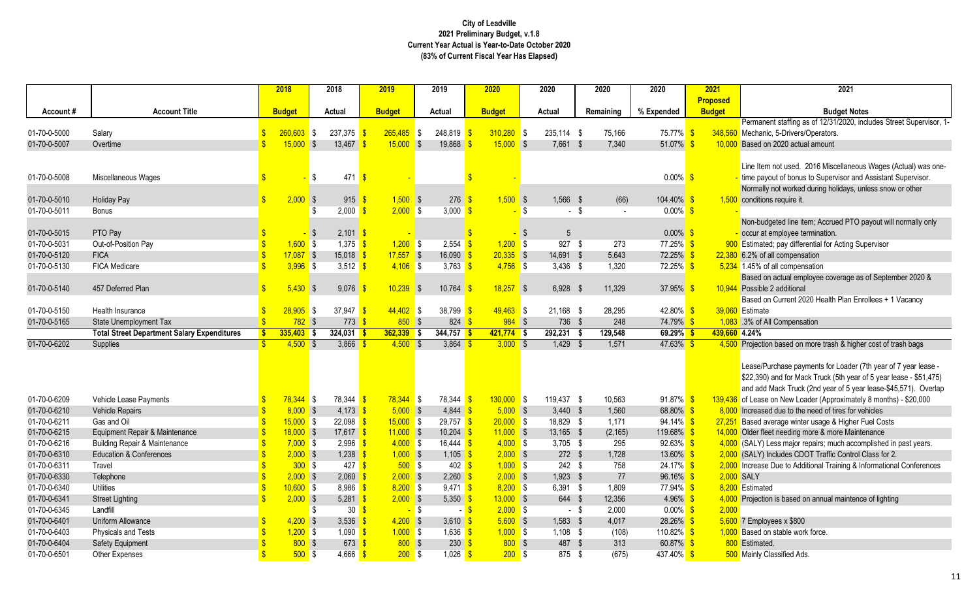ent staffing as of 12/31/2020, includes Street Supervisor, 1c, 5-Drivers/Operators.

1 not used. 2016 Miscellaneous Wages (Actual) was oneout of bonus to Supervisor and Assistant Supervisor. If not worked during holidays, unless snow or other s require it.

geted line item; Accrued PTO payout will normally only employee termination.

d; pay differential for Acting Supervisor

n actual employee coverage as of September 2020 & 2 additional

Gurrent 2020 Health Plan Enrollees + 1 Vacancy

n based on more trash & higher cost of trash bags

urchase payments for Loader (7th year of 7 year lease -) and for Mack Truck (5th year of 5 year lease - \$51,475) Mack Truck (2nd year of 5 year lease-\$45,571). Overlap on New Loader (Approximately 8 months) - \$20,000 d due to the need of tires for vehicles verage winter usage & Higher Fuel Costs et needing more & more Maintenance Less major repairs; much accomplished in past years. ncludes CDOT Traffic Control Class for 2. . Due to Additional Training & Informational Conferences

n is based on annual maintence of lighting

|              |                                                    |              | 2018          |    | 2018                | 2019          |        | 2019                              | 2020          |              |      | 2020        |        | 2020           | 2020          | 2021            | 2021                                                                        |
|--------------|----------------------------------------------------|--------------|---------------|----|---------------------|---------------|--------|-----------------------------------|---------------|--------------|------|-------------|--------|----------------|---------------|-----------------|-----------------------------------------------------------------------------|
|              |                                                    |              |               |    |                     |               |        |                                   |               |              |      |             |        |                |               | <b>Proposed</b> |                                                                             |
| Account#     | <b>Account Title</b>                               |              | <b>Budget</b> |    | Actual              | <b>Budget</b> |        | <b>Actual</b>                     | <b>Budget</b> |              |      | Actual      |        | Remaining      | % Expended    | <b>Budget</b>   | <b>Budget N</b>                                                             |
|              |                                                    |              |               |    |                     |               |        |                                   |               |              |      |             |        |                |               |                 | Permanent staffing as of 12/31/2020                                         |
| 01-70-0-5000 | Salary                                             |              | $260,603$ \$  |    | $237,375$ \$        | $265,485$ \$  |        | 248,819                           |               | $310,280$ \$ |      | 235,114 \$  |        | 75,166         | 75.77% \$     |                 | 348,560 Mechanic, 5-Drivers/Operators.                                      |
| 01-70-0-5007 | Overtime                                           |              | $15,000$ \$   |    | 13,467              | $15,000$ \$   |        | 19,868                            |               | $15,000$ \$  |      | 7,661 \$    |        | 7,340          | 51.07% \$     | 10,000          | Based on 2020 actual amount                                                 |
|              |                                                    |              |               |    |                     |               |        |                                   |               |              |      |             |        |                |               |                 | Line Item not used. 2016 Miscellane                                         |
| 01-70-0-5008 |                                                    |              |               |    | $471$ \$            |               |        |                                   |               |              |      |             |        |                | $0.00\%$ \$   |                 |                                                                             |
|              | Miscellaneous Wages                                |              |               | -S |                     |               |        |                                   |               |              |      |             |        |                |               |                 | time payout of bonus to Supervisor a<br>Normally not worked during holidays |
| 01-70-0-5010 | <b>Holiday Pay</b>                                 |              | $2,000$ \$    |    | $915 \frac{1}{5}$   | $1,500$ \$    |        | 276                               |               | $1,500$ \$   |      | 1,566 \$    |        | (66)           | $104.40\%$ \$ |                 | 1,500 conditions require it.                                                |
| 01-70-0-5011 | <b>Bonus</b>                                       |              |               |    | 2,000               | $2,000$ \$    |        | 3,000                             | - \$          |              | -\$  | $\sim$      | - \$   | $\blacksquare$ | $0.00\%$ \$   |                 |                                                                             |
|              |                                                    |              |               |    |                     |               |        |                                   |               |              |      |             |        |                |               |                 | Non-budgeted line item; Accrued PT                                          |
| 01-70-0-5015 | PTO Pay                                            |              |               |    | $2,101$ \$          |               |        |                                   |               |              | - \$ | 5           |        |                | $0.00\%$ \$   |                 | occur at employee termination.                                              |
| 01-70-0-5031 | Out-of-Position Pay                                |              | $1,600$ \$    |    | $1,375$ \$          | $1,200$ \$    |        | 2,554                             |               | $1,200$ \$   |      | 927         | - \$   | 273            | 77.25% \$     |                 | 900 Estimated; pay differential for Acting                                  |
| 01-70-0-5120 | <b>FICA</b>                                        |              | $17,087$ \$   |    | $15,018$ \$         | $17,557$ \$   |        | 16,090                            |               | $20,335$ \$  |      | 14,691 \$   |        | 5,643          | $72.25\%$ \$  |                 | 22,380 6.2% of all compensation                                             |
| 01-70-0-5130 | FICA Medicare                                      |              | $3,996$ \$    |    | 3,512 $\sqrt{s}$    | $4,106$ \$    |        | 3,763                             | - \$          | $4,756$ \$   |      | $3,436$ \$  |        | 1,320          | 72.25% \$     |                 | 5,234 1.45% of all compensation                                             |
|              |                                                    |              |               |    |                     |               |        |                                   |               |              |      |             |        |                |               |                 | Based on actual employee coverage                                           |
| 01-70-0-5140 | 457 Deferred Plan                                  |              | $5,430$ \$    |    | 9,076               | $10,239$ \$   |        | 10,764                            |               | $18,257$ \$  |      | $6,928$ \$  |        | 11,329         | 37.95% \$     |                 | 10,944 Possible 2 additional                                                |
|              |                                                    |              |               |    |                     |               |        |                                   |               |              |      |             |        |                |               |                 | Based on Current 2020 Health Plan                                           |
| 01-70-0-5150 | Health Insurance                                   |              | $28,905$ \$   |    | 37,947 \$           | $44,402$ \$   |        | 38,799                            |               | $49,463$ \$  |      | $21,168$ \$ |        | 28,295         | 42.80% \$     |                 | 39,060 Estimate                                                             |
| 01-70-0-5165 | State Unemployment Tax                             |              | $782$ \$      |    | $773$ \$            | $850$ \$      |        | $824 \; \;$ \$                    |               | $984$ \$     |      | 736 \$      |        | 248            | 74.79% \$     |                 | 1,083 .3% of All Compensation                                               |
|              | <b>Total Street Department Salary Expenditures</b> | $\mathbf{s}$ | $335,403$ \$  |    | $324,031$ \$        | $362,339$ \$  |        | 344,757                           |               | $421,774$ \$ |      | 292,231     |        | 129,548        | $69.29\%$ \$  | 439,660 4.24%   |                                                                             |
| 01-70-0-6202 | Supplies                                           |              | $4,500$ \$    |    | $3,866$ \$          | $4,500$ \$    |        | $3,864$ \$                        |               | $3,000$ \$   |      | $1,429$ \$  |        | 1,571          | $47.63\%$ \$  |                 | 4,500 Projection based on more trash & hi                                   |
|              |                                                    |              |               |    |                     |               |        |                                   |               |              |      |             |        |                |               |                 |                                                                             |
|              |                                                    |              |               |    |                     |               |        |                                   |               |              |      |             |        |                |               |                 | Lease/Purchase payments for Load                                            |
|              |                                                    |              |               |    |                     |               |        |                                   |               |              |      |             |        |                |               |                 | \$22,390) and for Mack Truck (5th ye                                        |
|              |                                                    |              |               |    |                     |               |        |                                   |               |              |      |             |        |                |               |                 | and add Mack Truck (2nd year of 5)                                          |
| 01-70-0-6209 | Vehicle Lease Payments                             |              | $78,344$ \$   |    | 78,344 \$           | $78,344$ \$   |        | 78,344                            | - \$          | $130,000$ \$ |      | 119,437 \$  |        | 10,563         | $91.87\%$ \$  |                 | 139,436 of Lease on New Loader (Approxima                                   |
| 01-70-0-6210 | Vehicle Repairs                                    |              | $8,000$ \$    |    | $4,173$ \$          | $5,000$ \$    |        | $4,844$ \$                        |               | $5,000$ \$   |      | $3,440$ \$  |        | 1,560          | 68.80% \$     |                 | 8,000 Increased due to the need of tires fo                                 |
| 01-70-0-6211 | Gas and Oil                                        |              | $15,000$ \$   |    | $22,098$ \$         | $15,000$ \$   |        | 29,757                            |               | $20,000$ \$  |      | 18,829 \$   |        | 1,171          | $94.14\%$ \$  | 27,251          | Based average winter usage & High                                           |
| 01-70-0-6215 | Equipment Repair & Maintenance                     |              | $18,000$ \$   |    | $17,617$ \$         | $11,000$ \$   |        | 10,204                            |               | $11,000$ \$  |      | 13,165 \$   |        | (2, 165)       | $119.68\%$ \$ |                 | 14,000 Older fleet needing more & more Ma                                   |
| 01-70-0-6216 | <b>Building Repair &amp; Maintenance</b>           |              | $7,000$ \$    |    | $2,996$ \$          | $4,000$ \$    |        | 16,444                            |               | $4,000$ \$   |      | $3,705$ \$  |        | 295            | $92.63\%$ \$  |                 | 4,000 (SALY) Less major repairs; much ad                                    |
| 01-70-0-6310 | <b>Education &amp; Conferences</b>                 |              | $2,000$ \$    |    | $1,238$ \$          | $1,000$ \$    |        | 1,105                             |               | $2,000$ \$   |      | $272$ \$    |        | 1,728          | $13.60\%$ \$  |                 | 2,000 (SALY) Includes CDOT Traffic Cont                                     |
| 01-70-0-6311 | Travel                                             |              | $300$ \$      |    | 427 <sup>8</sup>    | $500$ \$      |        | $402 \frac{\$}{\$}$               |               | $1,000$ \$   |      | $242$ \$    |        | 758            | $24.17\%$ \$  |                 | 2,000 Increase Due to Additional Training                                   |
| 01-70-0-6330 | Telephone                                          | \$           | $2,000$ \$    |    | $2,060$ \$          | $2,000$ \$    |        | $2,260$ \$                        |               | $2,000$ \$   |      | $1,923$ \$  |        | 77             | $96.16\%$ \$  |                 | $2,000$ SALY                                                                |
| 01-70-0-6340 | Utilities                                          |              | $10,600$ \$   |    | 8,986 $$$           | $8,200$ \$    |        | 9,471 <mark>\$</mark>             |               | $8,200$ \$   |      | $6,391$ \$  |        | 1,809          | 77.94% \$     |                 | 8,200 Estimated                                                             |
| 01-70-0-6341 | <b>Street Lighting</b>                             |              | $2,000$ \$    |    | 5,281 $\frac{\$}{}$ | $2,000$ \$    |        | 5,350 \$                          |               | $13,000$ \$  |      | 644 \$      |        | 12,356         | $4.96\%$ \$   |                 | 4,000 Projection is based on annual mainte                                  |
| 01-70-0-6345 | Landfill                                           |              |               | \$ | $30\frac{1}{5}$     |               | $-$ \$ | - <mark>\$</mark>                 |               | $2,000$ \$   |      |             | $-$ \$ | 2,000          | $0.00\%$ \$   | 2,000           |                                                                             |
| 01-70-0-6401 | Uniform Allowance                                  |              | $4,200$ \$    |    | 3,536 $$$           | $4,200$ \$    |        | 3,610 $\frac{\text{S}}{\text{S}}$ |               | $5,600$ \$   |      | $1,583$ \$  |        | 4,017          | $28.26\%$ \$  |                 | $5,600$ 7 Employees x \$800                                                 |
| 01-70-0-6403 | Physicals and Tests                                |              | $1,200$ \$    |    | $1,090$ \$          | $1,000$ \$    |        | $1,636$ \$                        |               | $1,000$ \$   |      | $1,108$ \$  |        | (108)          | 110.82% \$    |                 | 1,000 Based on stable work force.                                           |
| 01-70-0-6404 | Safety Equipment                                   |              | $800$ \$      |    | 673 $$$             | $800$ \$      |        | $230 \frac{\text{S}}{\text{S}}$   |               | $800$ \$     |      | 487 \$      |        | 313            | 60.87% \$     |                 | 800 Estimated.                                                              |
| 01-70-0-6501 | Other Expenses                                     |              | $500$ \$      |    | 4,666 $$$           | $200$ \$      |        | $1,026$ \$                        |               | 200S         |      | 875 \$      |        | (675)          | 437.40% \$    |                 | 500 Mainly Classified Ads.                                                  |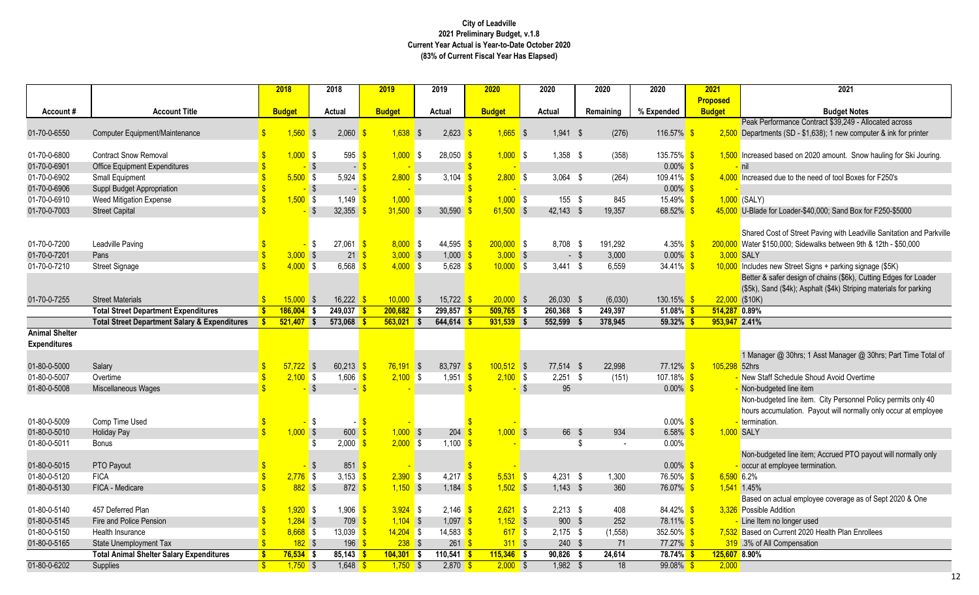rformance Contract \$39,249 - Allocated across ents (SD - \$1,638); 1 new computer  $\&$  ink for printer

d based on 2020 amount. Snow hauling for Ski Jouring.

d due to the need of tool Boxes for F250's

for Loader-\$40,000; Sand Box for F250-\$5000

Cost of Street Paving with Leadville Sanitation and Parkville 150,000; Sidewalks between 9th & 12th - \$50,000

new Street Signs + parking signage (\$5K) safer design of chains (\$6k), Cutting Edges for Loader and (\$4k); Asphalt (\$4k) Striping materials for parking

jer @ 30hrs; 1 Asst Manager @ 30hrs; Part Time Total of

lgeted line item. City Personnel Policy permits only 40 cumulation. Payout will normally only occur at employee on.

geted line item; Accrued PTO payout will normally only employee termination.

actual employee coverage as of Sept 2020 & One Addition

i Current 2020 Health Plan Enrollees<br>I Compensation

|                       |                                                          | 2018                     |                           | 2018                     | 2019          |     | 2019                            | 2020          | 2020          | 2020      | 2020                   | 2021            | 2021                                              |
|-----------------------|----------------------------------------------------------|--------------------------|---------------------------|--------------------------|---------------|-----|---------------------------------|---------------|---------------|-----------|------------------------|-----------------|---------------------------------------------------|
|                       |                                                          |                          |                           |                          |               |     |                                 |               |               |           |                        | <b>Proposed</b> |                                                   |
| Account#              | <b>Account Title</b>                                     | <b>Budget</b>            |                           | <b>Actual</b>            | <b>Budget</b> |     | Actual                          | <b>Budget</b> | <b>Actual</b> | Remaining | % Expended             | <b>Budget</b>   | <b>Budget Notes</b>                               |
|                       |                                                          |                          |                           |                          |               |     |                                 |               |               |           |                        |                 | Peak Performance Contract \$39,249 - Allo         |
| 01-70-0-6550          | Computer Equipment/Maintenance                           | $1,560$ \$               |                           | $2,060$ \$               | $1,638$ \$    |     | 2,623                           | $1,665$ \$    | $1,941$ \$    | (276)     | 116.57% \$             |                 | $2,500$ Departments (SD - \$1,638); 1 new compute |
|                       |                                                          |                          |                           |                          |               |     |                                 |               |               |           |                        |                 |                                                   |
| 01-70-0-6800          | <b>Contract Snow Removal</b>                             | $1,000$ \$               |                           | 595                      | $1,000$ \$    |     | 28,050                          | $1,000$ \$    | $1,358$ \$    | (358)     | $135.75\%$ \$          |                 | 1,500 Increased based on 2020 amount. Snow h      |
| 01-70-0-6901          | <b>Office Equipment Expenditures</b>                     |                          | - \$                      | $\sim$                   |               |     |                                 |               |               |           | $0.00\%$ \$            |                 | nil                                               |
| 01-70-0-6902          | Small Equipment                                          | $5,500$ \$               |                           | 5,924                    | $2,800$ \$    |     | 3,104                           | $2,800$ \$    | $3,064$ \$    | (264)     | 109.41% <sup>S</sup>   |                 | 4,000 Increased due to the need of tool Boxes for |
| 01-70-0-6906          | Suppl Budget Appropriation                               |                          | - \$                      | $\sim$                   |               |     |                                 |               |               |           | $0.00\%$ \$            |                 |                                                   |
| 01-70-0-6910          | <b>Weed Mitigation Expense</b>                           | $1,500$ \$               |                           | 1,149                    | 1,000         |     |                                 | $1,000$ \$    | 155 \$        | 845       | $15.49\%$ \$           |                 | $1,000$ (SALY)                                    |
| 01-70-0-7003          | <b>Street Capital</b>                                    |                          | -\$                       | 32,355                   | $31,500$ \$   |     | 30,590                          | $61,500$ \$   | $42,143$ \$   | 19,357    | 68.52% \$              |                 | 45,000 U-Blade for Loader-\$40,000; Sand Box for  |
|                       |                                                          |                          |                           |                          |               |     |                                 |               |               |           |                        |                 |                                                   |
|                       |                                                          |                          |                           |                          |               |     |                                 |               |               |           |                        |                 | Shared Cost of Street Paving with Leadville       |
| 01-70-0-7200          | Leadville Paving                                         |                          | \$                        | $27,061$ \$              | $8,000$ \$    |     | 44,595                          | $200,000$ \$  | 8,708 \$      | 191,292   | $4.35\%$ \$            |                 | 200,000 Water \$150,000; Sidewalks between 9th &  |
| 01-70-0-7201          | Pans                                                     | $3,000$ \$               |                           | $21 \overline{\text{S}}$ | $3,000$ \$    |     | $1,000$ \$                      | $3,000$ \$    | $-$ \$        | 3,000     | $0.00\%$ \$            |                 | 3,000 SALY                                        |
| 01-70-0-7210          | <b>Street Signage</b>                                    | $4,000$ \$               |                           | $6,568$ \$               | $4,000$ \$    |     | 5,628                           | $10,000$ \$   | $3,441$ \$    | 6,559     | 34.41% $\frac{\$}{\$}$ |                 | 10,000 Includes new Street Signs + parking signag |
|                       |                                                          |                          |                           |                          |               |     |                                 |               |               |           |                        |                 | Better & safer design of chains (\$6k), Cutti     |
|                       |                                                          |                          |                           |                          |               |     |                                 |               |               |           |                        |                 | (\$5k), Sand (\$4k); Asphalt (\$4k) Striping m    |
| 01-70-0-7255          | <b>Street Materials</b>                                  | $15,000$ \$              |                           | 16,222 \$                | $10,000$ \$   |     | 15,722                          | $20,000$ \$   | 26,030 \$     | (6,030)   | $130.15\%$ \$          |                 | $22,000$ (\$10K)                                  |
|                       | <b>Total Street Department Expenditures</b>              | $186,004$ \$             |                           | 249,037                  | $200,682$ \$  |     | 299,857                         | $509,765$ \$  | 260,368       | 249,397   | $51.08\%$ \$           |                 | 514,287 0.89%                                     |
|                       | <b>Total Street Department Salary &amp; Expenditures</b> | $521,407$ \$             |                           | $573,068$ \$             | 563,021       | ∎ s | $644,614$ \$                    | $931,539$ \$  | 552,599       | 378,945   | $59.32\%$ \$           |                 | 953,947 2.41%                                     |
| <b>Animal Shelter</b> |                                                          |                          |                           |                          |               |     |                                 |               |               |           |                        |                 |                                                   |
| <b>Expenditures</b>   |                                                          |                          |                           |                          |               |     |                                 |               |               |           |                        |                 |                                                   |
|                       |                                                          |                          |                           |                          |               |     |                                 |               |               |           |                        |                 | 1 Manager @ 30hrs; 1 Asst Manager @ 30            |
| 01-80-0-5000          | Salary                                                   | $57,722$ \$              |                           | $60,213$ \$              | $76,191$ \$   |     | 83,797                          | $100,512$ \$  | 77,514 \$     | 22,998    | 77.12% \$              | 105,298 52hrs   |                                                   |
| 01-80-0-5007          | Overtime                                                 | $2,100$ \$               |                           | $1,606$ \$               | $2,100$ \$    |     | 1,951                           | $2,100$ \$    | $2,251$ \$    | (151)     | 107.18% \$             |                 | New Staff Schedule Shoud Avoid Overtime           |
| 01-80-0-5008          | Miscellaneous Wages                                      |                          | - \$                      |                          |               |     |                                 |               | \$<br>95      |           | $0.00\%$ \$            |                 | Non-budgeted line item                            |
|                       |                                                          |                          |                           |                          |               |     |                                 |               |               |           |                        |                 | Non-budgeted line item. City Personnel Po         |
|                       |                                                          |                          |                           |                          |               |     |                                 |               |               |           |                        |                 | hours accumulation. Payout will normally o        |
| 01-80-0-5009          | Comp Time Used                                           |                          | \$                        |                          |               |     |                                 |               |               |           | $0.00\%$ \$            |                 | - termination.                                    |
| 01-80-0-5010          | <b>Holiday Pay</b>                                       | $1,000$ \$               |                           | $600 \frac{1}{5}$        | $1,000$ \$    |     | 204                             | $1,000$ \$    | 66 \$         | 934       | 6.58%                  |                 | 1,000 SALY                                        |
| 01-80-0-5011          | <b>Bonus</b>                                             |                          | -\$                       | $2,000$ \$               | $2,000$ \$    |     | 1,100                           |               |               |           | 0.00%                  |                 |                                                   |
|                       |                                                          |                          |                           |                          |               |     |                                 |               |               |           |                        |                 | Non-budgeted line item; Accrued PTO paye          |
| 01-80-0-5015          | PTO Payout                                               |                          | $\boldsymbol{\mathsf{S}}$ | 851 \$                   |               |     |                                 |               |               |           | $0.00\%$ \$            |                 | occur at employee termination.                    |
| 01-80-0-5120          | <b>FICA</b>                                              | $2,776$ \$               |                           | 3,153 $\frac{1}{5}$      | $2,390$ \$    |     | $4,217$ \$                      | $5,531$ \$    | $4,231$ \$    | 1,300     | 76.50% \$              |                 | $6,590$ 6.2%                                      |
| 01-80-0-5130          | FICA - Medicare                                          | $882$ \$                 |                           | 872 $\frac{\$}{}$        | $1,150$ \$    |     | 1,184 $\frac{1}{5}$             | $1,502$ \$    | $1,143$ \$    | 360       | 76.07% \$              |                 | 1,541 1.45%                                       |
|                       |                                                          |                          |                           |                          |               |     |                                 |               |               |           |                        |                 | Based on actual employee coverage as of           |
| 01-80-0-5140          | 457 Deferred Plan                                        | $1,920$ \$               |                           | $1,906$ \$               | $3,924$ \$    |     | 2,146 $\frac{\text{}}{\text{}}$ | $2,621$ \$    | $2,213$ \$    | 408       | 84.42% \$              |                 | 3,326 Possible Addition                           |
| 01-80-0-5145          | Fire and Police Pension                                  | $1,284$ \$               |                           | 709 \$                   | $1,104$ \$    |     | $1,097$ \$                      | $1,152$ \$    | 900 \$        | 252       | 78.11% \$              |                 | - Line Item no longer used                        |
| 01-80-0-5150          | Health Insurance                                         | $8,668$ \$               |                           | 13,039 <mark>\$</mark>   | $14,204$ \$   |     | 14,583 <mark>\$</mark>          | 617S          | $2,175$ \$    | (1, 558)  | 352.50% \$             |                 | 7,532 Based on Current 2020 Health Plan Enrolle   |
| 01-80-0-5165          | State Unemployment Tax                                   | $182$ \$                 |                           | $196$ \$                 | $238$ \$      |     | $261$ \$                        | $311$ \$      | $240$ \$      | 71        | $77.27\%$ \$           |                 | 319 .3% of All Compensation                       |
|                       | <b>Total Animal Shelter Salary Expenditures</b>          | $76,534$ \$              |                           | $85,143$ \$              | $104,301$ \$  |     | $110,541$ \$                    | $115,346$ \$  | $90,826$ \$   | 24,614    | $78.74\%$ \$           |                 | 125,607 8.90%                                     |
| 01-80-0-6202          | Supplies                                                 | $\sqrt{3}$<br>$1,750$ \$ |                           | $1,648$ \$               | $1,750$ \$    |     | $2,870$ \$                      | $2,000$ \$    | $1,982$ \$    | 18        | $99.08\%$ \$           | 2,000           |                                                   |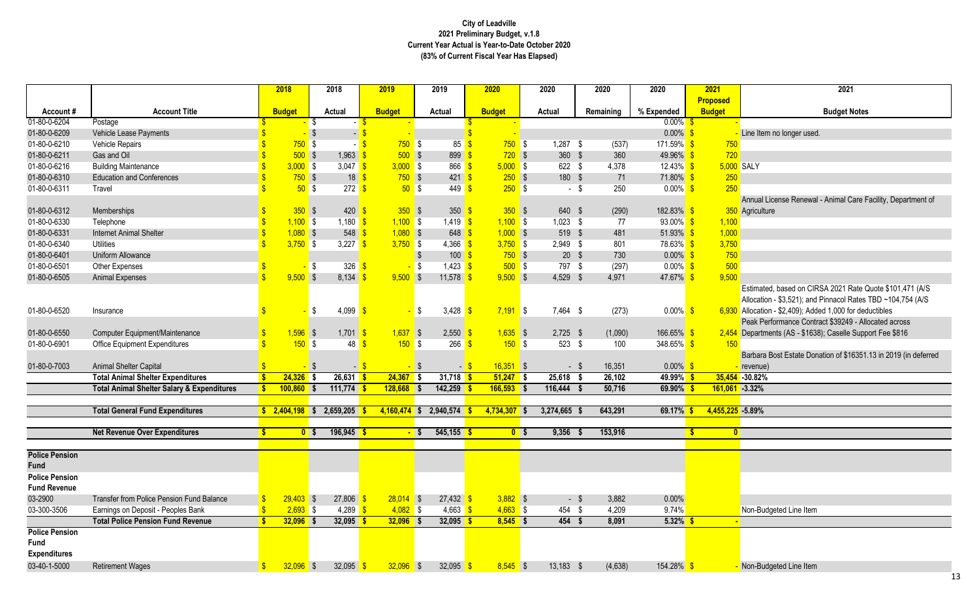License Renewal - Animal Care Facility, Department of  $re$ 

ed, based on CIRSA 2021 Rate Quote \$101,471 (A/S on - \$3,521); and Pinnacol Rates TBD ~104,754 (A/S on - \$2,409); Added 1,000 for deductibles rformance Contract \$39249 - Allocated across ents (AS - \$1638); Caselle Support Fee \$816

Bost Estate Donation of \$16351.13 in 2019 (in deferred

|                       |                                                       |               | 2018           |               | 2018                       |        | 2019           |     | 2019                         |                    | 2020           | 2020           |        | 2020      | 2020          | 2021                             | 2021                                        |
|-----------------------|-------------------------------------------------------|---------------|----------------|---------------|----------------------------|--------|----------------|-----|------------------------------|--------------------|----------------|----------------|--------|-----------|---------------|----------------------------------|---------------------------------------------|
| Account#              | <b>Account Title</b>                                  |               | <b>Budget</b>  |               | Actual                     |        | <b>Budget</b>  |     | <b>Actual</b>                |                    | <b>Budget</b>  | <b>Actual</b>  |        | Remaining | % Expended    | <b>Proposed</b><br><b>Budget</b> | <b>Budget N</b>                             |
| 01-80-0-6204          | Postage                                               |               |                | -\$           |                            | $-$ \$ |                |     |                              |                    |                |                |        |           | $0.00\%$ \$   |                                  |                                             |
| 01-80-0-6209          | Vehicle Lease Payments                                |               |                | $\sqrt[6]{3}$ | $-$ \$                     |        |                |     |                              |                    |                |                |        |           | $0.00\%$ \$   |                                  | Line Item no longer used.                   |
| 01-80-0-6210          | Vehicle Repairs                                       |               | $750$ \$       |               |                            | $-$ \$ | $750$ \$       |     | 85                           | $\mathbf{\hat{s}}$ | $750$ \$       | $1,287$ \$     |        | (537)     | $171.59\%$ \$ | 750                              |                                             |
| 01-80-0-6211          | Gas and Oil                                           |               | $500$ \$       |               | $1,963$ \$                 |        | $500$ \$       |     | $899 - $$                    |                    | $720$ \$       | 360 \$         |        | 360       | 49.96% \$     | 720                              |                                             |
| 01-80-0-6216          | <b>Building Maintenance</b>                           |               | $3,000$ \$     |               | 3,047 \$                   |        | $3,000$ \$     |     | 866                          |                    | $5,000$ \$     | 622 \$         |        | 4,378     | $12.43\%$ \$  |                                  | 5,000 SALY                                  |
| 01-80-0-6310          | <b>Education and Conferences</b>                      |               | $750$ \$       |               | 18 <sup>8</sup>            |        | $750$ \$       |     | $421 - $$                    |                    | $250$ \$       | 180 \$         |        | 71        | $71.80\%$ \$  | 250                              |                                             |
| 01-80-0-6311          | Travel                                                |               | $50°$ \$       |               | 272 <sup>8</sup>           |        | $50°$ \$       |     | $449$ \$                     |                    | $250$ \$       |                | $-$ \$ | 250       | $0.00\%$ \$   | 250                              |                                             |
|                       |                                                       |               |                |               |                            |        |                |     |                              |                    |                |                |        |           |               |                                  | Annual License Renewal - Animal C           |
| 01-80-0-6312          | Memberships                                           |               | $350$ \$       |               | $420 \frac{1}{5}$          |        | $350$ \$       |     | $350 - $$                    |                    | $350$ \$       | 640 \$         |        | (290)     | $182.83\%$ \$ |                                  | 350 Agriculture                             |
| 01-80-0-6330          | Telephone                                             |               | $1,100$ \$     |               | 1,180 $\frac{1}{5}$        |        | $1,100$ \$     |     | $1,419$ \$                   |                    | $1,100$ \$     | $1,023$ \$     |        | 77        | $93.00\%$ \$  | 1,100                            |                                             |
| 01-80-0-6331          | <b>Internet Animal Shelter</b>                        |               | $1,080$ \$     |               | $548$ \$                   |        | $1,080$ \$     |     | $648$ \$                     |                    | $1,000$ \$     | 519 \$         |        | 481       | $51.93\%$ \$  | 1,000                            |                                             |
| 01-80-0-6340          | <b>Utilities</b>                                      |               | $3,750$ \$     |               | 3,227 $\frac{1}{5}$        |        | $3,750$ \$     |     | 4,366 $$$                    |                    | $3,750$ \$     | 2,949 \$       |        | 801       | $78.63\%$ \$  | 3,750                            |                                             |
| 01-80-0-6401          | Uniform Allowance                                     |               |                |               |                            |        |                |     | $100 \frac{1}{5}$            |                    | $750$ \$       | $20*$          |        | 730       | $0.00\%$ \$   | 750                              |                                             |
| 01-80-0-6501          | Other Expenses                                        |               |                | -\$           | $326$ $\sqrt{\frac{6}{5}}$ |        |                | -\$ | $1,423$ $\sqrt{\frac{6}{5}}$ |                    | $500$ \$       | 797            | \$     | (297)     | $0.00\%$ \$   | 500                              |                                             |
| 01-80-0-6505          | <b>Animal Expenses</b>                                |               | $9,500$ \$     |               | $8,134$ \$                 |        | $9,500$ \$     |     | 11,578 $\frac{1}{5}$         |                    | $9,500$ \$     | 4,529 \$       |        | 4,971     | $47.67\%$ \$  | 9,500                            |                                             |
|                       |                                                       |               |                |               |                            |        |                |     |                              |                    |                |                |        |           |               |                                  | Estimated, based on CIRSA 2021 R            |
|                       |                                                       |               |                |               |                            |        |                |     |                              |                    |                |                |        |           |               |                                  | Allocation - \$3,521); and Pinnacol R       |
| 01-80-0-6520          | Insurance                                             |               |                | \$            | 4,099 $\frac{\ }{5}$       |        |                | l S | 3,428                        | -\$                | $7,191$ \$     | 7,464 \$       |        | (273)     | $0.00\%$ \$   |                                  | 6,930 Allocation - \$2,409); Added 1,000 fo |
|                       |                                                       |               |                |               |                            |        |                |     |                              |                    |                |                |        |           |               |                                  | Peak Performance Contract \$39249           |
| 01-80-0-6550          | Computer Equipment/Maintenance                        |               | $1,596$ \$     |               | $1,701$ \$                 |        | $1,637$ \$     |     | $2,550$ \$                   |                    | $1,635$ \$     | $2,725$ \$     |        | (1,090)   | $166.65\%$ \$ |                                  | 2,454 Departments (AS - \$1638); Caselle    |
| 01-80-0-6901          | <b>Office Equipment Expenditures</b>                  |               | 150S           |               | 48                         | -\$    | 150S           |     | 266                          | - \$               | 150S           | $523$ \$       |        | 100       | 348.65% \$    | 150                              |                                             |
|                       |                                                       |               |                |               |                            |        |                |     |                              |                    |                |                |        |           |               |                                  | Barbara Bost Estate Donation of \$1         |
| 01-80-0-7003          | Animal Shelter Capital                                |               |                | -S            |                            |        |                |     |                              | $-$ \$             | $16,351$ \$    |                | $-$ \$ | 16,351    | $0.00\%$ \$   |                                  | revenue)                                    |
|                       | <b>Total Animal Shelter Expenditures</b>              |               | $24,326$ \$    |               | $26,631$ \$                |        | $24,367$ \$    |     | $31,718$ \$                  |                    | $51,247$ \$    | 25,618         | -\$    | 26,102    | $49.99\%$ \$  |                                  | 35,454 -30.82%                              |
|                       | <b>Total Animal Shelter Salary &amp; Expenditures</b> |               | $100,860$ \$   |               | $111,774$ \$               |        | $128,668$ \$   |     | $142,259$ \$                 |                    | $166,593$ \$   | $116,444$ \$   |        | 50,716    | $69.90\%$ \$  | $161,061 -3.32%$                 |                                             |
|                       |                                                       |               |                |               |                            |        |                |     |                              |                    |                |                |        |           |               |                                  |                                             |
|                       | <b>Total General Fund Expenditures</b>                |               | $2,404,198$ \$ |               | 2,659,205                  |        | $4,160,474$ \$ |     | 2,940,574                    |                    | 4,734,307 \$   | $3,274,665$ \$ |        | 643,291   | 69.17%        | 4,455,225 -5.89%                 |                                             |
|                       |                                                       |               |                |               |                            |        |                |     |                              |                    |                |                |        |           |               |                                  |                                             |
|                       | <b>Net Revenue Over Expenditures</b>                  | S             | 0 <sup>5</sup> |               | 196,945 \$                 |        | <u>- S</u>     |     | $545,155$ \$                 |                    | 0 <sup>5</sup> | 9,356          |        | 153,916   |               | \$<br>$\mathbf{0}$               |                                             |
| <b>Police Pension</b> |                                                       |               |                |               |                            |        |                |     |                              |                    |                |                |        |           |               |                                  |                                             |
| <b>Fund</b>           |                                                       |               |                |               |                            |        |                |     |                              |                    |                |                |        |           |               |                                  |                                             |
| <b>Police Pension</b> |                                                       |               |                |               |                            |        |                |     |                              |                    |                |                |        |           |               |                                  |                                             |
| <b>Fund Revenue</b>   |                                                       |               |                |               |                            |        |                |     |                              |                    |                |                |        |           |               |                                  |                                             |
| 03-2900               | Transfer from Police Pension Fund Balance             |               | $29,403$ \$    |               | $27,806$ \$                |        | $28,014$ \$    |     | $27,432$ \$                  |                    | $3,882$ \$     |                | $-$ \$ | 3,882     | 0.00%         |                                  |                                             |
| 03-300-3506           | Earnings on Deposit - Peoples Bank                    |               | $2,693$ \$     |               | 4,289 $\frac{\epsilon}{2}$ |        | $4,082$ \$     |     | 4,663 $\frac{1}{5}$          |                    | $4,663$ \$     | 454 \$         |        | 4,209     | 9.74%         |                                  | Non-Budgeted Line Item                      |
|                       | <b>Total Police Pension Fund Revenue</b>              |               | $32,096$ \$    |               | 32,095 \$                  |        | $32,096$ \$    |     | 32,095 \$                    |                    | $8,545$ \$     | $454$ \$       |        | 8,091     | $5.32\%$ \$   |                                  |                                             |
| <b>Police Pension</b> |                                                       |               |                |               |                            |        |                |     |                              |                    |                |                |        |           |               |                                  |                                             |
| Fund                  |                                                       |               |                |               |                            |        |                |     |                              |                    |                |                |        |           |               |                                  |                                             |
| <b>Expenditures</b>   |                                                       |               |                |               |                            |        |                |     |                              |                    |                |                |        |           |               |                                  |                                             |
| 03-40-1-5000          | <b>Retirement Wages</b>                               | $\mathbf{\$}$ | $32,096$ \$    |               | 32,095 \$                  |        | $32,096$ \$    |     | 32,095 \$                    |                    | $8,545$ \$     | $13,183$ \$    |        | (4,638)   | $154.28\%$ \$ |                                  | Non-Budgeted Line Item                      |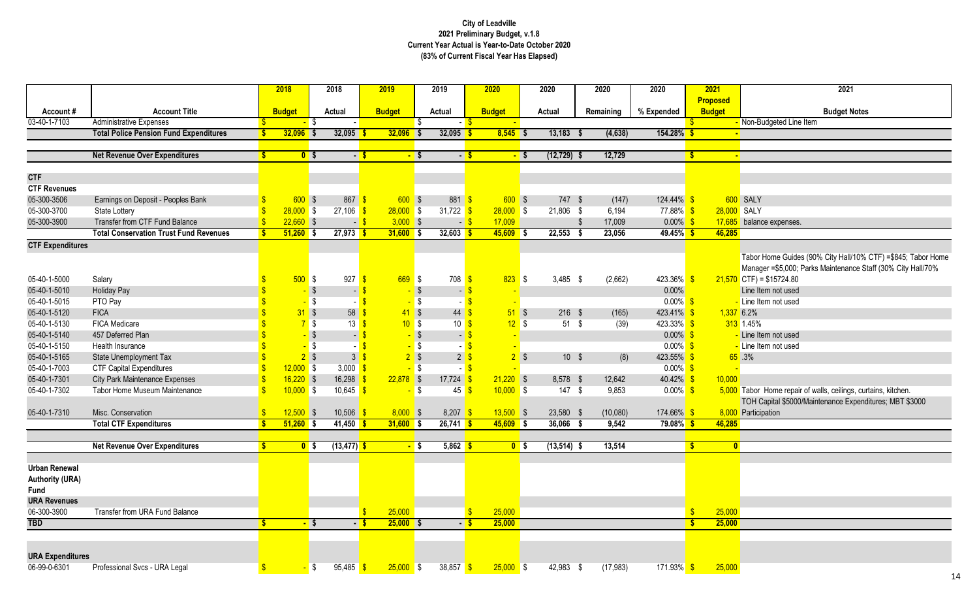| <b>2021</b>   | 2021                                                           |
|---------------|----------------------------------------------------------------|
| Proposed      |                                                                |
| <b>Budget</b> | <b>Budget Notes</b>                                            |
|               | - Non-Budgeted Line Item                                       |
| ٠             |                                                                |
|               |                                                                |
| ٠             |                                                                |
|               |                                                                |
|               |                                                                |
|               |                                                                |
|               | 600 SALY                                                       |
| 28,000 SALY   |                                                                |
| 17,685        | balance expenses.                                              |
| 46,285        |                                                                |
|               |                                                                |
|               | Tabor Home Guides (90% City Hall/10% CTF) = \$845; Tabor Home  |
|               | Manager = \$5,000; Parks Maintenance Staff (30% City Hall/70%  |
|               | $21,570$ CTF) = \$15724.80                                     |
|               | Line Item not used                                             |
|               | - Line Item not used                                           |
| $1,337$ 6.2%  |                                                                |
|               | 313 1.45%                                                      |
|               | - Line Item not used                                           |
|               | - Line Item not used                                           |
|               | $65 - 3%$                                                      |
|               |                                                                |
| 10,000        |                                                                |
|               | 5,000 Tabor Home repair of walls, ceilings, curtains, kitchen. |
|               | TOH Capital \$5000/Maintenance Expenditures; MBT \$3000        |
|               | 8,000 Participation                                            |
| 46,285        |                                                                |
|               |                                                                |
| $\bf{0}$      |                                                                |
|               |                                                                |
|               |                                                                |
|               |                                                                |

|                         |                                               |    | 2018          |                | 2018                             | 2019          |                   | 2019             |        | 2020           |      | 2020           |     | 2020      | 2020                    |                         | 2021            | 2021                                                          |
|-------------------------|-----------------------------------------------|----|---------------|----------------|----------------------------------|---------------|-------------------|------------------|--------|----------------|------|----------------|-----|-----------|-------------------------|-------------------------|-----------------|---------------------------------------------------------------|
|                         |                                               |    |               |                |                                  |               |                   |                  |        |                |      |                |     |           |                         |                         | <b>Proposed</b> |                                                               |
| Account#                | <b>Account Title</b>                          |    | <b>Budget</b> |                | <b>Actual</b>                    | <b>Budget</b> |                   | <b>Actual</b>    |        | <b>Budget</b>  |      | <b>Actual</b>  |     | Remaining | % Expended              |                         | <b>Budget</b>   | <b>Budget Notes</b>                                           |
| 03-40-1-7103            | <b>Administrative Expenses</b>                |    |               |                |                                  |               |                   |                  |        |                |      |                |     |           |                         |                         |                 | - Non-Budgeted Line Item                                      |
|                         | <b>Total Police Pension Fund Expenditures</b> | S  | $32,096$ \$   |                | 32,095                           | $32,096$ \$   |                   | 32,095           |        | $8,545$ \$     |      | 13,183         | - 5 | (4,638)   | $154.28\%$ \$           |                         |                 |                                                               |
|                         |                                               |    |               |                |                                  |               |                   |                  |        |                |      |                |     |           |                         |                         |                 |                                                               |
|                         | <b>Net Revenue Over Expenditures</b>          |    |               | $0$ \$         | $-$ \$                           |               | $-$ \$            |                  | $-5$   |                | - \$ | $(12, 729)$ \$ |     | 12,729    |                         | $\sqrt[6]{3}$           |                 |                                                               |
| <b>CTF</b>              |                                               |    |               |                |                                  |               |                   |                  |        |                |      |                |     |           |                         |                         |                 |                                                               |
| <b>CTF Revenues</b>     |                                               |    |               |                |                                  |               |                   |                  |        |                |      |                |     |           |                         |                         |                 |                                                               |
| 05-300-3506             | Earnings on Deposit - Peoples Bank            |    | $600$ \$      |                | $867 \frac{\$}$                  |               | $600$ \$          | 881 \$           |        | $600$ \$       |      | 747 \$         |     | (147)     | $124.44\%$ \$           |                         |                 | 600 SALY                                                      |
| 05-300-3700             | State Lottery                                 |    | $28,000$ \$   |                | $27,106$ \$                      | $28,000$ \$   |                   | 31,722 \$        |        | $28,000$ \$    |      | $21,806$ \$    |     | 6,194     | 77.88% \$               |                         | 28,000 SALY     |                                                               |
| 05-300-3900             | Transfer from CTF Fund Balance                |    | $22,660$ \$   |                | $-$ \$                           |               | $3,000$ \$        |                  | $-$ \$ | 17,009         |      |                |     | 17,009    | $0.00\%$ \$             |                         |                 | 17,685 balance expenses.                                      |
|                         | <b>Total Conservation Trust Fund Revenues</b> |    | $51,260$ \$   |                | $27,973$ \$                      | $31,600$ \$   |                   | $32,603$ \$      |        | $45,609$ \$    |      | $22,553$ \$    |     | 23,056    | $49.45\%$ \$            |                         | 46,285          |                                                               |
|                         |                                               |    |               |                |                                  |               |                   |                  |        |                |      |                |     |           |                         |                         |                 |                                                               |
| <b>CTF Expenditures</b> |                                               |    |               |                |                                  |               |                   |                  |        |                |      |                |     |           |                         |                         |                 |                                                               |
|                         |                                               |    |               |                |                                  |               |                   |                  |        |                |      |                |     |           |                         |                         |                 | Tabor Home Guides (90% City Hall/10% CTF) = \$845;            |
|                         |                                               |    |               |                |                                  |               |                   |                  |        |                |      |                |     |           |                         |                         |                 | Manager = \$5,000; Parks Maintenance Staff (30% City          |
| 05-40-1-5000            | Salary                                        |    | $500$ \$      |                | 927                              | <b>S</b>      | $669$ \$          | 708              |        | $823$ \$       |      | $3,485$ \$     |     | (2,662)   | $423.36\%$ \$           |                         |                 | $21,570$ CTF) = \$15724.80                                    |
| 05-40-1-5010            | <b>Holiday Pay</b>                            |    |               | $\sqrt{3}$     | $\blacksquare$                   |               |                   | $\sim$           |        |                |      |                |     |           | $0.00\%$                |                         |                 | Line Item not used                                            |
| 05-40-1-5015            | PTO Pay                                       |    |               | $\sqrt{3}$     |                                  |               | $-$ \$            |                  |        |                |      |                |     |           | $0.00\%$ \$             |                         |                 | - Line Item not used                                          |
| 05-40-1-5120            | <b>FICA</b>                                   |    |               | $31$ \$        | 58                               |               | $41 \text{ }$ \$  | 44               |        | $51$ \$        |      | $216$ \$       |     | (165)     | 423.41%                 |                         | $1,337$ 6.2%    |                                                               |
| 05-40-1-5130            | <b>FICA Medicare</b>                          |    |               | $7$ \$         | $13 \overline{\text{S}}$         |               | $10^{9}$ \$       | $10 \frac{S}{S}$ |        | $12 \quad$ \$  |      | 51S            |     | (39)      | $423.33\%$ \$           |                         |                 | 313 1.45%                                                     |
| 05-40-1-5140            | 457 Deferred Plan                             |    |               | $-$ \$         | - 1                              |               | $-$ \$            |                  |        |                |      |                |     |           | $0.00\%$                |                         |                 | - Line Item not used                                          |
| 05-40-1-5150            | Health Insurance                              |    |               | $\sqrt{3}$     |                                  |               | $-$ \$            |                  |        |                |      |                |     |           | $0.00\%$                |                         |                 | - Line Item not used                                          |
| 05-40-1-5165            | State Unemployment Tax                        |    |               | 2 <sup>5</sup> | $3\sqrt{3}$                      |               | $2 \sqrt{3}$      | 2                |        | $2$ \$         |      | $10 \quad$ \$  |     | (8)       | 423.55%                 |                         |                 | 65.3%                                                         |
| 05-40-1-7003            | <b>CTF Capital Expenditures</b>               |    | $12,000$ \$   |                | 3,000 $\frac{\text{}}{\text{}}$  |               | $-$ \$            |                  |        |                |      |                |     |           | $0.00\%$ \$             |                         |                 |                                                               |
| 05-40-1-7301            | <b>City Park Maintenance Expenses</b>         |    | $16,220$ \$   |                | 16,298                           | $22,878$ \$   |                   | 17,724           |        | $21,220$ \$    |      | 8,578 \$       |     | 12,642    | $40.42\%$ \$            |                         | 10,000          |                                                               |
| 05-40-1-7302            | Tabor Home Museum Maintenance                 |    | $10,000$ \$   |                | 10,645 $\frac{\text{}}{\text{}}$ |               | <mark>-</mark> \$ | 45               |        | $10,000$ \$    |      | 147S           |     | 9,853     | $0.00\%$ \$             |                         |                 | 5,000 Tabor Home repair of walls, ceilings, curtains, kitchen |
|                         |                                               |    |               |                |                                  |               |                   |                  |        |                |      |                |     |           |                         |                         |                 | TOH Capital \$5000/Maintenance Expenditures; MBT \$           |
| 05-40-1-7310            | Misc. Conservation                            |    | $12,500$ \$   |                | $10,506$ \$                      |               | $8,000$ \$        | $8,207$ \$       |        | $13,500$ \$    |      | 23,580         |     | (10,080)  | $174.66\%$ \$           |                         |                 | 8,000 Participation                                           |
|                         | <b>Total CTF Expenditures</b>                 |    | $51,260$ \$   |                | $41,450$ \$                      | $31,600$ \$   |                   | $26,741$ \$      |        | $45,609$ \$    |      | $36,066$ \$    |     | 9,542     | $79.08\%$ \$            |                         | 46,285          |                                                               |
|                         |                                               |    |               |                |                                  |               |                   |                  |        |                |      |                |     |           |                         |                         |                 |                                                               |
|                         | <b>Net Revenue Over Expenditures</b>          |    |               | 0 <sup>5</sup> | $(13, 477)$ \$                   |               | - \$              | $5,862$ \$       |        | 0 <sup>5</sup> |      | $(13,514)$ \$  |     | 13,514    |                         | $\mathbf{s}$            | $\mathbf{0}$    |                                                               |
|                         |                                               |    |               |                |                                  |               |                   |                  |        |                |      |                |     |           |                         |                         |                 |                                                               |
| <b>Urban Renewal</b>    |                                               |    |               |                |                                  |               |                   |                  |        |                |      |                |     |           |                         |                         |                 |                                                               |
| <b>Authority (URA)</b>  |                                               |    |               |                |                                  |               |                   |                  |        |                |      |                |     |           |                         |                         |                 |                                                               |
| <b>Fund</b>             |                                               |    |               |                |                                  |               |                   |                  |        |                |      |                |     |           |                         |                         |                 |                                                               |
| <b>URA Revenues</b>     |                                               |    |               |                |                                  |               |                   |                  |        |                |      |                |     |           |                         |                         |                 |                                                               |
| 06-300-3900             | Transfer from URA Fund Balance                |    |               |                |                                  | 25,000        |                   |                  |        | 25,000         |      |                |     |           |                         | $\mathbf{\overline{s}}$ | 25,000          |                                                               |
| <b>TBD</b>              |                                               | \$ |               | $-$ \$         | $-5$                             | $25,000$ \$   |                   |                  | $-5$   | 25,000         |      |                |     |           |                         | $\mathbf{s}$            | 25,000          |                                                               |
|                         |                                               |    |               |                |                                  |               |                   |                  |        |                |      |                |     |           |                         |                         |                 |                                                               |
|                         |                                               |    |               |                |                                  |               |                   |                  |        |                |      |                |     |           |                         |                         |                 |                                                               |
| <b>URA Expenditures</b> |                                               |    |               |                |                                  |               |                   |                  |        |                |      |                |     |           |                         |                         |                 |                                                               |
| 06-99-0-6301            | Professional Svcs - URA Legal                 |    |               | $-$ \$         | 95,485 \$                        | $25,000$ \$   |                   | 38,857 \$        |        | $25,000$ \$    |      | 42,983 \$      |     | (17, 983) | 171.93% <mark>\$</mark> |                         | 25,000          |                                                               |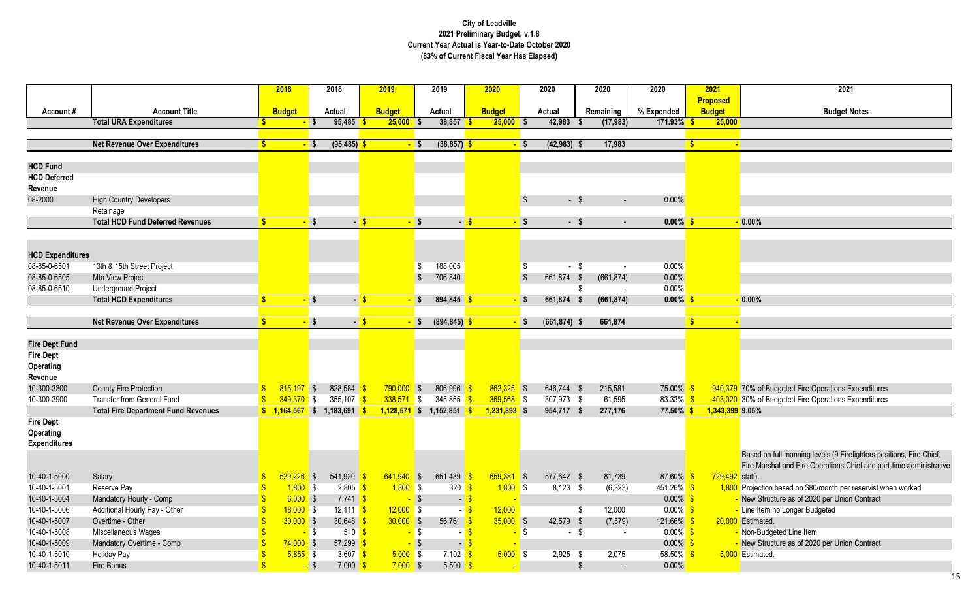| 2021            | 2021                                                 |
|-----------------|------------------------------------------------------|
| Proposed        |                                                      |
| <b>Budget</b>   | <b>Budget Notes</b>                                  |
| 25,000          |                                                      |
|                 |                                                      |
| ÷               |                                                      |
|                 |                                                      |
|                 |                                                      |
|                 |                                                      |
|                 |                                                      |
|                 |                                                      |
|                 |                                                      |
|                 | $-0.00%$                                             |
|                 |                                                      |
|                 |                                                      |
|                 |                                                      |
|                 |                                                      |
|                 |                                                      |
| Ξ               | 0.00%                                                |
|                 |                                                      |
| ٠               |                                                      |
|                 |                                                      |
|                 |                                                      |
|                 |                                                      |
|                 |                                                      |
|                 |                                                      |
|                 | 940,379 70% of Budgeted Fire Operations Expenditures |
|                 | 403,020 30% of Budgeted Fire Operations Expenditures |
| 1.343.399 9.05% |                                                      |

on full manning levels (9 Firefighters positions, Fire Chief, Irshal and Fire Operations Chief and part-time administrative

ion based on \$80/month per reservist when worked tructure as of 2020 per Union Contract<br>em no Longer Budgeted<br>ited. tructure as of 2020 per Union Contract

|                              |                                                          |                    | 2018           |                   | 2018                                      | 2019           |                   | 2019                            | 2020           |              | 2020            |                           | 2020                     | 2020                       |    | 2021            | 2021                                                                          |
|------------------------------|----------------------------------------------------------|--------------------|----------------|-------------------|-------------------------------------------|----------------|-------------------|---------------------------------|----------------|--------------|-----------------|---------------------------|--------------------------|----------------------------|----|-----------------|-------------------------------------------------------------------------------|
|                              |                                                          |                    |                |                   |                                           |                |                   |                                 |                |              |                 |                           |                          |                            |    | <b>Proposed</b> |                                                                               |
| Account#                     | <b>Account Title</b>                                     |                    | <b>Budget</b>  |                   | <b>Actual</b>                             | <b>Budget</b>  |                   | <b>Actual</b>                   | <b>Budget</b>  |              | <b>Actual</b>   |                           | Remaining                | % Expended                 |    | <b>Budget</b>   | <b>Budget Notes</b>                                                           |
|                              | <b>Total URA Expenditures</b>                            |                    |                | $-$ \$            | 95,485                                    | $25,000$ \$    |                   | 38,857                          |                | $25,000$ \$  | 42,983          |                           | (17, 983)                | $171.93\%$ \$              |    | 25,000          |                                                                               |
|                              |                                                          |                    |                |                   |                                           |                |                   |                                 |                |              |                 |                           |                          |                            |    |                 |                                                                               |
|                              | <b>Net Revenue Over Expenditures</b>                     |                    |                | $-$ \$            | (95, 485)                                 |                | $-$ \$            | (38, 857)                       |                | - \$         | $(42,983)$ \$   |                           | 17,983                   |                            |    |                 |                                                                               |
|                              |                                                          |                    |                |                   |                                           |                |                   |                                 |                |              |                 |                           |                          |                            |    |                 |                                                                               |
| <b>HCD Fund</b>              |                                                          |                    |                |                   |                                           |                |                   |                                 |                |              |                 |                           |                          |                            |    |                 |                                                                               |
| <b>HCD Deferred</b>          |                                                          |                    |                |                   |                                           |                |                   |                                 |                |              |                 |                           |                          |                            |    |                 |                                                                               |
| Revenue                      |                                                          |                    |                |                   |                                           |                |                   |                                 |                |              |                 |                           |                          |                            |    |                 |                                                                               |
| 08-2000                      | <b>High Country Developers</b>                           |                    |                |                   |                                           |                |                   |                                 |                |              |                 | $-$ \$                    | $\sim$                   | 0.00%                      |    |                 |                                                                               |
|                              | Retainage                                                |                    |                |                   |                                           |                |                   |                                 |                |              |                 |                           |                          |                            |    |                 |                                                                               |
|                              | <b>Total HCD Fund Deferred Revenues</b>                  | S.                 |                | $-$ \$            | $-$ \$                                    |                | $-$ \$            | $-5$                            |                | $-$ \$       |                 | $-$ \$                    |                          | $0.00\%$ \$                |    |                 | $-0.00\%$                                                                     |
|                              |                                                          |                    |                |                   |                                           |                |                   |                                 |                |              |                 |                           |                          |                            |    |                 |                                                                               |
|                              |                                                          |                    |                |                   |                                           |                |                   |                                 |                |              |                 |                           |                          |                            |    |                 |                                                                               |
| <b>HCD Expenditures</b>      |                                                          |                    |                |                   |                                           |                |                   |                                 |                |              |                 |                           |                          |                            |    |                 |                                                                               |
| 08-85-0-6501                 | 13th & 15th Street Project                               |                    |                |                   |                                           |                | -S                | 188,005                         |                |              |                 | - \$                      |                          | 0.00%                      |    |                 |                                                                               |
| 08-85-0-6505                 | Mtn View Project                                         |                    |                |                   |                                           |                |                   | 706,840                         |                |              | 661,874 \$      |                           | (661, 874)               | 0.00%                      |    |                 |                                                                               |
| 08-85-0-6510                 | <b>Underground Project</b>                               |                    |                |                   |                                           |                |                   |                                 |                |              |                 |                           |                          | 0.00%                      |    |                 |                                                                               |
|                              | <b>Total HCD Expenditures</b>                            | Ŝ                  |                | $-$ \$            | $-$ \$                                    |                | $-$ \$            | $894,845$ \$                    |                | - 5          | 661,874         |                           | (661, 874)               | $0.00\%$ \$                |    |                 | $-0.00%$                                                                      |
|                              |                                                          |                    |                |                   |                                           |                |                   |                                 |                |              |                 |                           |                          |                            |    |                 |                                                                               |
|                              | <b>Net Revenue Over Expenditures</b>                     | <b>S</b>           |                | $-$ \$            |                                           | $-5$           | $-$ \$            | $(894, 845)$ \$                 |                | $-$ \$       | $(661, 874)$ \$ |                           | 661,874                  |                            | -S |                 |                                                                               |
|                              |                                                          |                    |                |                   |                                           |                |                   |                                 |                |              |                 |                           |                          |                            |    |                 |                                                                               |
| <b>Fire Dept Fund</b>        |                                                          |                    |                |                   |                                           |                |                   |                                 |                |              |                 |                           |                          |                            |    |                 |                                                                               |
| <b>Fire Dept</b>             |                                                          |                    |                |                   |                                           |                |                   |                                 |                |              |                 |                           |                          |                            |    |                 |                                                                               |
| <b>Operating</b>             |                                                          |                    |                |                   |                                           |                |                   |                                 |                |              |                 |                           |                          |                            |    |                 |                                                                               |
| Revenue                      |                                                          |                    |                |                   |                                           |                |                   |                                 |                |              |                 |                           |                          |                            |    |                 |                                                                               |
| 10-300-3300                  | <b>County Fire Protection</b>                            |                    | $815,197$ \$   |                   | 828,584                                   | $790,000$ \$   |                   | $806,996$ \$                    | $862,325$ \$   |              | 646,744 \$      |                           | 215,581                  | 75.00%                     |    |                 | 940,379 70% of Budgeted Fire Operations Expenditures                          |
| 10-300-3900                  | <b>Transfer from General Fund</b>                        |                    | $349,370$ \$   |                   | 355,107                                   | $338,571$ \$   |                   | 345,855 \$                      | $369,568$ \$   |              | 307,973 \$      |                           | 61,595                   | 83.33% \$                  |    |                 | 403,020 30% of Budgeted Fire Operations Expenditures                          |
|                              | <b>Total Fire Department Fund Revenues</b>               |                    | $1,164,567$ \$ |                   | $1,183,691$ \$                            | $1,128,571$ \$ |                   | $1,152,851$ \$                  | $1,231,893$ \$ |              | 954,717         | - 5                       | 277,176                  | $77.50\%$ \$               |    | 1,343,399 9.05% |                                                                               |
| <b>Fire Dept</b>             |                                                          |                    |                |                   |                                           |                |                   |                                 |                |              |                 |                           |                          |                            |    |                 |                                                                               |
| Operating                    |                                                          |                    |                |                   |                                           |                |                   |                                 |                |              |                 |                           |                          |                            |    |                 |                                                                               |
| <b>Expenditures</b>          |                                                          |                    |                |                   |                                           |                |                   |                                 |                |              |                 |                           |                          |                            |    |                 |                                                                               |
|                              |                                                          |                    |                |                   |                                           |                |                   |                                 |                |              |                 |                           |                          |                            |    |                 | Based on full manning levels (9 Firefighters pos                              |
| 10-40-1-5000                 |                                                          |                    | $529,226$ \$   |                   | $541,920$ \$                              | $641,940$ \$   |                   | 651,439 \$                      |                | $659,381$ \$ | 577,642 \$      |                           |                          | 87.60% \$                  |    |                 | Fire Marshal and Fire Operations Chief and par                                |
| 10-40-1-5001                 | Salary<br>Reserve Pay                                    | $\sqrt[6]{3}$      | $1,800$ \$     |                   | $2,805$ \$                                | $1,800$ \$     |                   | $320 \frac{\text{S}}{\text{S}}$ |                | $1,800$ \$   | $8,123$ \$      |                           | 81,739<br>(6, 323)       | $451.26\%$ \$              |    | 729,492 staff). | 1,800 Projection based on \$80/month per reservist wl                         |
|                              |                                                          |                    | $6,000$ \$     |                   |                                           |                |                   |                                 |                |              |                 |                           |                          | $0.00\%$ \$                |    |                 |                                                                               |
| 10-40-1-5004<br>10-40-1-5006 | Mandatory Hourly - Comp<br>Additional Hourly Pay - Other |                    | $18,000$ \$    |                   | $7,741$ \$<br>12,111 $\frac{\$}{}$        | $12,000$ \$    | $-$ \$            | $-$ \$<br>- 5                   | 12,000         |              |                 | - \$                      |                          | $0.00\%$ \$                |    |                 | New Structure as of 2020 per Union Contract<br>- Line Item no Longer Budgeted |
|                              |                                                          | -\$                | $30,000$ \$    |                   |                                           |                |                   |                                 |                | $35,000$ \$  |                 |                           | 12,000                   |                            |    |                 | 20,000 Estimated.                                                             |
| 10-40-1-5007<br>10-40-1-5008 | Overtime - Other                                         |                    |                |                   | 30,648 \$                                 | $30,000$ \$    |                   | 56,761 \$                       |                |              | 42,579 \$       |                           | (7, 579)                 | 121.66%                    |    |                 |                                                                               |
| 10-40-1-5009                 | Miscellaneous Wages                                      |                    | $74,000$ \$    | <mark>-</mark> \$ | $510$ $\sqrt{\frac{6}{5}}$<br>$57,299$ \$ |                | <mark>-</mark> \$ | - 5                             |                | - \$         |                 | $-$ \$                    | $\overline{\phantom{a}}$ | $0.00\%$ \$<br>$0.00\%$ \$ |    |                 | - Non-Budgeted Line Item                                                      |
| 10-40-1-5010                 | Mandatory Overtime - Comp<br><b>Holiday Pay</b>          |                    | $5,855$ \$     |                   | 3,607 $\frac{\$}{\$}$                     |                | - \$              | $-$ \$<br>$7,102$ \$            |                | $5,000$ \$   | $2,925$ \$      |                           |                          | 58.50% \$                  |    |                 | - New Structure as of 2020 per Union Contract                                 |
| 10-40-1-5011                 |                                                          | $\mathbf{\hat{s}}$ |                | $-$ \$            |                                           | $5,000$ \$     |                   | $5,500$ \$                      |                |              |                 | $\boldsymbol{\mathsf{S}}$ | 2,075                    |                            |    |                 | 5,000 Estimated.                                                              |
|                              | Fire Bonus                                               |                    |                |                   | $7,000$ \$                                | $7,000$ \$     |                   |                                 |                |              |                 |                           | $\sim$                   | $0.00\%$                   |    |                 |                                                                               |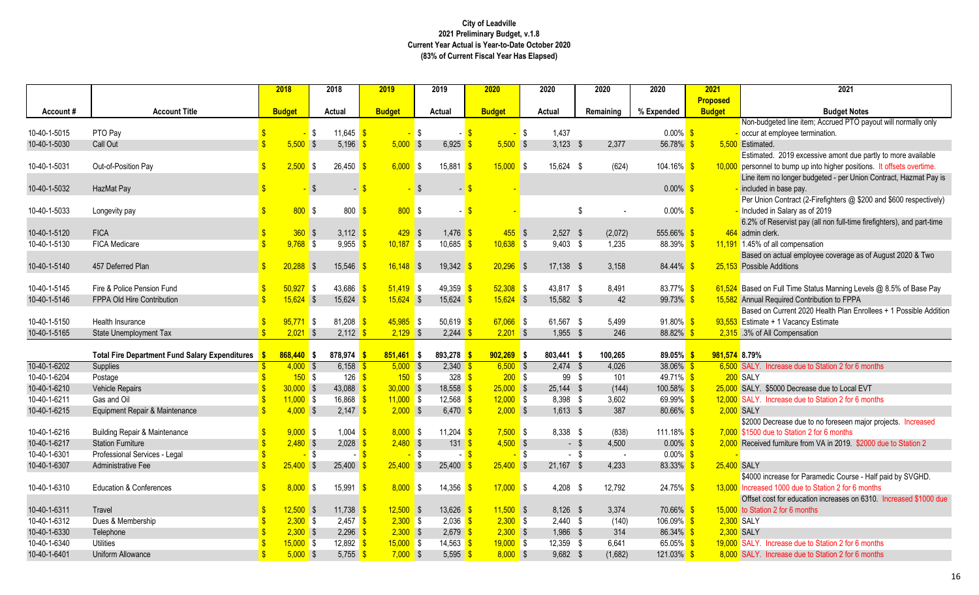|              |                                                       |               | 2018          |                   | 2018                            | 2019          |          | 2019                       | 2020          | 2020                |       | 2020      | 2020                   | 2021            | 2021                                                                    |
|--------------|-------------------------------------------------------|---------------|---------------|-------------------|---------------------------------|---------------|----------|----------------------------|---------------|---------------------|-------|-----------|------------------------|-----------------|-------------------------------------------------------------------------|
|              |                                                       |               |               |                   |                                 |               |          |                            |               |                     |       |           |                        | <b>Proposed</b> |                                                                         |
| Account#     | <b>Account Title</b>                                  |               | <b>Budget</b> |                   | <b>Actual</b>                   | <b>Budget</b> |          | <b>Actual</b>              | <b>Budget</b> | <b>Actual</b>       |       | Remaining | % Expended             | <b>Budget</b>   | <b>Budget Notes</b>                                                     |
|              |                                                       |               |               |                   |                                 |               |          |                            |               |                     |       |           |                        |                 | Non-budgeted line item; Accrued PTO payout will normally only           |
| 10-40-1-5015 | PTO Pay                                               |               |               | $-$ \$            | 11,645 \$                       |               | l \$     |                            |               | 1,437<br>$\sqrt{ }$ |       |           | $0.00\%$ \$            |                 | occur at employee termination.                                          |
| 10-40-1-5030 | Call Out                                              |               | $5,500$ \$    |                   | 5,196                           | $5,000$ \$    |          | 6,925                      | $5,500$ \$    | $3,123$ \$          |       | 2,377     | 56.78% \$              |                 | 5,500 Estimated.                                                        |
|              |                                                       |               |               |                   |                                 |               |          |                            |               |                     |       |           |                        |                 | Estimated. 2019 excessive amont due partly to more available            |
| 10-40-1-5031 | Out-of-Position Pay                                   |               | 2,500         | <b>S</b>          | 26,450                          | $6,000$ \$    |          | 15,881                     | $15,000$ \$   | 15,624 \$           |       | (624)     | 104.16% \$             |                 | 10,000 personnel to bump up into higher positions. It offsets overtime. |
|              |                                                       |               |               |                   |                                 |               |          |                            |               |                     |       |           |                        |                 | Line item no longer budgeted - per Union Contract, Hazmat Pay is        |
| 10-40-1-5032 | HazMat Pay                                            |               |               | <b>S</b>          | $\sim$ .                        |               |          |                            |               |                     |       |           | $0.00\%$ \$            |                 | included in base pay.                                                   |
|              |                                                       |               |               |                   |                                 |               |          |                            |               |                     |       |           |                        |                 | Per Union Contract (2-Firefighters @ \$200 and \$600 respectively)      |
| 10-40-1-5033 | Longevity pay                                         |               | 800S          |                   | 800                             |               | $800$ \$ |                            |               |                     | \$    |           | $0.00\%$ \$            |                 | Included in Salary as of 2019                                           |
|              |                                                       |               |               |                   |                                 |               |          |                            |               |                     |       |           |                        |                 | 6.2% of Reservist pay (all non full-time firefighters), and part-time   |
| 10-40-1-5120 | <b>FICA</b>                                           |               | 360S          |                   | $3,112$ \$                      |               | $429$ \$ | $1,476$ \$                 | $455$ \$      | $2,527$ \$          |       | (2,072)   | 555.66% \$             |                 | 464 admin clerk.                                                        |
| 10-40-1-5130 | FICA Medicare                                         |               | $9,768$ \$    |                   | 9,955                           | $10,187$ \$   |          | 10,685                     | $10,638$ \$   | $9,403$ \$          |       | 1,235     | $88.39\%$ \$           |                 | 11,191 1.45% of all compensation                                        |
|              |                                                       |               |               |                   |                                 |               |          |                            |               |                     |       |           |                        |                 | Based on actual employee coverage as of August 2020 & Two               |
| 10-40-1-5140 | 457 Deferred Plan                                     |               | $20,288$ \$   |                   | 15,546                          | $16,148$ \$   |          | 19,342                     | $20,296$ \$   | $17,138$ \$         |       | 3,158     | 84.44%                 |                 | 25,153 Possible Additions                                               |
|              |                                                       |               |               |                   |                                 |               |          |                            |               |                     |       |           |                        |                 |                                                                         |
| 10-40-1-5145 | Fire & Police Pension Fund                            |               | 50,927        | <b>S</b>          | 43,686                          | $51,419$ \$   |          | 49,359 \$                  | $52,308$ \$   | 43,817 \$           |       | 8,491     | 83.77% \$              |                 | 61,524 Based on Full Time Status Manning Levels @ 8.5% of Base Pay      |
| 10-40-1-5146 | FPPA Old Hire Contribution                            |               | $15,624$ \$   |                   | 15,624                          | $15,624$ \$   |          | 15,624                     | $15,624$ \$   | 15,582 \$           |       | 42        | 99.73%                 |                 | 15,582 Annual Required Contribution to FPPA                             |
|              |                                                       |               |               |                   |                                 |               |          |                            |               |                     |       |           |                        |                 | Based on Current 2020 Health Plan Enrollees + 1 Possible Addition       |
| 10-40-1-5150 | Health Insurance                                      |               | $95,771$ \$   |                   | 81,208 \$                       | $45,985$ \$   |          | $50,619$ \$                | $67,066$ \$   | 61,567 \$           |       | 5,499     | $91.80\%$ \$           |                 | 93,553 Estimate + 1 Vacancy Estimate                                    |
| 10-40-1-5165 | State Unemployment Tax                                |               | $2,021$ \$    |                   | $2,112$ \$                      | $2,129$ \$    |          | $2,244$ \$                 | $2,201$ \$    | 1,955 \$            |       | 246       | $88.82\%$ \$           |                 | 2,315 .3% of All Compensation                                           |
|              |                                                       |               |               |                   |                                 |               |          |                            |               |                     |       |           |                        |                 |                                                                         |
|              | <b>Total Fire Department Fund Salary Expenditures</b> |               | $868,440$ \$  |                   | 878,974                         | $851,461$ \$  |          | 893,278                    | $902,269$ \$  | 803,441 \$          |       | 100,265   | $89.05\%$ \$           |                 | 981,574 8.79%                                                           |
| 10-40-1-6202 | Supplies                                              |               | $4,000$ \$    |                   | $6,158$ \$                      | $5,000$ \$    |          | $2,340$ \$                 | $6,500$ \$    | $2,474$ \$          |       | 4,026     | $38.06\%$ \$           |                 | 6,500 SALY. Increase due to Station 2 for 6 months                      |
| 10-40-1-6204 | Postage                                               |               | 150S          |                   | 126 $\sqrt$                     |               | 150S     | $328$ $\sqrt{\frac{6}{5}}$ | $200$ \$      |                     | 99 \$ | 101       | $49.71\%$ \$           |                 | 200 SALY                                                                |
| 10-40-1-6210 | Vehicle Repairs                                       |               | $30,000$ \$   |                   | 43,088                          | $30,000$ \$   |          | $18,558$ $\frac{9}{15}$    | $25,000$ \$   | $25,144$ \$         |       | (144)     | $100.58\%$ \$          |                 | 25,000 SALY. \$5000 Decrease due to Local EVT                           |
| 10-40-1-6211 | Gas and Oil                                           |               | $11,000$ \$   |                   | $16,868$ \$                     | $11,000$ \$   |          | $12,568$ \$                | $12,000$ \$   | 8,398 \$            |       | 3,602     | 69.99% \$              |                 | 12,000 SALY. Increase due to Station 2 for 6 months                     |
| 10-40-1-6215 | Equipment Repair & Maintenance                        |               | $4,000$ \$    |                   | $2,147$ \$                      | $2,000$ \$    |          | 6,470 \$                   | $2,000$ \$    | $1,613$ \$          |       | 387       | $80.66\%$ \$           |                 | 2,000 SALY                                                              |
|              |                                                       |               |               |                   |                                 |               |          |                            |               |                     |       |           |                        |                 | \$2000 Decrease due to no foreseen major projects. Increased            |
| 10-40-1-6216 | <b>Building Repair &amp; Maintenance</b>              |               | $9,000$ \$    |                   | $1,004$ \$                      | $8,000$ \$    |          | 11,204 \$                  | $7,500$ \$    | 8,338 \$            |       | (838)     | 111.18% \$             |                 | 7,000 \$1500 due to Station 2 for 6 months                              |
| 10-40-1-6217 | <b>Station Furniture</b>                              |               | $2,480$ \$    |                   | 2,028                           | $2,480$ \$    |          | 131 <sup>8</sup>           | $4,500$ \$    |                     | - \$  | 4,500     | $0.00\%$ \$            |                 | 2,000 Received furniture from VA in 2019. \$2000 due to Station 2       |
| 10-40-1-6301 | Professional Services - Legal                         |               |               | <mark>-</mark> \$ |                                 |               | - \$     |                            |               | l S                 | - \$  |           | $0.00\%$ \$            |                 |                                                                         |
| 10-40-1-6307 | Administrative Fee                                    |               | $25,400$ \$   |                   | 25,400                          | $25,400$ \$   |          | 25,400                     | $25,400$ \$   | 21,167 \$           |       | 4,233     | $83.33\%$              |                 | 25,400 SALY                                                             |
|              |                                                       |               |               |                   |                                 |               |          |                            |               |                     |       |           |                        |                 | \$4000 increase for Paramedic Course - Half paid by SVGHD.              |
| 10-40-1-6310 | <b>Education &amp; Conferences</b>                    | $\mathbb{S}$  | $8,000$ \$    |                   | 15,991 $\frac{\ }{\ }$          | $8,000$ \$    |          | 14,356 $\frac{1}{3}$       | $17,000$ \$   | $4,208$ \$          |       | 12,792    | $24.75\%$ \$           |                 | 13,000 Increased 1000 due to Station 2 for 6 months                     |
|              |                                                       |               |               |                   |                                 |               |          |                            |               |                     |       |           |                        |                 | Offset cost for education increases on 6310. Increased \$1000 due       |
| 10-40-1-6311 | Travel                                                |               | $12,500$ \$   |                   | 11,738 $\frac{1}{9}$            | $12,500$ \$   |          | $13,626$ \$                | $11,500$ \$   | $8,126$ \$          |       | 3,374     | 70.66% <mark>\$</mark> |                 | 15,000 to Station 2 for 6 months                                        |
| 10-40-1-6312 | Dues & Membership                                     |               | $2,300$ \$    |                   | 2,457 $\frac{\text{}}{\text{}}$ | $2,300$ \$    |          | $2,036$ \$                 | $2,300$ \$    | $2,440$ \$          |       | (140)     | $106.09\%$ \$          |                 | 2,300 SALY                                                              |
| 10-40-1-6330 | Telephone                                             |               | $2,300$ \$    |                   | $2,296$ \$                      | $2,300$ \$    |          | $2,679$ \$                 | $2,300$ \$    | 1,986 \$            |       | 314       | 86.34% <sup>S</sup>    |                 | 2,300 SALY                                                              |
| 10-40-1-6340 | Utilities                                             |               | $15,000$ \$   |                   | 12,892 \$                       | $15,000$ \$   |          | $14,563$ \$                | $19,000$ \$   | 12,359 \$           |       | 6,641     | 65.05% \$              |                 | 19,000 SALY. Increase due to Station 2 for 6 months                     |
| 10-40-1-6401 | Uniform Allowance                                     | $\mathbf{\$}$ | $5,000$ \$    |                   | 5,755 \$                        | $7,000$ \$    |          | 5,595 \$                   | $8,000$ \$    | $9,682$ \$          |       | (1,682)   | $121.03\%$ \$          |                 | 8,000 SALY. Increase due to Station 2 for 6 months                      |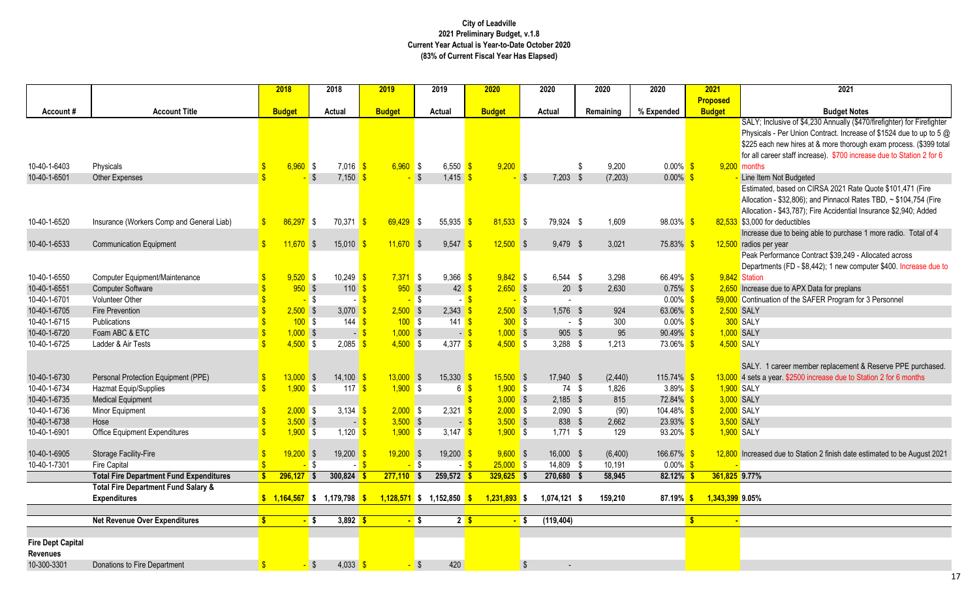nclusive of \$4,230 Annually (\$470/firefighter) for Firefighter s - Per Union Contract. Increase of \$1524 due to up to 5  $\oslash$ ch new hires at & more thorough exam process. (\$399 total reer staff increase). \$700 increase due to Station 2 for 6

ed, based on CIRSA 2021 Rate Quote \$101,471 (Fire 1 - \$32,806); and Pinnacol Rates TBD, ~ \$104,754 (Fire 1 - \$43,787); Fire Accidential Insurance \$2,940; Added or deductibles

If due to being able to purchase 1 more radio. Total of  $4$ er year

rformance Contract \$39,249 - Allocated across

ents (FD - \$8,442); 1 new computer \$400. Increase due to

due to APX Data for preplans ation of the SAFER Program for 3 Personnel

career member replacement & Reserve PPE purchased. year. \$2500 increase due to Station 2 for 6 months

d due to Station 2 finish date estimated to be August 2021

|                          |                                                | 2018                         | 2018                            | 2019                 | 2019                     | 2020                      |                         | 2020           | 2020          | 2020          | 2021            | 2021                                         |
|--------------------------|------------------------------------------------|------------------------------|---------------------------------|----------------------|--------------------------|---------------------------|-------------------------|----------------|---------------|---------------|-----------------|----------------------------------------------|
|                          |                                                |                              |                                 |                      |                          |                           |                         |                |               |               | <b>Proposed</b> |                                              |
| Account#                 | <b>Account Title</b>                           | <b>Budget</b>                | <b>Actual</b>                   | <b>Budget</b>        | <b>Actual</b>            | <b>Budget</b>             |                         | <b>Actual</b>  | Remaining     | % Expended    | <b>Budget</b>   | <b>Budget N</b>                              |
|                          |                                                |                              |                                 |                      |                          |                           |                         |                |               |               |                 | SALY; Inclusive of \$4,230 Annually          |
|                          |                                                |                              |                                 |                      |                          |                           |                         |                |               |               |                 | Physicals - Per Union Contract. Incr         |
|                          |                                                |                              |                                 |                      |                          |                           |                         |                |               |               |                 | \$225 each new hires at & more thor          |
|                          |                                                |                              |                                 |                      |                          |                           |                         |                |               |               |                 | for all career staff increase). \$700 in     |
| 10-40-1-6403             | Physicals                                      | $6,960$ \$                   | $7,016$ \$                      | $6,960$ \$           | 6,550 $\frac{\$}{}$      | 9,200                     |                         |                | 9,200<br>\$   | $0.00\%$ \$   |                 | $9,200$ months                               |
| 10-40-1-6501             | Other Expenses                                 |                              | $7,150$ \$<br>$\sqrt{3}$        |                      | $1,415$ \$<br>$\sqrt{S}$ |                           | $\sqrt{S}$              | $7,203$ \$     | (7, 203)      | $0.00\%$ \$   |                 | Line Item Not Budgeted                       |
|                          |                                                |                              |                                 |                      |                          |                           |                         |                |               |               |                 | Estimated, based on CIRSA 2021 R             |
|                          |                                                |                              |                                 |                      |                          |                           |                         |                |               |               |                 | Allocation - \$32,806); and Pinnacol I       |
|                          |                                                |                              |                                 |                      |                          |                           |                         |                |               |               |                 | Allocation - \$43,787); Fire Accidentia      |
| 10-40-1-6520             | Insurance (Workers Comp and General Liab)      | $86,297$ \$                  | 70,371 \$                       | 69,429               | 55,935<br>$\blacksquare$ | $81,533$ \$<br>$\sqrt{3}$ |                         | 79,924 \$      | 1,609         | $98.03\%$ \$  |                 | 82,533 \$3,000 for deductibles               |
|                          |                                                |                              |                                 |                      |                          |                           |                         |                |               |               |                 | Increase due to being able to purcha         |
| 10-40-1-6533             | <b>Communication Equipment</b>                 | $11,670$ \$                  | $15,010$ \$                     | $11,670$ \$          | $9,547$ \$               | $12,500$ \$               |                         | 9,479 \$       | 3,021         | $75.83\%$ \$  |                 | 12,500 radios per year                       |
|                          |                                                |                              |                                 |                      |                          |                           |                         |                |               |               |                 | Peak Performance Contract \$39,249           |
|                          |                                                |                              |                                 |                      |                          |                           |                         |                |               |               |                 | Departments (FD - \$8,442); 1 new c          |
| 10-40-1-6550             | Computer Equipment/Maintenance                 | $9,520$ \$                   | $10,249$ \$                     | $7,371$ \$           | $9,366$ \$               | $9,842$ \$                |                         | $6,544$ \$     | 3,298         | 66.49% \$     |                 | 9,842 Station                                |
| 10-40-1-6551             | <b>Computer Software</b>                       | $950$ \$                     | $110 - $$                       | $950$ \$             | $42 \overline{\text{S}}$ | $2,650$ \$                |                         | $20$ \$        | 2,630         | $0.75\%$ \$   |                 | 2,650 Increase due to APX Data for prepla    |
| 10-40-1-6701             | Volunteer Other                                | <mark>-</mark> \$            |                                 | - \$                 | $-$ \$                   | - <mark>\$</mark>         | <b>S</b>                |                |               | $0.00\%$ \$   |                 | 59,000 Continuation of the SAFER Program     |
| 10-40-1-6705             | <b>Fire Prevention</b>                         | $2,500$ \$                   | 3,070 $$$                       | $2,500$ \$           | $2,343$ \$               | $2,500$ \$                |                         | $1,576$ \$     | 924           | 63.06% \$     |                 | 2,500 SALY                                   |
| 10-40-1-6715             | Publications                                   | 100S                         | 144 $\frac{\text{S}}{\text{S}}$ | 100S                 | 141 $\sqrt{s}$           | $300$ \$                  |                         | $\sim$         | 300<br>-\$    | $0.00\%$ \$   |                 | 300 SALY                                     |
| 10-40-1-6720             | Foam ABC & ETC                                 | $1,000$ \$                   |                                 | $1,000$ \$<br>$-$ \$ |                          | $1,000$ \$<br>$-$ \$      |                         | $905$ \$       | 95            | $90.49\%$ \$  |                 | 1,000 SALY                                   |
| 10-40-1-6725             | Ladder & Air Tests                             | $4,500$ \$                   | $2,085$ \$                      | $4,500$ \$           | 4,377 $\frac{1}{5}$      | $4,500$ \$                |                         | $3,288$ \$     | 1,213         | 73.06% \$     |                 | 4,500 SALY                                   |
|                          |                                                |                              |                                 |                      |                          |                           |                         |                |               |               |                 |                                              |
|                          |                                                |                              |                                 |                      |                          |                           |                         |                |               |               |                 | SALY. 1 career member replaceme              |
| 10-40-1-6730             | Personal Protection Equipment (PPE)            | $13,000$ \$                  | $14,100$ \$                     | $13,000$ \$          | $15,330$ \$              | $15,500$ \$               |                         | 17,940 \$      | (2, 440)      | $115.74\%$ \$ |                 | 13,000 4 sets a year. \$2500 increase due to |
| 10-40-1-6734             | Hazmat Equip/Supplies                          | $1,900$ \$                   | 117 $\sqrt$                     | $1,900$ \$           | 6                        | $1,900$ \$                |                         | 74 \$          | 1,826         | $3.89\%$ \$   |                 | 1,900 SALY                                   |
| 10-40-1-6735             | <b>Medical Equipment</b>                       |                              |                                 |                      |                          | $3,000$ \$                |                         | $2,185$ \$     | 815           | $72.84\%$ \$  |                 | 3,000 SALY                                   |
| 10-40-1-6736             | Minor Equipment                                | $2,000$ \$                   | 3,134 $\sqrt{s}$                | $2,000$ \$           | 2,321                    | $2,000$ \$                |                         | $2,090$ \$     | (90)          | $104.48\%$ \$ |                 | 2,000 SALY                                   |
| 10-40-1-6738             | Hose                                           | $3,500$ \$                   |                                 | $3,500$ \$<br>$-$ \$ |                          | $3,500$ \$<br>- \$        |                         | 838 \$         | 2,662         | $23.93\%$ \$  |                 | 3,500 SALY                                   |
| 10-40-1-6901             | Office Equipment Expenditures                  | $1,900$ \$                   | 1,120 $\frac{\ }{\ }$           | $1,900$ \$           | 3,147 \$                 | $1,900$ \$                |                         | $1,771$ \$     | 129           | 93.20% \$     |                 | 1,900 SALY                                   |
|                          |                                                |                              |                                 |                      |                          |                           |                         |                |               |               |                 |                                              |
| 10-40-1-6905             | Storage Facility-Fire                          | $19,200$ \$                  | 19,200                          | $19,200$ \$          | 19,200                   | $9,600$ \$                |                         | 16,000 \$      | (6, 400)      | 166.67% \$    |                 | 12,800 Increased due to Station 2 finish dat |
| 10-40-1-7301             | <b>Fire Capital</b>                            | $-$ \$                       |                                 | - \$                 | <mark>-</mark> \$        | $25,000$ \$               |                         | 14,809         | -\$<br>10,191 | $0.00\%$ \$   |                 |                                              |
|                          | <b>Total Fire Department Fund Expenditures</b> | $296,127$ \$                 | 300,824 \$                      | $277,110$ \$         | $259,572$ \$             | $329,625$ \$              |                         | 270,680        | 58,945        | $82.12\%$ \$  |                 | 361,825 9.77%                                |
|                          | <b>Total Fire Department Fund Salary &amp;</b> |                              |                                 |                      |                          |                           |                         |                |               |               |                 |                                              |
|                          | <b>Expenditures</b>                            | $$1,164,567$ \$ 1,179,798 \$ |                                 |                      | $1,128,571$ \$ 1,152,850 | $1,231,893$ \$<br>l S     |                         | 1,074,121 \$   | 159,210       | 87.19% \$     | 1,343,399 9.05% |                                              |
|                          |                                                |                              |                                 |                      |                          |                           |                         |                |               |               |                 |                                              |
|                          | <b>Net Revenue Over Expenditures</b>           | $-$ \$                       | $3,892$ \$                      |                      | <mark>-</mark> \$        | 2 <sup>5</sup>            | - \$                    | (119, 404)     |               |               | \$              |                                              |
|                          |                                                |                              |                                 |                      |                          |                           |                         |                |               |               |                 |                                              |
| <b>Fire Dept Capital</b> |                                                |                              |                                 |                      |                          |                           |                         |                |               |               |                 |                                              |
| <b>Revenues</b>          |                                                | $-$ \$                       |                                 |                      | $-$ \$<br>420            |                           |                         |                |               |               |                 |                                              |
| 10-300-3301              | Donations to Fire Department                   |                              | 4,033 $\frac{1}{9}$             |                      |                          |                           | $\sqrt[6]{\frac{1}{2}}$ | $\blacksquare$ |               |               |                 |                                              |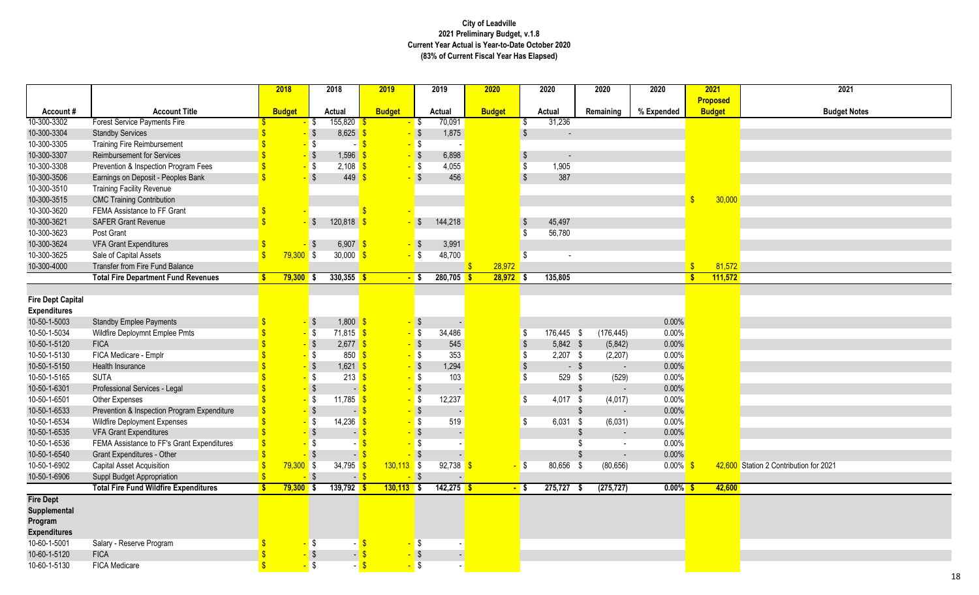|                          |                                              |               | 2018          |                              | 2018                       | 2019              |              | 2019          | 2020          |             |                           | 2020                     |        | 2020                     | 2020        |                         | 2021            | 2021                                   |
|--------------------------|----------------------------------------------|---------------|---------------|------------------------------|----------------------------|-------------------|--------------|---------------|---------------|-------------|---------------------------|--------------------------|--------|--------------------------|-------------|-------------------------|-----------------|----------------------------------------|
|                          |                                              |               |               |                              |                            |                   |              |               |               |             |                           |                          |        |                          |             |                         | <b>Proposed</b> |                                        |
| Account#                 | <b>Account Title</b>                         |               | <b>Budget</b> |                              | <b>Actual</b>              | <b>Budget</b>     |              | <b>Actual</b> | <b>Budget</b> |             |                           | <b>Actual</b>            |        | Remaining                | % Expended  |                         | <b>Budget</b>   | <b>Budget N</b>                        |
| 10-300-3302              | <b>Forest Service Payments Fire</b>          |               |               | \$                           | $155,820$ \$               | <mark>-</mark> \$ |              | 70,091        |               |             | -\$                       | 31,236                   |        |                          |             |                         |                 |                                        |
| 10-300-3304              | <b>Standby Services</b>                      |               |               |                              | 8,625                      |                   | $\sqrt{3}$   | 1,875         |               |             |                           |                          |        |                          |             |                         |                 |                                        |
| 10-300-3305              | <b>Training Fire Reimbursement</b>           |               |               | \$                           |                            |                   | \$           |               |               |             |                           |                          |        |                          |             |                         |                 |                                        |
| 10-300-3307              | <b>Reimbursement for Services</b>            |               |               | $\sqrt[6]{\frac{1}{2}}$      | 1,596                      |                   | $\sqrt{3}$   | 6,898         |               |             | \$                        | $\overline{\phantom{a}}$ |        |                          |             |                         |                 |                                        |
| 10-300-3308              | Prevention & Inspection Program Fees         |               |               | \$                           | 2,108                      |                   | \$           | 4,055         |               |             | \$                        | 1,905                    |        |                          |             |                         |                 |                                        |
| 10-300-3506              | Earnings on Deposit - Peoples Bank           |               |               | $\sqrt[6]{3}$                | 449                        |                   | $\sqrt{3}$   | 456           |               |             |                           | 387                      |        |                          |             |                         |                 |                                        |
| 10-300-3510              | <b>Training Facility Revenue</b>             |               |               |                              |                            |                   |              |               |               |             |                           |                          |        |                          |             |                         |                 |                                        |
| 10-300-3515              | <b>CMC Training Contribution</b>             |               |               |                              |                            |                   |              |               |               |             |                           |                          |        |                          |             | $\sqrt{3}$              | 30,000          |                                        |
| 10-300-3620              | FEMA Assistance to FF Grant                  |               |               |                              |                            |                   |              |               |               |             |                           |                          |        |                          |             |                         |                 |                                        |
| 10-300-3621              | <b>SAFER Grant Revenue</b>                   |               |               | $\mathcal{L}$                | 120,818                    |                   | \$           | 144,218       |               |             |                           | 45,497                   |        |                          |             |                         |                 |                                        |
| 10-300-3623              | Post Grant                                   |               |               |                              |                            |                   |              |               |               |             | -\$                       | 56,780                   |        |                          |             |                         |                 |                                        |
| 10-300-3624              | <b>VFA Grant Expenditures</b>                |               |               | S.                           | 6,907 \$                   |                   | $\mathsf{S}$ | 3,991         |               |             |                           |                          |        |                          |             |                         |                 |                                        |
| 10-300-3625              | Sale of Capital Assets                       | $\mathbf{\$}$ | $79,300$ \$   |                              | $30,000$ \$                | <mark>-</mark> \$ |              | 48,700        |               |             | - \$                      |                          |        |                          |             |                         |                 |                                        |
| 10-300-4000              | Transfer from Fire Fund Balance              |               |               |                              |                            |                   |              |               |               | 28,972      |                           |                          |        |                          |             | $\sqrt[6]{\frac{1}{2}}$ | 81,572          |                                        |
|                          | <b>Total Fire Department Fund Revenues</b>   | -S            | $79,300$ \$   |                              | $330,355$ \$               | <mark>-</mark> \$ |              | 280,705       |               | $28,972$ \$ |                           | 135,805                  |        |                          |             | $\sqrt[6]{3}$           | 111,572         |                                        |
|                          |                                              |               |               |                              |                            |                   |              |               |               |             |                           |                          |        |                          |             |                         |                 |                                        |
| <b>Fire Dept Capital</b> |                                              |               |               |                              |                            |                   |              |               |               |             |                           |                          |        |                          |             |                         |                 |                                        |
| <b>Expenditures</b>      |                                              |               |               |                              |                            |                   |              |               |               |             |                           |                          |        |                          |             |                         |                 |                                        |
| 10-50-1-5003             | <b>Standby Emplee Payments</b>               |               |               | $\mathcal{L}$                | $1,800$ \$                 |                   | $\sqrt{ }$   |               |               |             |                           |                          |        |                          | 0.00%       |                         |                 |                                        |
| 10-50-1-5034             | Wildfire Deploymnt Emplee Pmts               |               |               | \$                           | $71,815$ \$                |                   | \$           | 34,486        |               |             | \$                        | 176,445 \$               |        | (176, 445)               | 0.00%       |                         |                 |                                        |
| 10-50-1-5120             | <b>FICA</b>                                  |               |               | $\boldsymbol{\hat{\varphi}}$ | $2,677$ \$                 |                   | $\sqrt{ }$   | 545           |               |             |                           | 5,842 \$                 |        | (5,842)                  | 0.00%       |                         |                 |                                        |
| 10-50-1-5130             | FICA Medicare - Emplr                        |               |               | \$                           | $850$ $\sqrt{\frac{6}{5}}$ |                   | -\$          | 353           |               |             | \$                        | $2,207$ \$               |        | (2, 207)                 | 0.00%       |                         |                 |                                        |
| 10-50-1-5150             | Health Insurance                             |               |               | $\sqrt[6]{\frac{1}{2}}$      | $1,621$ \$                 |                   | $\sqrt{3}$   | 1,294         |               |             | $\boldsymbol{\mathsf{S}}$ |                          | $-$ \$ | $\overline{\phantom{a}}$ | 0.00%       |                         |                 |                                        |
| 10-50-1-5165             | <b>SUTA</b>                                  |               |               | \$                           | 213                        |                   | <b>S</b>     | 103           |               |             | Ŝ.                        | 529                      | - \$   | (529)                    | 0.00%       |                         |                 |                                        |
| 10-50-1-6301             | Professional Services - Legal                |               |               | $\boldsymbol{\mathsf{S}}$    |                            |                   | $\sqrt{3}$   |               |               |             |                           |                          |        | $\blacksquare$           | 0.00%       |                         |                 |                                        |
| 10-50-1-6501             | Other Expenses                               |               |               | \$                           | 11,785                     |                   | \$           | 12,237        |               |             | \$                        | 4,017 \$                 |        | (4,017)                  | 0.00%       |                         |                 |                                        |
| 10-50-1-6533             | Prevention & Inspection Program Expenditure  |               |               | \$                           |                            |                   | \$           |               |               |             |                           |                          | \$     |                          | 0.00%       |                         |                 |                                        |
| 10-50-1-6534             | <b>Wildfire Deployment Expenses</b>          |               |               | \$                           | 14,236                     |                   |              | 519           |               |             | \$                        | $6,031$ \$               |        | (6,031)                  | 0.00%       |                         |                 |                                        |
| 10-50-1-6535             | <b>VFA Grant Expenditures</b>                |               |               | $\sqrt[6]{\frac{1}{2}}$      |                            |                   | $\sqrt{3}$   |               |               |             |                           |                          |        | $\blacksquare$           | 0.00%       |                         |                 |                                        |
| 10-50-1-6536             | FEMA Assistance to FF's Grant Expenditures   |               |               | \$                           |                            |                   |              |               |               |             |                           |                          |        | $\blacksquare$           | 0.00%       |                         |                 |                                        |
| 10-50-1-6540             | <b>Grant Expenditures - Other</b>            |               |               |                              |                            |                   |              |               |               |             |                           |                          |        |                          | 0.00%       |                         |                 |                                        |
| 10-50-1-6902             | Capital Asset Acquisition                    |               | $79,300$ \$   |                              | 34,795                     | $130,113$ \$      |              | 92,738        |               |             | - \$                      | 80,656                   |        | (80, 656)                | $0.00\%$ \$ |                         |                 | 42,600 Station 2 Contribution for 2021 |
| 10-50-1-6906             | Suppl Budget Appropriation                   |               |               | $-$ \$                       | $-$ \$                     | $-$ \$            |              |               |               |             |                           |                          |        |                          |             |                         |                 |                                        |
|                          | <b>Total Fire Fund Wildfire Expenditures</b> |               | $79,300$ \$   |                              | $139,792$ \$               | $130,113$ \$      |              | $142,275$ \$  |               |             | $-$ \$                    | 275,727                  |        | (275, 727)               | $0.00\%$ \$ |                         | 42,600          |                                        |
| <b>Fire Dept</b>         |                                              |               |               |                              |                            |                   |              |               |               |             |                           |                          |        |                          |             |                         |                 |                                        |
| Supplemental             |                                              |               |               |                              |                            |                   |              |               |               |             |                           |                          |        |                          |             |                         |                 |                                        |
| Program                  |                                              |               |               |                              |                            |                   |              |               |               |             |                           |                          |        |                          |             |                         |                 |                                        |
| <b>Expenditures</b>      |                                              |               |               |                              |                            |                   |              |               |               |             |                           |                          |        |                          |             |                         |                 |                                        |
| 10-60-1-5001             | Salary - Reserve Program                     |               |               | S                            |                            |                   | \$           |               |               |             |                           |                          |        |                          |             |                         |                 |                                        |
| 10-60-1-5120             | <b>FICA</b>                                  |               |               | $\boldsymbol{\hat{\phi}}$    | $\blacksquare$             |                   | $\sqrt{3}$   |               |               |             |                           |                          |        |                          |             |                         |                 |                                        |
| 10-60-1-5130             | <b>FICA Medicare</b>                         |               |               | $\sqrt[6]{\frac{1}{2}}$      |                            |                   | $\sqrt{3}$   |               |               |             |                           |                          |        |                          |             |                         |                 |                                        |